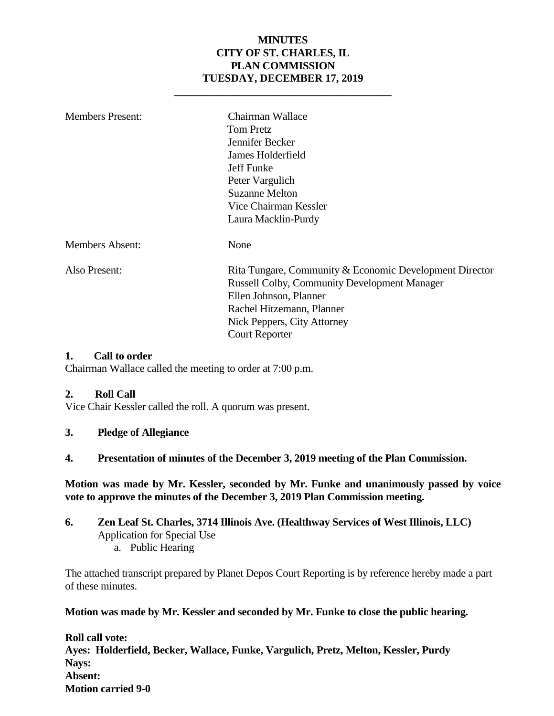#### **MINUTES CITY OF ST. CHARLES, IL PLAN COMMISSION TUESDAY, DECEMBER 17, 2019**

**\_\_\_\_\_\_\_\_\_\_\_\_\_\_\_\_\_\_\_\_\_\_\_\_\_\_\_\_\_\_\_\_\_\_\_\_\_\_\_\_**

| <b>Members Present:</b> | Chairman Wallace                                        |  |  |
|-------------------------|---------------------------------------------------------|--|--|
|                         | <b>Tom Pretz</b>                                        |  |  |
|                         | Jennifer Becker                                         |  |  |
|                         | James Holderfield                                       |  |  |
|                         | Jeff Funke                                              |  |  |
|                         | Peter Vargulich                                         |  |  |
|                         | <b>Suzanne Melton</b>                                   |  |  |
|                         | Vice Chairman Kessler                                   |  |  |
|                         | Laura Macklin-Purdy                                     |  |  |
| <b>Members Absent:</b>  | None                                                    |  |  |
| Also Present:           | Rita Tungare, Community & Economic Development Director |  |  |
|                         | <b>Russell Colby, Community Development Manager</b>     |  |  |
|                         | Ellen Johnson, Planner                                  |  |  |
|                         | Rachel Hitzemann, Planner                               |  |  |
|                         | Nick Peppers, City Attorney                             |  |  |
|                         | <b>Court Reporter</b>                                   |  |  |

#### **1. Call to order**

Chairman Wallace called the meeting to order at 7:00 p.m.

#### **2. Roll Call**

Vice Chair Kessler called the roll. A quorum was present.

- **3. Pledge of Allegiance**
- **4. Presentation of minutes of the December 3, 2019 meeting of the Plan Commission.**

**Motion was made by Mr. Kessler, seconded by Mr. Funke and unanimously passed by voice vote to approve the minutes of the December 3, 2019 Plan Commission meeting.** 

**6. Zen Leaf St. Charles, 3714 Illinois Ave. (Healthway Services of West Illinois, LLC)** Application for Special Use a. Public Hearing

The attached transcript prepared by Planet Depos Court Reporting is by reference hereby made a part of these minutes.

**Motion was made by Mr. Kessler and seconded by Mr. Funke to close the public hearing.**

**Roll call vote: Ayes: Holderfield, Becker, Wallace, Funke, Vargulich, Pretz, Melton, Kessler, Purdy Nays: Absent: Motion carried 9-0**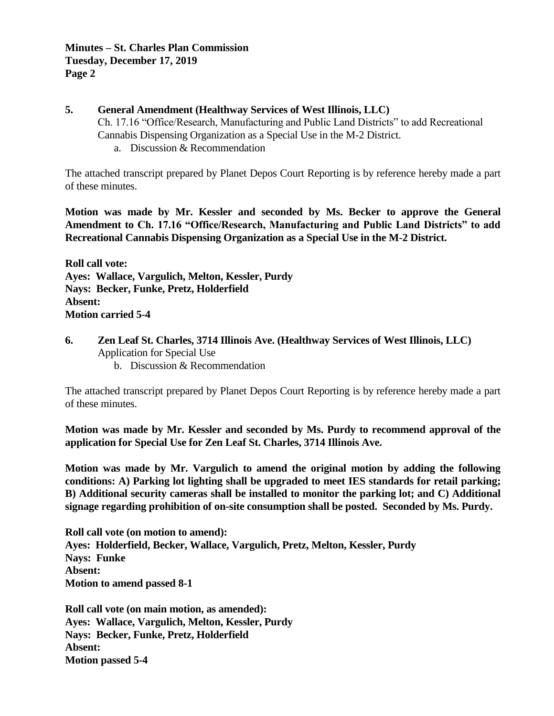#### **5. General Amendment (Healthway Services of West Illinois, LLC)**  Ch. 17.16 "Office/Research, Manufacturing and Public Land Districts" to add Recreational Cannabis Dispensing Organization as a Special Use in the M-2 District. a. Discussion & Recommendation

The attached transcript prepared by Planet Depos Court Reporting is by reference hereby made a part of these minutes.

**Motion was made by Mr. Kessler and seconded by Ms. Becker to approve the General Amendment to Ch. 17.16 "Office/Research, Manufacturing and Public Land Districts" to add Recreational Cannabis Dispensing Organization as a Special Use in the M-2 District.**

**Roll call vote: Ayes: Wallace, Vargulich, Melton, Kessler, Purdy Nays: Becker, Funke, Pretz, Holderfield Absent: Motion carried 5-4**

**6. Zen Leaf St. Charles, 3714 Illinois Ave. (Healthway Services of West Illinois, LLC)** Application for Special Use b. Discussion & Recommendation

The attached transcript prepared by Planet Depos Court Reporting is by reference hereby made a part of these minutes.

**Motion was made by Mr. Kessler and seconded by Ms. Purdy to recommend approval of the application for Special Use for Zen Leaf St. Charles, 3714 Illinois Ave.** 

**Motion was made by Mr. Vargulich to amend the original motion by adding the following conditions: A) Parking lot lighting shall be upgraded to meet IES standards for retail parking; B) Additional security cameras shall be installed to monitor the parking lot; and C) Additional signage regarding prohibition of on-site consumption shall be posted. Seconded by Ms. Purdy.** 

**Roll call vote (on motion to amend): Ayes: Holderfield, Becker, Wallace, Vargulich, Pretz, Melton, Kessler, Purdy Nays: Funke Absent: Motion to amend passed 8-1**

**Roll call vote (on main motion, as amended): Ayes: Wallace, Vargulich, Melton, Kessler, Purdy Nays: Becker, Funke, Pretz, Holderfield Absent: Motion passed 5-4**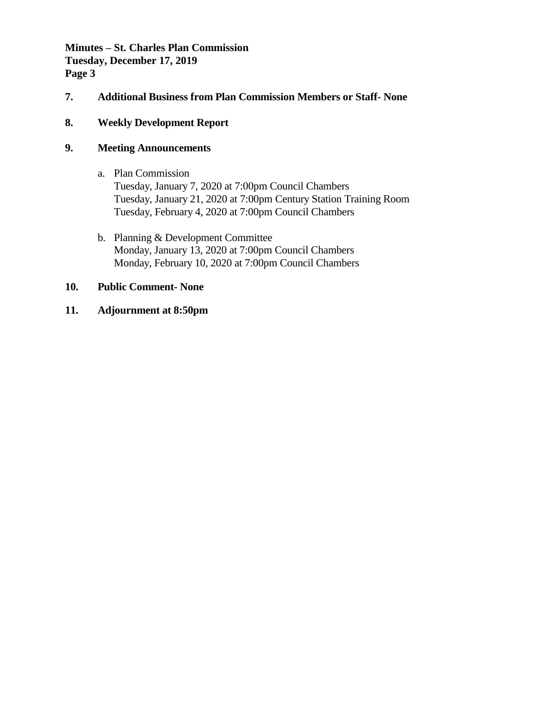**Minutes – St. Charles Plan Commission Tuesday, December 17, 2019 Page 3**

- **7. Additional Business from Plan Commission Members or Staff- None**
- **8. Weekly Development Report**

#### **9. Meeting Announcements**

- a. Plan Commission Tuesday, January 7, 2020 at 7:00pm Council Chambers Tuesday, January 21, 2020 at 7:00pm Century Station Training Room Tuesday, February 4, 2020 at 7:00pm Council Chambers
- b. Planning & Development Committee Monday, January 13, 2020 at 7:00pm Council Chambers Monday, February 10, 2020 at 7:00pm Council Chambers

#### **10. Public Comment- None**

**11. Adjournment at 8:50pm**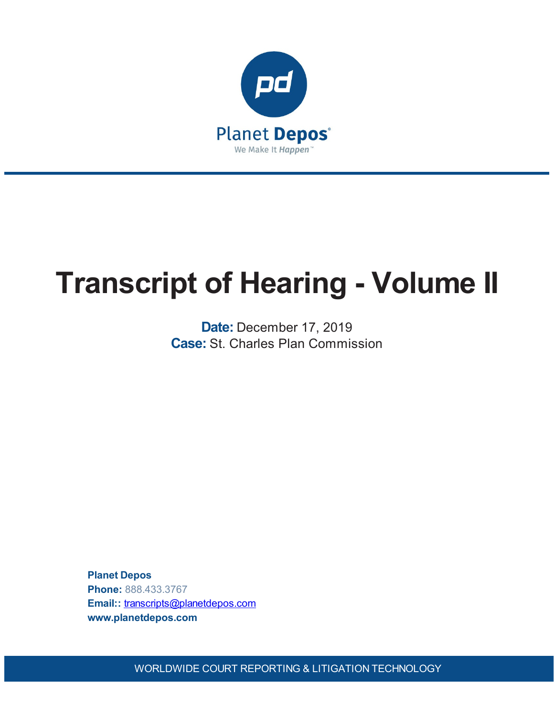

# **Transcript of Hearing - Volume II**

**Date:** December 17, 2019 **Case:** St. Charles Plan Commission

**Planet Depos Phone:** 888.433.3767 **Email::** [transcripts@planetdepos.com](mailto:transcripts@planetdepos.com) **www.planetdepos.com**

WORLDWIDE COURT REPORTING & LITIGATION TECHNOLOGY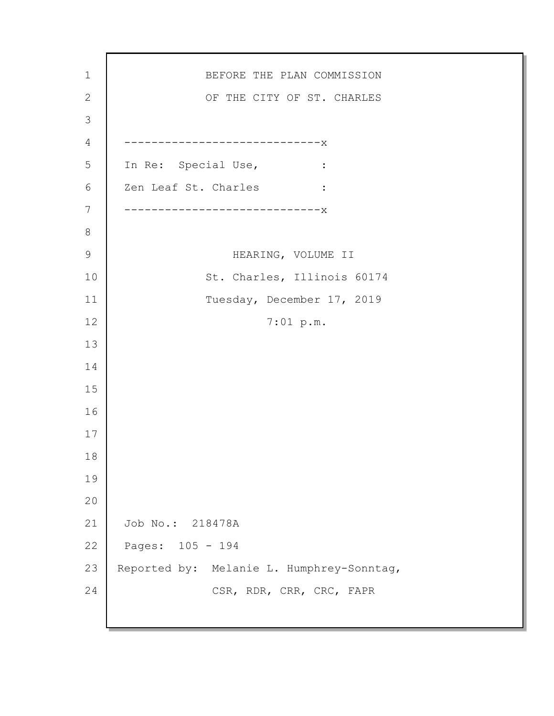BEFORE THE PLAN COMMISSION OF THE CITY OF ST. CHARLES -----------------------------x In Re: Special Use, : Zen Leaf St. Charles : -----------------------------x HEARING, VOLUME II St. Charles, Illinois 60174 Tuesday, December 17, 2019 7:01 p.m. Job No.: 218478A Pages: 105 - 194 Reported by: Melanie L. Humphrey-Sonntag, CSR, RDR, CRR, CRC, FAPR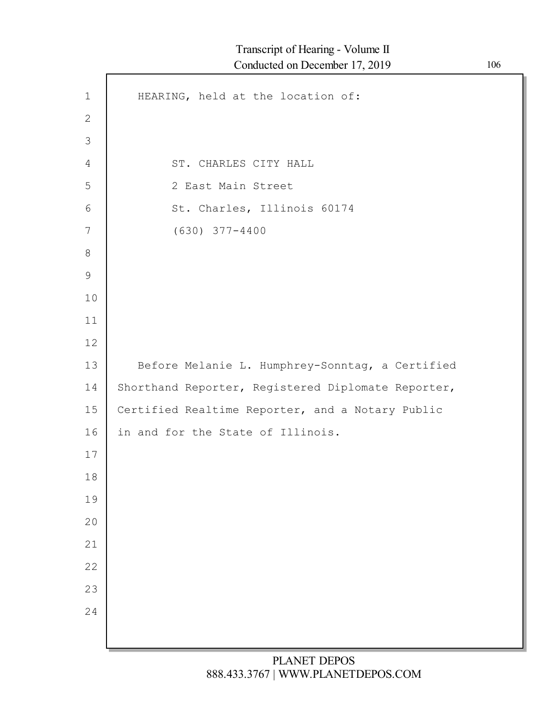| $\mathbf 1$  | HEARING, held at the location of:                  |
|--------------|----------------------------------------------------|
| $\mathbf{2}$ |                                                    |
| 3            |                                                    |
| 4            | ST. CHARLES CITY HALL                              |
| 5            | 2 East Main Street                                 |
| $6\,$        | St. Charles, Illinois 60174                        |
| 7            | $(630)$ $377 - 4400$                               |
| $8\,$        |                                                    |
| $\mathsf 9$  |                                                    |
| 10           |                                                    |
| 11           |                                                    |
| 12           |                                                    |
| 13           | Before Melanie L. Humphrey-Sonntag, a Certified    |
| 14           | Shorthand Reporter, Registered Diplomate Reporter, |
| 15           | Certified Realtime Reporter, and a Notary Public   |
| 16           | in and for the State of Illinois.                  |
| 17           |                                                    |
| $18\,$       |                                                    |
| 19           |                                                    |
| 20           |                                                    |
| 21           |                                                    |
| 22           |                                                    |
| 23           |                                                    |
| 24           |                                                    |
|              |                                                    |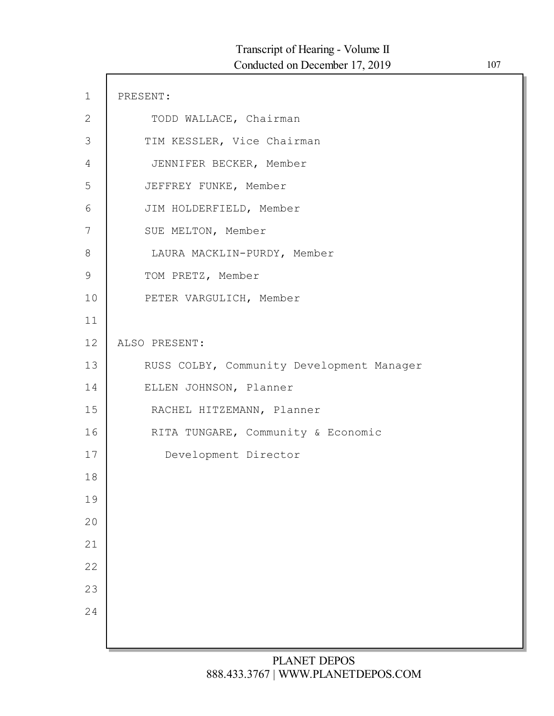| $\mathbf 1$   | PRESENT:                                  |
|---------------|-------------------------------------------|
| $\mathbf{2}$  | TODD WALLACE, Chairman                    |
| 3             | TIM KESSLER, Vice Chairman                |
| 4             | JENNIFER BECKER, Member                   |
| 5             | JEFFREY FUNKE, Member                     |
| 6             | JIM HOLDERFIELD, Member                   |
| 7             | SUE MELTON, Member                        |
| 8             | LAURA MACKLIN-PURDY, Member               |
| $\mathcal{G}$ | TOM PRETZ, Member                         |
| 10            | PETER VARGULICH, Member                   |
| 11            |                                           |
| 12            | ALSO PRESENT:                             |
| 13            | RUSS COLBY, Community Development Manager |
| 14            | ELLEN JOHNSON, Planner                    |
| 15            | RACHEL HITZEMANN, Planner                 |
| 16            | RITA TUNGARE, Community & Economic        |
| 17            | Development Director                      |
| 18            |                                           |
| 19            |                                           |
| 20            |                                           |
| 21            |                                           |
| 22            |                                           |
| 23            |                                           |
| 24            |                                           |
|               |                                           |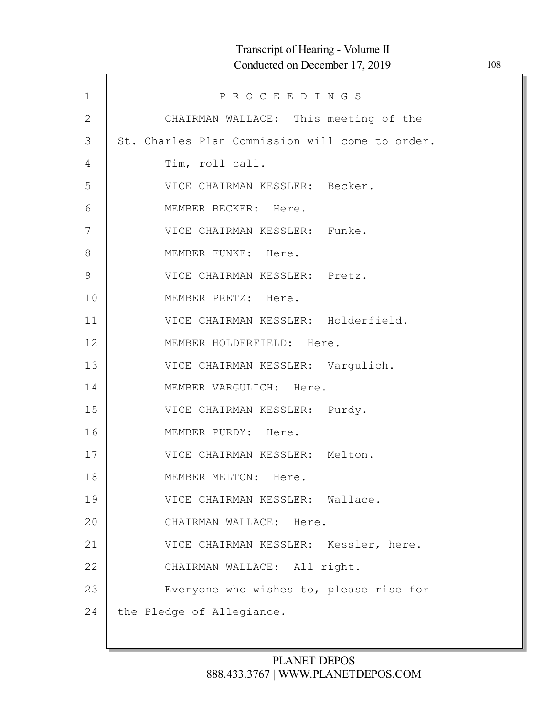| $\mathbf{1}$  | PROCEEDINGS                                     |
|---------------|-------------------------------------------------|
| 2             | CHAIRMAN WALLACE: This meeting of the           |
| 3             | St. Charles Plan Commission will come to order. |
| 4             | Tim, roll call.                                 |
| 5             | VICE CHAIRMAN KESSLER: Becker.                  |
| 6             | MEMBER BECKER: Here.                            |
| 7             | VICE CHAIRMAN KESSLER: Funke.                   |
| 8             | MEMBER FUNKE: Here.                             |
| $\mathcal{G}$ | VICE CHAIRMAN KESSLER: Pretz.                   |
| 10            | MEMBER PRETZ: Here.                             |
| 11            | VICE CHAIRMAN KESSLER: Holderfield.             |
| 12            | MEMBER HOLDERFIELD: Here.                       |
| 13            | VICE CHAIRMAN KESSLER: Vargulich.               |
| 14            | MEMBER VARGULICH: Here.                         |
| 15            | VICE CHAIRMAN KESSLER: Purdy.                   |
| 16            | MEMBER PURDY: Here.                             |
| 17            | VICE CHAIRMAN KESSLER: Melton.                  |
| 18            | MEMBER MELTON: Here.                            |
| 19            | VICE CHAIRMAN KESSLER: Wallace.                 |
| 20            | CHAIRMAN WALLACE: Here.                         |
| 21            | VICE CHAIRMAN KESSLER: Kessler, here.           |
| 22            | CHAIRMAN WALLACE: All right.                    |
| 23            | Everyone who wishes to, please rise for         |
| 24            | the Pledge of Allegiance.                       |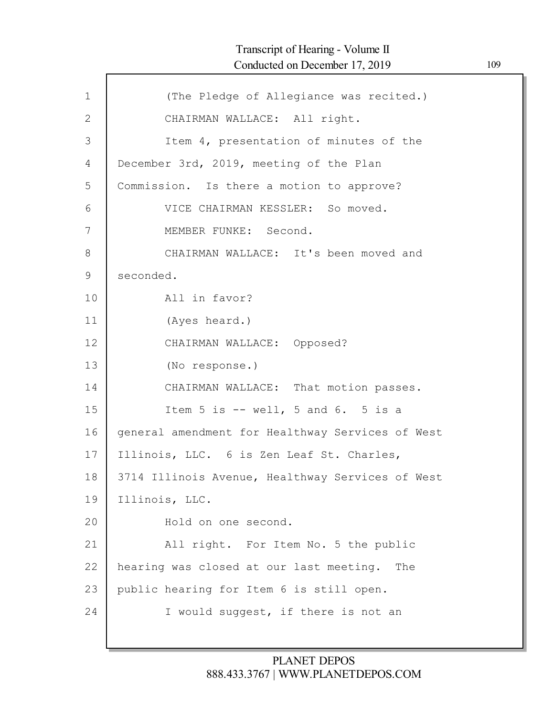| (The Pledge of Allegiance was recited.)          |
|--------------------------------------------------|
| CHAIRMAN WALLACE: All right.                     |
| Item 4, presentation of minutes of the           |
| December 3rd, 2019, meeting of the Plan          |
| Commission. Is there a motion to approve?        |
| VICE CHAIRMAN KESSLER: So moved.                 |
| MEMBER FUNKE: Second.                            |
| CHAIRMAN WALLACE: It's been moved and            |
| seconded.                                        |
| All in favor?                                    |
| (Ayes heard.)                                    |
| CHAIRMAN WALLACE: Opposed?                       |
| (No response.)                                   |
| CHAIRMAN WALLACE: That motion passes.            |
| Item $5$ is $--$ well, $5$ and $6.$ $5$ is a     |
| general amendment for Healthway Services of West |
| Illinois, LLC. 6 is Zen Leaf St. Charles,        |
| 3714 Illinois Avenue, Healthway Services of West |
| Illinois, LLC.                                   |
| Hold on one second.                              |
| All right. For Item No. 5 the public             |
| hearing was closed at our last meeting.<br>The   |
| public hearing for Item 6 is still open.         |
| I would suggest, if there is not an              |
|                                                  |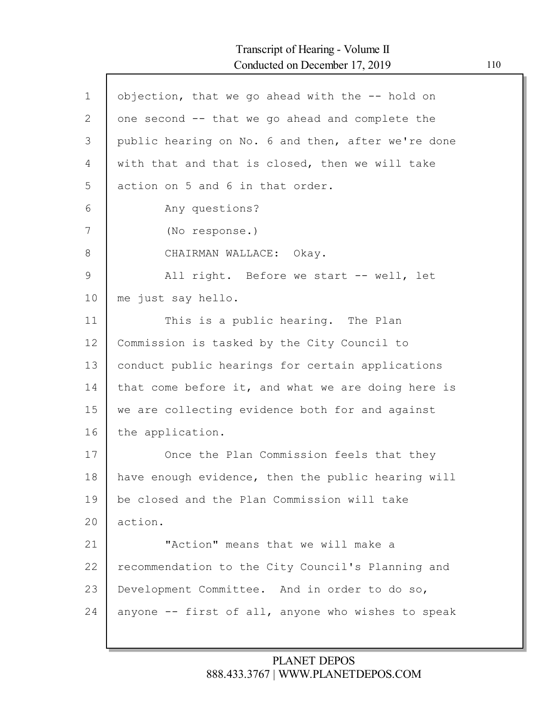Г

| $\mathbf 1$ | objection, that we go ahead with the -- hold on    |
|-------------|----------------------------------------------------|
| 2           | one second -- that we go ahead and complete the    |
| 3           | public hearing on No. 6 and then, after we're done |
|             |                                                    |
| 4           | with that and that is closed, then we will take    |
| 5           | action on 5 and 6 in that order.                   |
| 6           | Any questions?                                     |
| 7           | (No response.)                                     |
| 8           | CHAIRMAN WALLACE: Okay.                            |
| 9           | All right. Before we start -- well, let            |
| 10          | me just say hello.                                 |
| 11          | This is a public hearing. The Plan                 |
| 12          | Commission is tasked by the City Council to        |
| 13          | conduct public hearings for certain applications   |
| 14          | that come before it, and what we are doing here is |
| 15          | we are collecting evidence both for and against    |
| 16          | the application.                                   |
| 17          | Once the Plan Commission feels that they           |
| 18          | have enough evidence, then the public hearing will |
| 19          | be closed and the Plan Commission will take        |
| 20          | action.                                            |
| 21          | "Action" means that we will make a                 |
| 22          | recommendation to the City Council's Planning and  |
| 23          | Development Committee. And in order to do so,      |
| 24          | anyone -- first of all, anyone who wishes to speak |
|             |                                                    |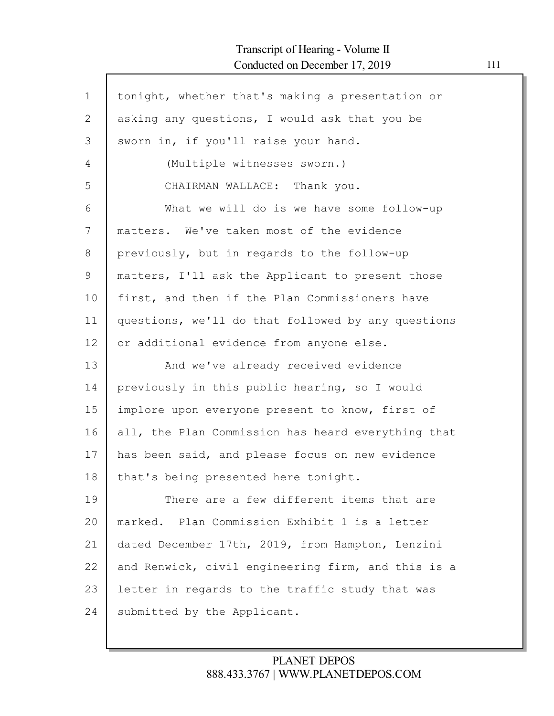| $\mathbf 1$ | tonight, whether that's making a presentation or   |
|-------------|----------------------------------------------------|
| 2           | asking any questions, I would ask that you be      |
| 3           | sworn in, if you'll raise your hand.               |
| 4           | (Multiple witnesses sworn.)                        |
| 5           | CHAIRMAN WALLACE: Thank you.                       |
| 6           | What we will do is we have some follow-up          |
| 7           | matters. We've taken most of the evidence          |
| 8           | previously, but in regards to the follow-up        |
| 9           | matters, I'll ask the Applicant to present those   |
| 10          | first, and then if the Plan Commissioners have     |
| 11          | questions, we'll do that followed by any questions |
| 12          | or additional evidence from anyone else.           |
| 13          | And we've already received evidence                |
| 14          | previously in this public hearing, so I would      |
| 15          | implore upon everyone present to know, first of    |
| 16          | all, the Plan Commission has heard everything that |
| 17          | has been said, and please focus on new evidence    |
| 18          | that's being presented here tonight.               |
| 19          | There are a few different items that are           |
| 20          | marked. Plan Commission Exhibit 1 is a letter      |
| 21          | dated December 17th, 2019, from Hampton, Lenzini   |
| 22          | and Renwick, civil engineering firm, and this is a |
| 23          | letter in regards to the traffic study that was    |
| 24          | submitted by the Applicant.                        |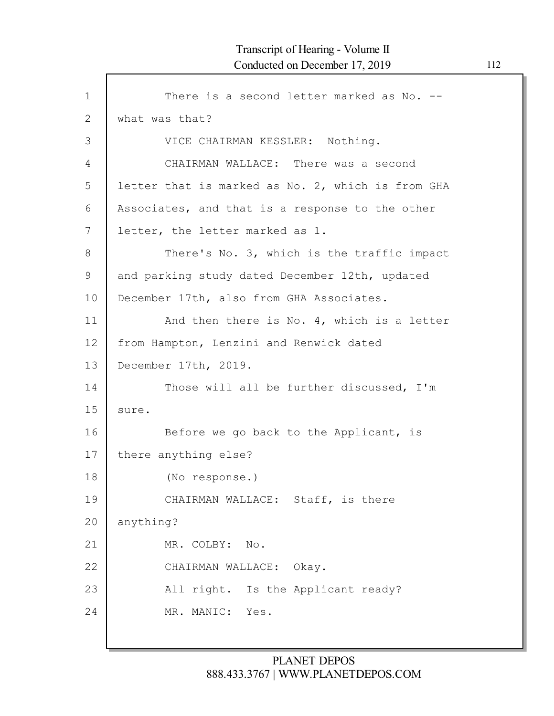```
1
2
3
4
5
6
7
8
9
10
11
12
13
14
15
16
17
18
19
20
21
22
23
24
            There is a second letter marked as No. --
    what was that?
           VICE CHAIRMAN KESSLER: Nothing.
            CHAIRMAN WALLACE: There was a second
    letter that is marked as No. 2, which is from GHA
    Associates, and that is a response to the other
    letter, the letter marked as 1.
            There's No. 3, which is the traffic impact
    and parking study dated December 12th, updated
    December 17th, also from GHA Associates.
            And then there is No. 4, which is a letter
     from Hampton, Lenzini and Renwick dated
    December 17th, 2019.
            Those will all be further discussed, I'm
    sure.
            Before we go back to the Applicant, is
    there anything else?
            (No response.)
            CHAIRMAN WALLACE: Staff, is there
    anything?
            MR. COLBY: No.
            CHAIRMAN WALLACE: Okay.
            All right. Is the Applicant ready?
           MR. MANIC: Yes.
```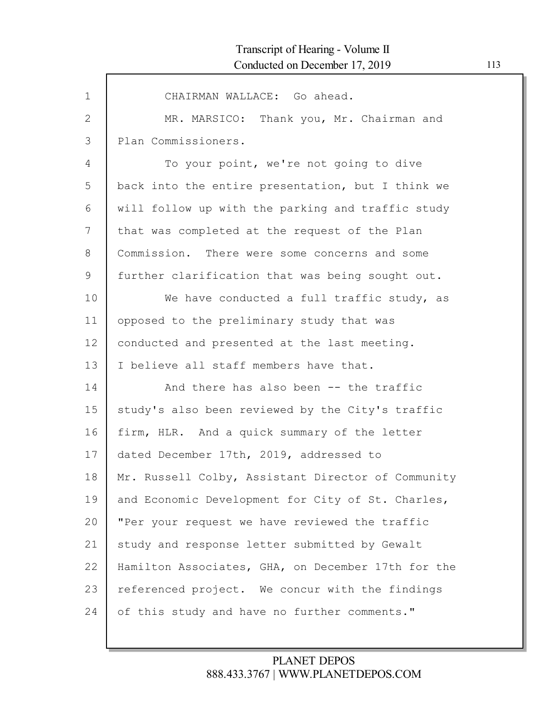| $\mathbf 1$    | CHAIRMAN WALLACE: Go ahead.                        |
|----------------|----------------------------------------------------|
| 2              | MR. MARSICO: Thank you, Mr. Chairman and           |
| $\mathfrak{Z}$ | Plan Commissioners.                                |
| 4              | To your point, we're not going to dive             |
| 5              | back into the entire presentation, but I think we  |
| 6              | will follow up with the parking and traffic study  |
| 7              | that was completed at the request of the Plan      |
| 8              | Commission. There were some concerns and some      |
| $\mathcal{G}$  | further clarification that was being sought out.   |
| 10             | We have conducted a full traffic study, as         |
| 11             | opposed to the preliminary study that was          |
| 12             | conducted and presented at the last meeting.       |
| 13             | I believe all staff members have that.             |
| 14             | And there has also been -- the traffic             |
| 15             | study's also been reviewed by the City's traffic   |
| 16             | firm, HLR. And a quick summary of the letter       |
| 17             | dated December 17th, 2019, addressed to            |
| 18             | Mr. Russell Colby, Assistant Director of Community |
| 19             | and Economic Development for City of St. Charles,  |
| 20             | "Per your request we have reviewed the traffic     |
| 21             | study and response letter submitted by Gewalt      |
| 22             | Hamilton Associates, GHA, on December 17th for the |
| 23             | referenced project. We concur with the findings    |
| 24             | of this study and have no further comments."       |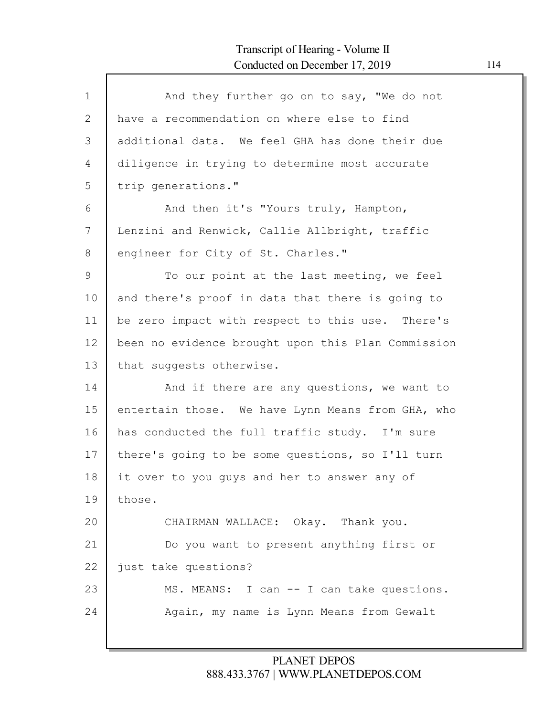| $\mathbf{1}$ | And they further go on to say, "We do not          |
|--------------|----------------------------------------------------|
| 2            | have a recommendation on where else to find        |
| 3            | additional data. We feel GHA has done their due    |
| 4            | diligence in trying to determine most accurate     |
| 5            | trip generations."                                 |
| 6            | And then it's "Yours truly, Hampton,               |
| 7            | Lenzini and Renwick, Callie Allbright, traffic     |
| 8            | engineer for City of St. Charles."                 |
| 9            | To our point at the last meeting, we feel          |
| 10           | and there's proof in data that there is going to   |
| 11           | be zero impact with respect to this use. There's   |
| 12           | been no evidence brought upon this Plan Commission |
| 13           | that suggests otherwise.                           |
| 14           | And if there are any questions, we want to         |
| 15           | entertain those. We have Lynn Means from GHA, who  |
| 16           | has conducted the full traffic study. I'm sure     |
| 17           | there's going to be some questions, so I'll turn   |
| 18           | it over to you guys and her to answer any of       |
| 19           | those.                                             |
| 20           | CHAIRMAN WALLACE: Okay. Thank you.                 |
| 21           | Do you want to present anything first or           |
| 22           | just take questions?                               |
| 23           | MS. MEANS: I can -- I can take questions.          |
| 24           | Again, my name is Lynn Means from Gewalt           |
|              |                                                    |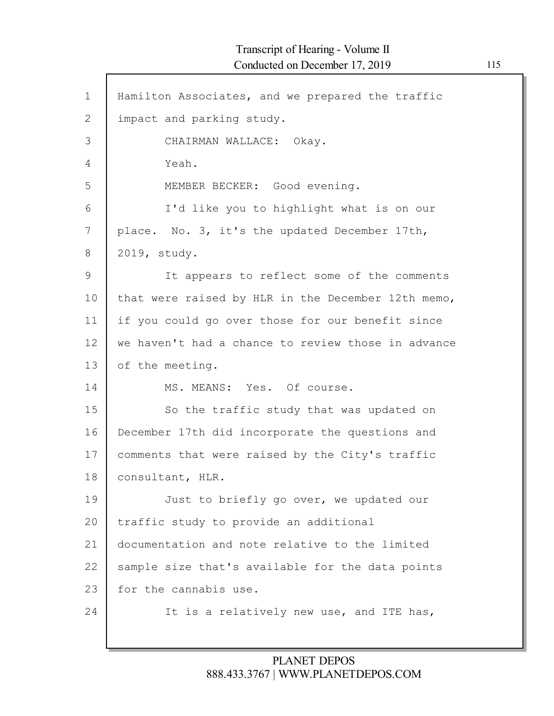| $\mathbf{1}$  | Hamilton Associates, and we prepared the traffic   |
|---------------|----------------------------------------------------|
| $\mathbf{2}$  | impact and parking study.                          |
| 3             | CHAIRMAN WALLACE: Okay.                            |
| 4             | Yeah.                                              |
| 5             | MEMBER BECKER: Good evening.                       |
| 6             | I'd like you to highlight what is on our           |
| 7             | place. No. 3, it's the updated December 17th,      |
| 8             | 2019, study.                                       |
| $\mathcal{G}$ | It appears to reflect some of the comments         |
| 10            | that were raised by HLR in the December 12th memo, |
| 11            | if you could go over those for our benefit since   |
| 12            | we haven't had a chance to review those in advance |
| 13            | of the meeting.                                    |
| 14            | MS. MEANS: Yes. Of course.                         |
| 15            | So the traffic study that was updated on           |
| 16            | December 17th did incorporate the questions and    |
| 17            | comments that were raised by the City's traffic    |
| 18            | consultant, HLR.                                   |
| 19            | Just to briefly go over, we updated our            |
| 20            | traffic study to provide an additional             |
| 21            | documentation and note relative to the limited     |
| 22            | sample size that's available for the data points   |
| 23            | for the cannabis use.                              |
| 24            | It is a relatively new use, and ITE has,           |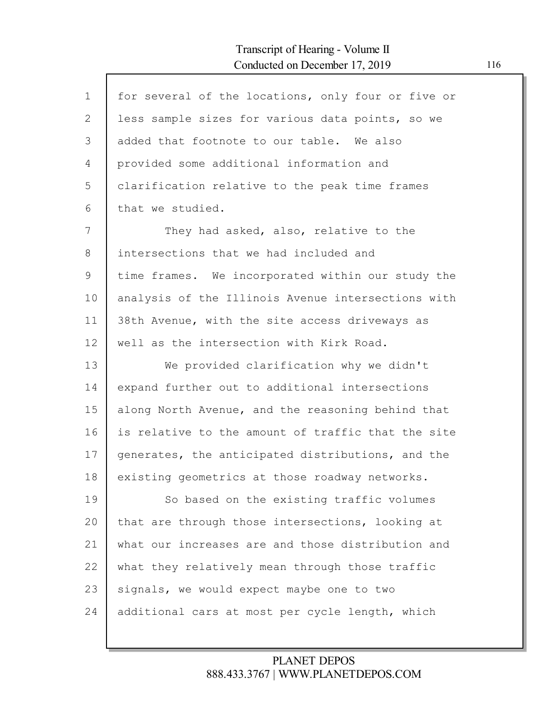Г

| $\mathbf{1}$ | for several of the locations, only four or five or |
|--------------|----------------------------------------------------|
| $\mathbf{2}$ | less sample sizes for various data points, so we   |
| 3            | added that footnote to our table. We also          |
| 4            | provided some additional information and           |
| 5            | clarification relative to the peak time frames     |
| 6            | that we studied.                                   |
| 7            | They had asked, also, relative to the              |
| 8            | intersections that we had included and             |
| 9            | time frames. We incorporated within our study the  |
| 10           | analysis of the Illinois Avenue intersections with |
| 11           | 38th Avenue, with the site access driveways as     |
| 12           | well as the intersection with Kirk Road.           |
| 13           | We provided clarification why we didn't            |
| 14           | expand further out to additional intersections     |
| 15           | along North Avenue, and the reasoning behind that  |
| 16           | is relative to the amount of traffic that the site |
| 17           | generates, the anticipated distributions, and the  |
| 18           | existing geometrics at those roadway networks.     |
| 19           | So based on the existing traffic volumes           |
| 20           | that are through those intersections, looking at   |
| 21           | what our increases are and those distribution and  |
| 22           | what they relatively mean through those traffic    |
| 23           | signals, we would expect maybe one to two          |
|              |                                                    |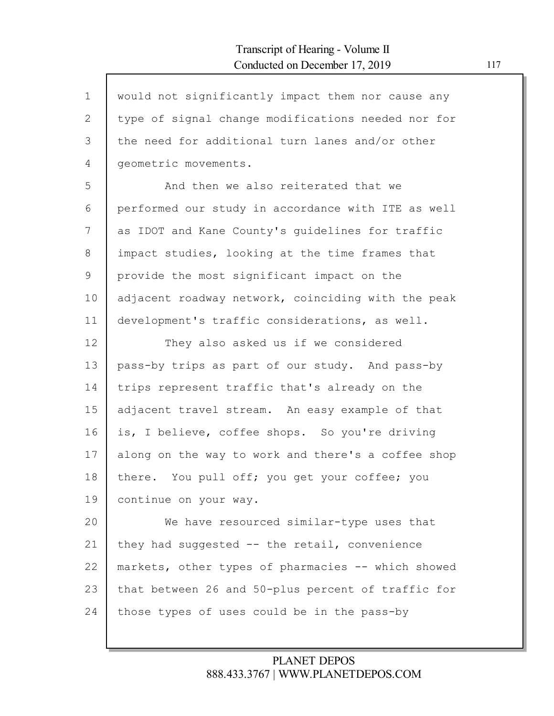$\mathsf{l}$ 

| $\mathbf 1$ | would not significantly impact them nor cause any  |
|-------------|----------------------------------------------------|
| 2           | type of signal change modifications needed nor for |
| 3           | the need for additional turn lanes and/or other    |
| 4           | geometric movements.                               |
| 5           | And then we also reiterated that we                |
| 6           | performed our study in accordance with ITE as well |
| 7           | as IDOT and Kane County's guidelines for traffic   |
| 8           | impact studies, looking at the time frames that    |
| 9           | provide the most significant impact on the         |
| 10          | adjacent roadway network, coinciding with the peak |
| 11          | development's traffic considerations, as well.     |
| 12          | They also asked us if we considered                |
| 13          | pass-by trips as part of our study. And pass-by    |
| 14          | trips represent traffic that's already on the      |
| 15          | adjacent travel stream. An easy example of that    |
| 16          | is, I believe, coffee shops. So you're driving     |
| 17          | along on the way to work and there's a coffee shop |
| 18          | there. You pull off; you get your coffee; you      |
| 19          | continue on your way.                              |
| 20          | We have resourced similar-type uses that           |
| 21          | they had suggested -- the retail, convenience      |
| 22          | markets, other types of pharmacies -- which showed |
| 23          | that between 26 and 50-plus percent of traffic for |
| 24          | those types of uses could be in the pass-by        |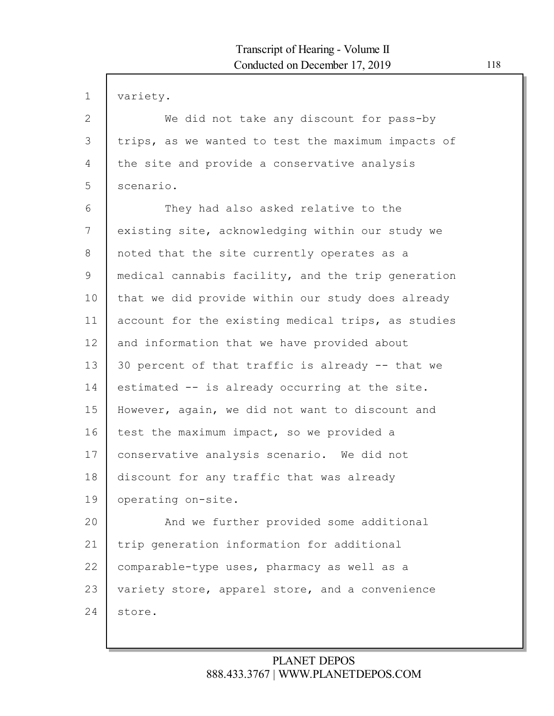| $\mathbf 1$  | variety.                                           |
|--------------|----------------------------------------------------|
| $\mathbf{2}$ | We did not take any discount for pass-by           |
| 3            | trips, as we wanted to test the maximum impacts of |
| 4            | the site and provide a conservative analysis       |
| 5            | scenario.                                          |
| 6            | They had also asked relative to the                |
| 7            | existing site, acknowledging within our study we   |
| 8            | noted that the site currently operates as a        |
| 9            | medical cannabis facility, and the trip generation |
| 10           | that we did provide within our study does already  |
| 11           | account for the existing medical trips, as studies |
| 12           | and information that we have provided about        |
| 13           | 30 percent of that traffic is already -- that we   |
| 14           | estimated -- is already occurring at the site.     |
| 15           | However, again, we did not want to discount and    |
| 16           | test the maximum impact, so we provided a          |
| 17           | conservative analysis scenario. We did not         |
| 18           | discount for any traffic that was already          |
| 19           | operating on-site.                                 |
| 20           | And we further provided some additional            |
| 21           | trip generation information for additional         |
| 22           | comparable-type uses, pharmacy as well as a        |
| 23           | variety store, apparel store, and a convenience    |
| 24           | store.                                             |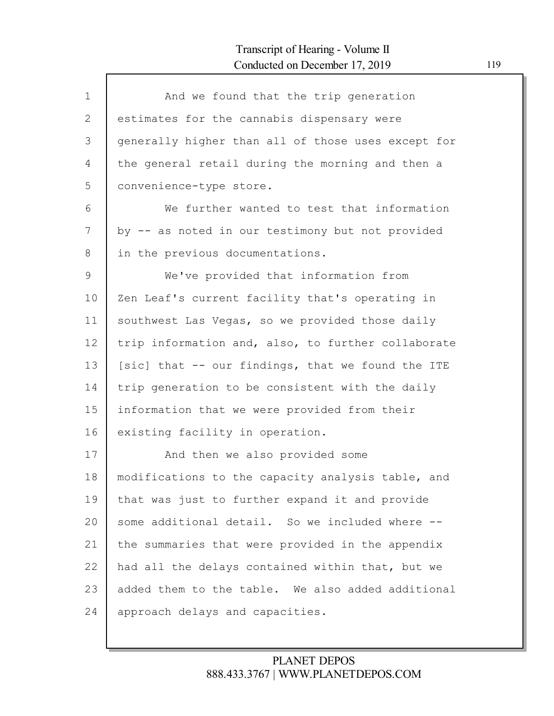| $\mathbf{1}$ | And we found that the trip generation              |
|--------------|----------------------------------------------------|
| 2            | estimates for the cannabis dispensary were         |
| 3            | generally higher than all of those uses except for |
| 4            | the general retail during the morning and then a   |
| 5            | convenience-type store.                            |
| 6            | We further wanted to test that information         |
| 7            | by -- as noted in our testimony but not provided   |
| 8            | in the previous documentations.                    |
| 9            | We've provided that information from               |
| 10           | Zen Leaf's current facility that's operating in    |
| 11           | southwest Las Vegas, so we provided those daily    |
| 12           | trip information and, also, to further collaborate |
| 13           | [sic] that -- our findings, that we found the ITE  |
| 14           | trip generation to be consistent with the daily    |
| 15           | information that we were provided from their       |
| 16           | existing facility in operation.                    |
| 17           | And then we also provided some                     |
| 18           | modifications to the capacity analysis table, and  |
| 19           | that was just to further expand it and provide     |
| 20           | some additional detail. So we included where --    |
| 21           | the summaries that were provided in the appendix   |
| 22           | had all the delays contained within that, but we   |
| 23           | added them to the table. We also added additional  |
| 24           | approach delays and capacities.                    |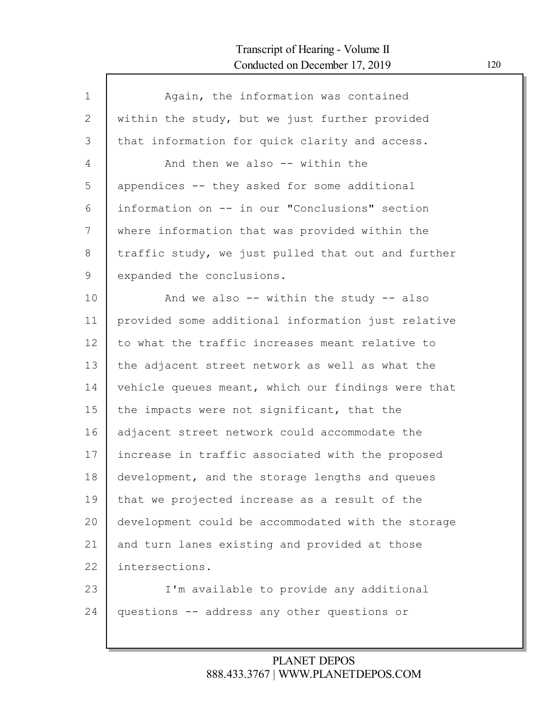| $\mathbf 1$ | Again, the information was contained               |
|-------------|----------------------------------------------------|
| 2           | within the study, but we just further provided     |
| 3           | that information for quick clarity and access.     |
| 4           | And then we also -- within the                     |
| 5           | appendices -- they asked for some additional       |
| 6           | information on -- in our "Conclusions" section     |
| 7           | where information that was provided within the     |
| 8           | traffic study, we just pulled that out and further |
| 9           | expanded the conclusions.                          |
| 10          | And we also $--$ within the study $--$ also        |
| 11          | provided some additional information just relative |
| 12          | to what the traffic increases meant relative to    |
| 13          | the adjacent street network as well as what the    |
| 14          | vehicle queues meant, which our findings were that |
| 15          | the impacts were not significant, that the         |
| 16          | adjacent street network could accommodate the      |
| 17          | increase in traffic associated with the proposed   |
| 18          | development, and the storage lengths and queues    |
| 19          | that we projected increase as a result of the      |
| 20          | development could be accommodated with the storage |
| 21          | and turn lanes existing and provided at those      |
| 22          | intersections.                                     |
| 23          | I'm available to provide any additional            |
| 24          | questions -- address any other questions or        |
|             |                                                    |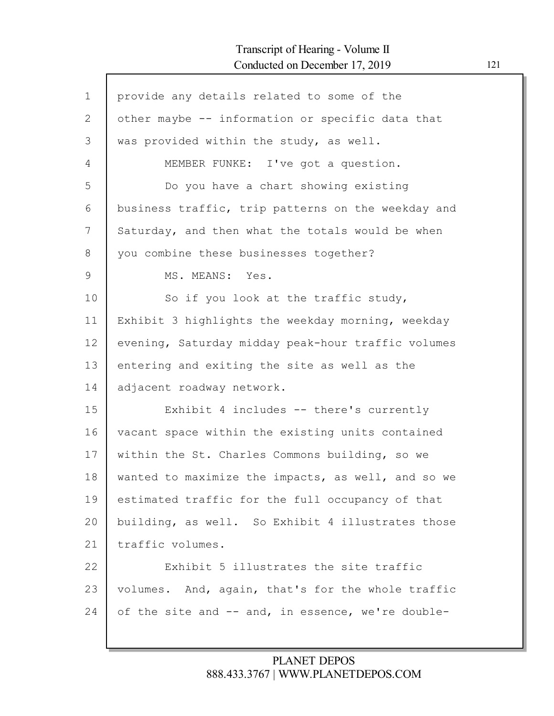Г

| $\mathbf 1$ | provide any details related to some of the         |
|-------------|----------------------------------------------------|
| 2           | other maybe -- information or specific data that   |
| 3           | was provided within the study, as well.            |
| 4           | MEMBER FUNKE: I've got a question.                 |
| 5           | Do you have a chart showing existing               |
| 6           | business traffic, trip patterns on the weekday and |
| 7           | Saturday, and then what the totals would be when   |
| 8           | you combine these businesses together?             |
| 9           | MS. MEANS: Yes.                                    |
| 10          | So if you look at the traffic study,               |
| 11          | Exhibit 3 highlights the weekday morning, weekday  |
| 12          | evening, Saturday midday peak-hour traffic volumes |
| 13          | entering and exiting the site as well as the       |
| 14          | adjacent roadway network.                          |
| 15          | Exhibit 4 includes -- there's currently            |
| 16          | vacant space within the existing units contained   |
| 17          | within the St. Charles Commons building, so we     |
| 18          | wanted to maximize the impacts, as well, and so we |
| 19          | estimated traffic for the full occupancy of that   |
| 20          | building, as well. So Exhibit 4 illustrates those  |
| 21          | traffic volumes.                                   |
| 22          | Exhibit 5 illustrates the site traffic             |
| 23          | volumes. And, again, that's for the whole traffic  |
| 24          | of the site and -- and, in essence, we're double-  |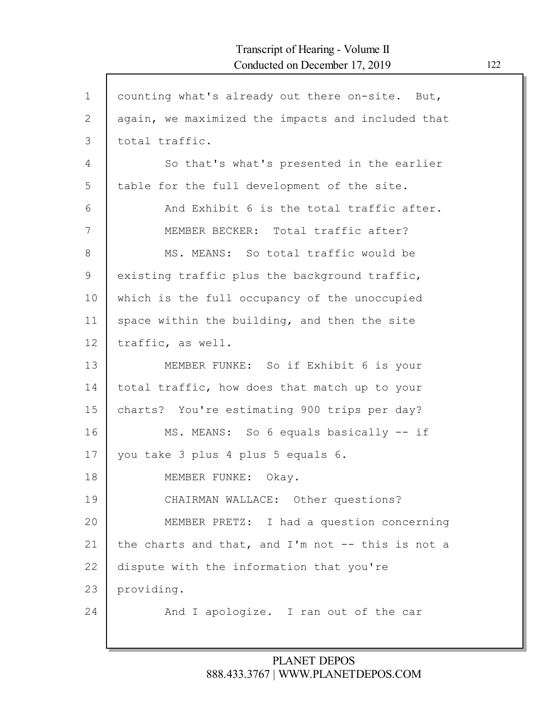| counting what's already out there on-site. But,   |
|---------------------------------------------------|
| again, we maximized the impacts and included that |
| total traffic.                                    |
| So that's what's presented in the earlier         |
| table for the full development of the site.       |
| And Exhibit 6 is the total traffic after.         |
| MEMBER BECKER: Total traffic after?               |
| MS. MEANS: So total traffic would be              |
| existing traffic plus the background traffic,     |
| which is the full occupancy of the unoccupied     |
| space within the building, and then the site      |
| traffic, as well.                                 |
| MEMBER FUNKE: So if Exhibit 6 is your             |
| total traffic, how does that match up to your     |
| charts? You're estimating 900 trips per day?      |
| MS. MEANS: So 6 equals basically -- if            |
| you take 3 plus 4 plus 5 equals 6.                |
| MEMBER FUNKE: Okay.                               |
| CHAIRMAN WALLACE: Other questions?                |
| MEMBER PRETZ: I had a question concerning         |
| the charts and that, and I'm not -- this is not a |
| dispute with the information that you're          |
| providing.                                        |
| And I apologize. I ran out of the car             |
|                                                   |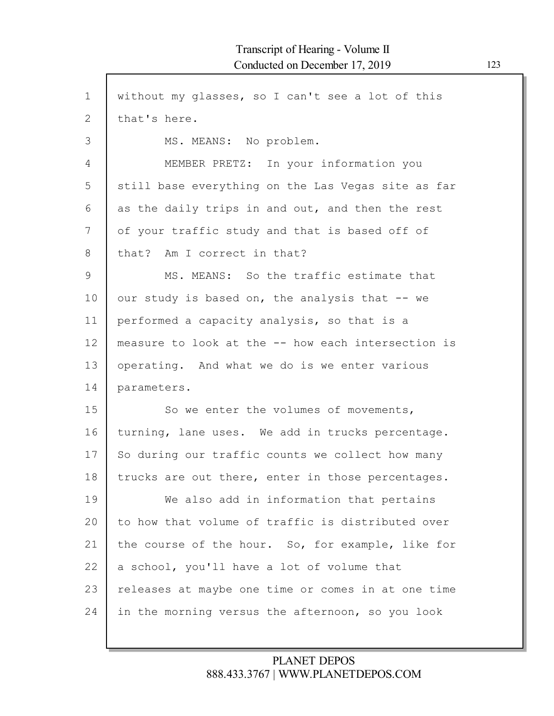1 2 3 4 5 6 7 8 9 10 11 12 13 14 15 16 17 18 19 20 21 22 23 24 without my glasses, so I can't see a lot of this that's here. MS. MEANS: No problem. MEMBER PRETZ: In your information you still base everything on the Las Vegas site as far as the daily trips in and out, and then the rest of your traffic study and that is based off of that? Am I correct in that? MS. MEANS: So the traffic estimate that our study is based on, the analysis that -- we performed a capacity analysis, so that is a measure to look at the -- how each intersection is operating. And what we do is we enter various parameters. So we enter the volumes of movements, turning, lane uses. We add in trucks percentage. So during our traffic counts we collect how many trucks are out there, enter in those percentages. We also add in information that pertains to how that volume of traffic is distributed over the course of the hour. So, for example, like for a school, you'll have a lot of volume that releases at maybe one time or comes in at one time in the morning versus the afternoon, so you look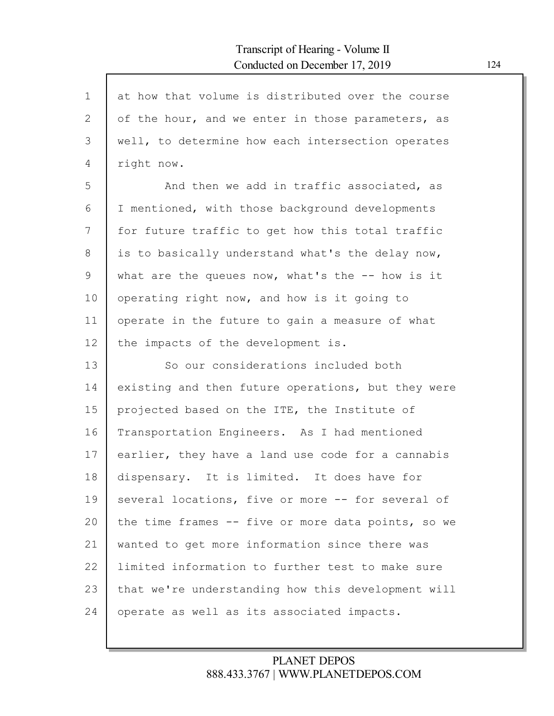| $\mathbf 1$    | at how that volume is distributed over the course  |
|----------------|----------------------------------------------------|
| $\overline{2}$ | of the hour, and we enter in those parameters, as  |
| 3              | well, to determine how each intersection operates  |
| 4              | right now.                                         |
| 5              | And then we add in traffic associated, as          |
| 6              | I mentioned, with those background developments    |
| 7              | for future traffic to get how this total traffic   |
| 8              | is to basically understand what's the delay now,   |
| 9              | what are the queues now, what's the -- how is it   |
| 10             | operating right now, and how is it going to        |
| 11             | operate in the future to gain a measure of what    |
| 12             | the impacts of the development is.                 |
| 13             | So our considerations included both                |
| 14             | existing and then future operations, but they were |
| 15             | projected based on the ITE, the Institute of       |
| 16             | Transportation Engineers. As I had mentioned       |
| 17             | earlier, they have a land use code for a cannabis  |
| 18             | dispensary. It is limited. It does have for        |
| 19             | several locations, five or more -- for several of  |
| 20             | the time frames -- five or more data points, so we |
| 21             | wanted to get more information since there was     |
| 22             | limited information to further test to make sure   |
| 23             | that we're understanding how this development will |
| 24             | operate as well as its associated impacts.         |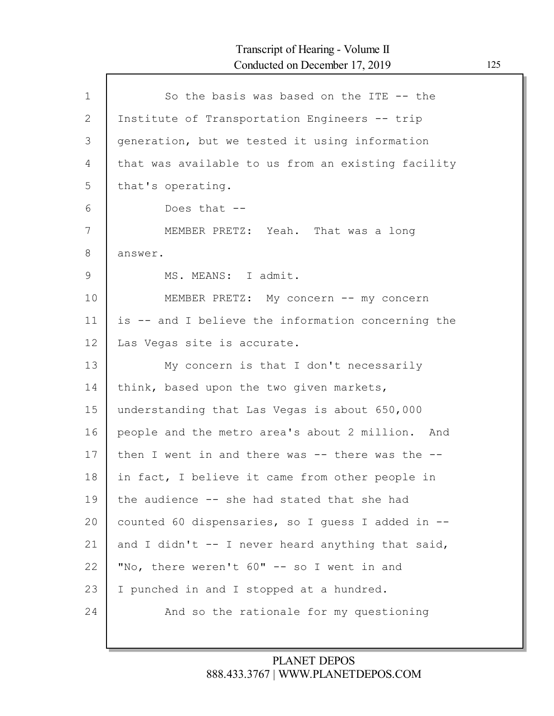| $\mathbf{1}$  | So the basis was based on the ITE -- the               |
|---------------|--------------------------------------------------------|
| 2             | Institute of Transportation Engineers -- trip          |
| 3             | generation, but we tested it using information         |
| 4             | that was available to us from an existing facility     |
| 5             | that's operating.                                      |
| 6             | Does that --                                           |
| 7             | MEMBER PRETZ: Yeah. That was a long                    |
| 8             | answer.                                                |
| $\mathcal{G}$ | MS. MEANS: I admit.                                    |
| 10            | MEMBER PRETZ: My concern -- my concern                 |
| 11            | is -- and I believe the information concerning the     |
| 12            | Las Vegas site is accurate.                            |
| 13            | My concern is that I don't necessarily                 |
| 14            | think, based upon the two given markets,               |
| 15            | understanding that Las Vegas is about 650,000          |
| 16            | people and the metro area's about 2 million. And       |
| 17            | then I went in and there was $-$ - there was the $-$ - |
| 18            | in fact, I believe it came from other people in        |
| 19            | the audience -- she had stated that she had            |
| 20            | counted 60 dispensaries, so I quess I added in --      |
| 21            | and I didn't $-$ - I never heard anything that said,   |
| 22            | "No, there weren't 60" -- so I went in and             |
| 23            | I punched in and I stopped at a hundred.               |
| 24            | And so the rationale for my questioning                |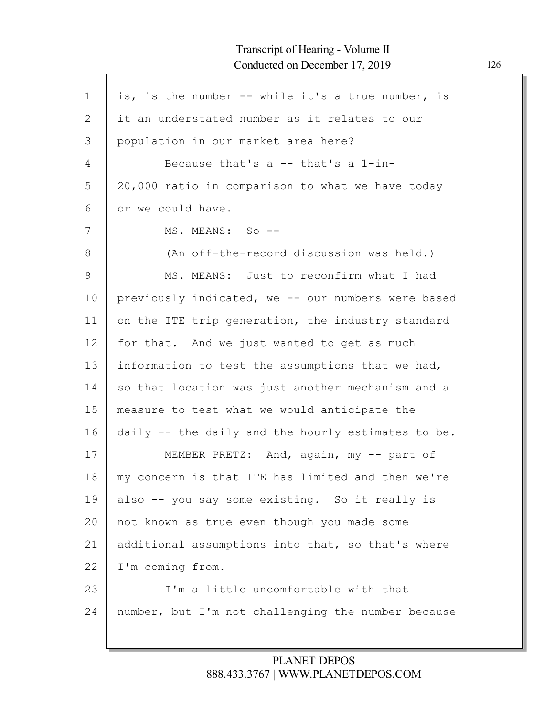| $\mathbf 1$ | is, is the number -- while it's a true number, is  |
|-------------|----------------------------------------------------|
| 2           | it an understated number as it relates to our      |
| 3           | population in our market area here?                |
| 4           | Because that's a $-$ that's a $1$ -in-             |
| 5           | 20,000 ratio in comparison to what we have today   |
| 6           | or we could have.                                  |
| 7           | MS. MEANS: So --                                   |
| 8           | (An off-the-record discussion was held.)           |
| 9           | MS. MEANS: Just to reconfirm what I had            |
| 10          | previously indicated, we -- our numbers were based |
| 11          | on the ITE trip generation, the industry standard  |
| 12          | for that. And we just wanted to get as much        |
| 13          | information to test the assumptions that we had,   |
| 14          | so that location was just another mechanism and a  |
| 15          | measure to test what we would anticipate the       |
| 16          | daily -- the daily and the hourly estimates to be. |
| 17          | MEMBER PRETZ: And, again, my -- part of            |
| 18          | my concern is that ITE has limited and then we're  |
| 19          | also -- you say some existing. So it really is     |
| 20          | not known as true even though you made some        |
| 21          | additional assumptions into that, so that's where  |
| 22          | I'm coming from.                                   |
| 23          | I'm a little uncomfortable with that               |
| 24          | number, but I'm not challenging the number because |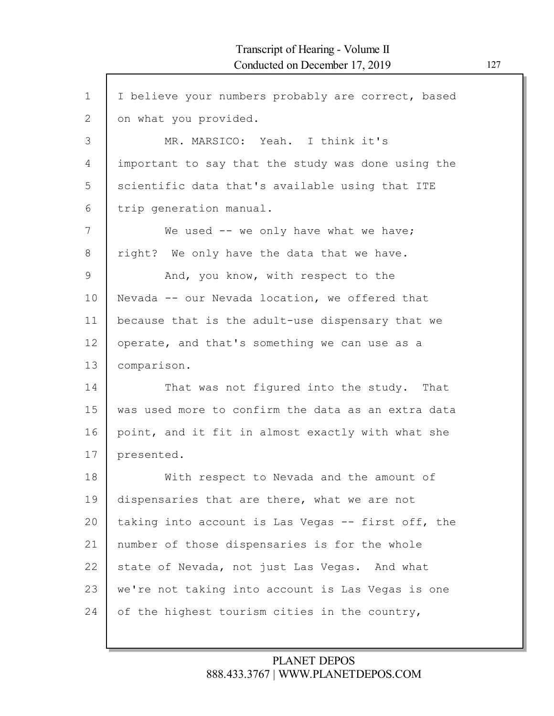| I believe your numbers probably are correct, based |
|----------------------------------------------------|
| on what you provided.                              |
| MR. MARSICO: Yeah. I think it's                    |
| important to say that the study was done using the |
| scientific data that's available using that ITE    |
| trip generation manual.                            |
| We used $--$ we only have what we have;            |
| right? We only have the data that we have.         |
| And, you know, with respect to the                 |
| Nevada -- our Nevada location, we offered that     |
| because that is the adult-use dispensary that we   |
| operate, and that's something we can use as a      |
| comparison.                                        |
| That was not figured into the study. That          |
| was used more to confirm the data as an extra data |
| point, and it fit in almost exactly with what she  |
| presented.                                         |
| With respect to Nevada and the amount of           |
| dispensaries that are there, what we are not       |
| taking into account is Las Vegas -- first off, the |
| number of those dispensaries is for the whole      |
| state of Nevada, not just Las Vegas. And what      |
|                                                    |
| we're not taking into account is Las Vegas is one  |
|                                                    |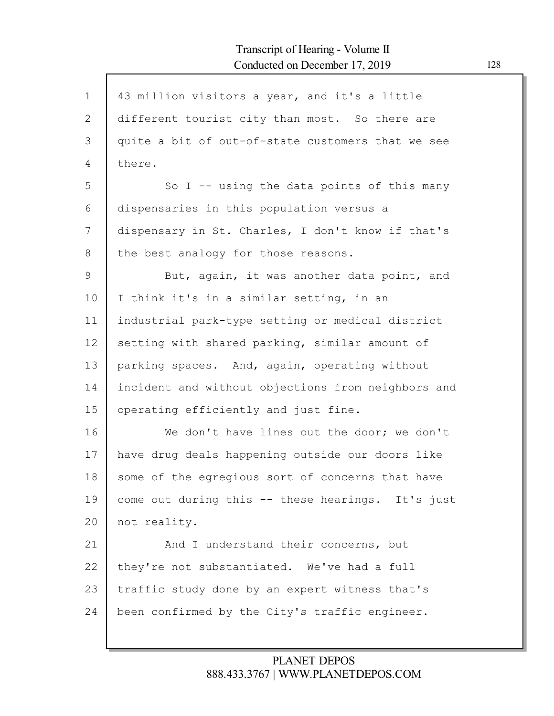| $\mathbf 1$ | 43 million visitors a year, and it's a little      |
|-------------|----------------------------------------------------|
| 2           | different tourist city than most. So there are     |
| 3           | quite a bit of out-of-state customers that we see  |
| 4           | there.                                             |
| 5           | So I -- using the data points of this many         |
| 6           | dispensaries in this population versus a           |
| 7           | dispensary in St. Charles, I don't know if that's  |
| 8           | the best analogy for those reasons.                |
| 9           | But, again, it was another data point, and         |
| 10          | I think it's in a similar setting, in an           |
| 11          | industrial park-type setting or medical district   |
| 12          | setting with shared parking, similar amount of     |
| 13          | parking spaces. And, again, operating without      |
| 14          | incident and without objections from neighbors and |
| 15          | operating efficiently and just fine.               |
| 16          | We don't have lines out the door; we don't         |
| 17          | have drug deals happening outside our doors like   |
| 18          | some of the egregious sort of concerns that have   |
| 19          | come out during this -- these hearings. It's just  |
| 20          | not reality.                                       |
| 21          | And I understand their concerns, but               |
| 22          | they're not substantiated. We've had a full        |
| 23          | traffic study done by an expert witness that's     |
| 24          | been confirmed by the City's traffic engineer.     |
|             |                                                    |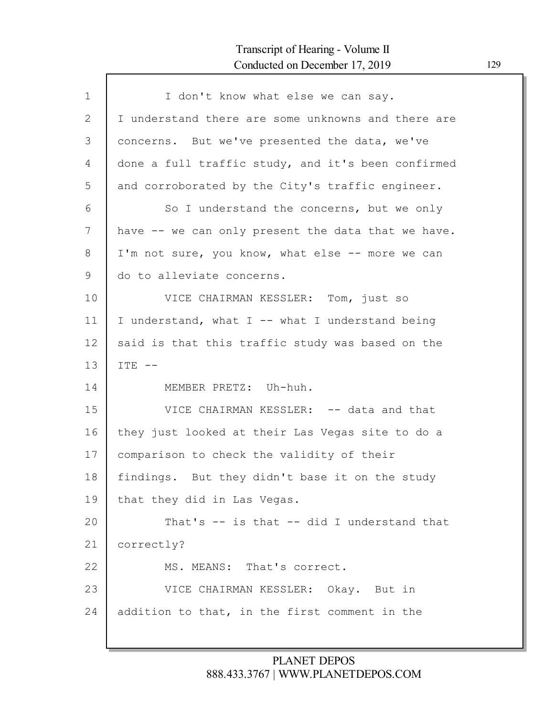Г

| $\mathbf 1$ | I don't know what else we can say.                 |
|-------------|----------------------------------------------------|
| 2           | I understand there are some unknowns and there are |
| 3           | concerns. But we've presented the data, we've      |
| 4           | done a full traffic study, and it's been confirmed |
| 5           | and corroborated by the City's traffic engineer.   |
| 6           | So I understand the concerns, but we only          |
| 7           | have -- we can only present the data that we have. |
| 8           | I'm not sure, you know, what else -- more we can   |
| 9           | do to alleviate concerns.                          |
| 10          | VICE CHAIRMAN KESSLER: Tom, just so                |
| 11          | I understand, what I -- what I understand being    |
| 12          | said is that this traffic study was based on the   |
| 13          | $ITE$ --                                           |
| 14          | MEMBER PRETZ: Uh-huh.                              |
| 15          | VICE CHAIRMAN KESSLER: -- data and that            |
| 16          | they just looked at their Las Vegas site to do a   |
| 17          | comparison to check the validity of their          |
| 18          | findings. But they didn't base it on the study     |
| 19          | that they did in Las Vegas.                        |
| 20          | That's -- is that -- did I understand that         |
| 21          | correctly?                                         |
| 22          | MS. MEANS: That's correct.                         |
| 23          | VICE CHAIRMAN KESSLER: Okay. But in                |
| 24          | addition to that, in the first comment in the      |
|             |                                                    |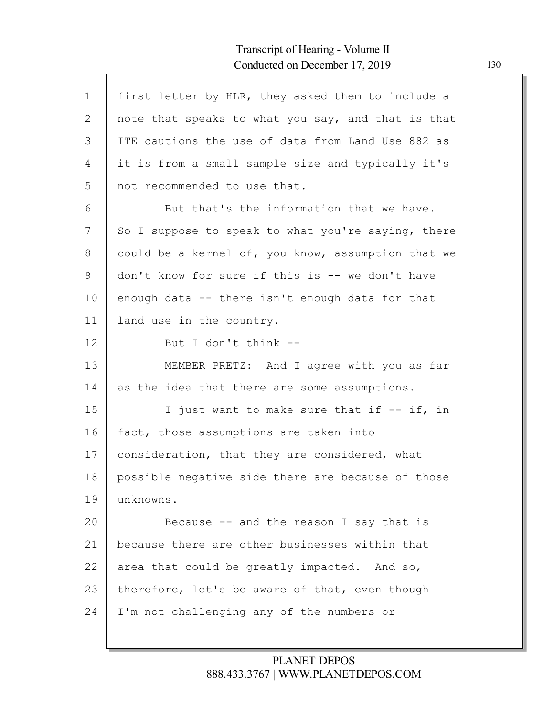| $\mathbf{1}$ | first letter by HLR, they asked them to include a  |
|--------------|----------------------------------------------------|
| $\mathbf{2}$ | note that speaks to what you say, and that is that |
| 3            | ITE cautions the use of data from Land Use 882 as  |
| 4            | it is from a small sample size and typically it's  |
| 5            | not recommended to use that.                       |
| 6            | But that's the information that we have.           |
| 7            | So I suppose to speak to what you're saying, there |
| 8            | could be a kernel of, you know, assumption that we |
| 9            | don't know for sure if this is -- we don't have    |
| 10           | enough data -- there isn't enough data for that    |
| 11           | land use in the country.                           |
| 12           | But I don't think --                               |
| 13           | MEMBER PRETZ: And I agree with you as far          |
| 14           | as the idea that there are some assumptions.       |
| 15           | I just want to make sure that if -- if, in         |
| 16           | fact, those assumptions are taken into             |
| 17           | consideration, that they are considered, what      |
| 18           | possible negative side there are because of those  |
| 19           | unknowns.                                          |
| 20           | Because $-$ and the reason I say that is           |
| 21           | because there are other businesses within that     |
| 22           | area that could be greatly impacted. And so,       |
| 23           | therefore, let's be aware of that, even though     |
| 24           | I'm not challenging any of the numbers or          |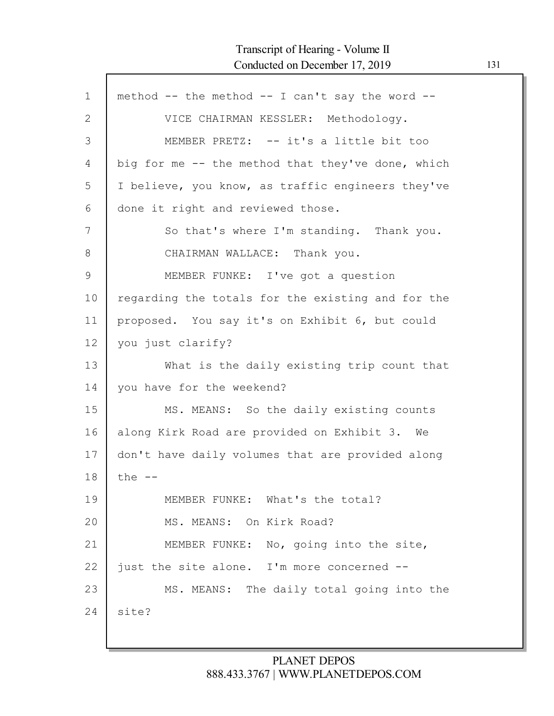Г

| $\mathbf 1$ | method -- the method -- I can't say the word --   |
|-------------|---------------------------------------------------|
| 2           | VICE CHAIRMAN KESSLER: Methodology.               |
| 3           | MEMBER PRETZ: -- it's a little bit too            |
| 4           | big for me -- the method that they've done, which |
| 5           | I believe, you know, as traffic engineers they've |
| 6           | done it right and reviewed those.                 |
| 7           | So that's where I'm standing. Thank you.          |
| 8           | CHAIRMAN WALLACE: Thank you.                      |
| 9           | MEMBER FUNKE: I've got a question                 |
| 10          | regarding the totals for the existing and for the |
| 11          | proposed. You say it's on Exhibit 6, but could    |
| 12          | you just clarify?                                 |
| 13          | What is the daily existing trip count that        |
| 14          | you have for the weekend?                         |
| 15          | MS. MEANS: So the daily existing counts           |
| 16          | along Kirk Road are provided on Exhibit 3. We     |
| 17          | don't have daily volumes that are provided along  |
| 18          | the $--$                                          |
| 19          | MEMBER FUNKE: What's the total?                   |
| 20          | MS. MEANS: On Kirk Road?                          |
| 21          | MEMBER FUNKE: No, going into the site,            |
| 22          | just the site alone. I'm more concerned --        |
| 23          | MS. MEANS: The daily total going into the         |
| 24          | site?                                             |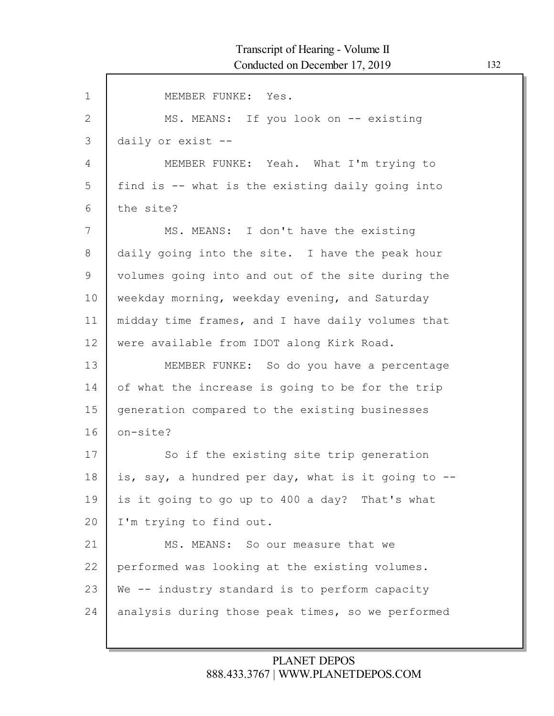| $\mathbf 1$   | MEMBER FUNKE: Yes.                                 |
|---------------|----------------------------------------------------|
| 2             | MS. MEANS: If you look on -- existing              |
| 3             | daily or exist --                                  |
| 4             | MEMBER FUNKE: Yeah. What I'm trying to             |
| 5             | find is -- what is the existing daily going into   |
| 6             | the site?                                          |
| 7             | MS. MEANS: I don't have the existing               |
| 8             | daily going into the site. I have the peak hour    |
| $\mathcal{G}$ | volumes going into and out of the site during the  |
| 10            | weekday morning, weekday evening, and Saturday     |
| 11            | midday time frames, and I have daily volumes that  |
| 12            | were available from IDOT along Kirk Road.          |
| 13            | MEMBER FUNKE: So do you have a percentage          |
| 14            | of what the increase is going to be for the trip   |
| 15            | generation compared to the existing businesses     |
| 16            | on-site?                                           |
| 17            | So if the existing site trip generation            |
| 18            | is, say, a hundred per day, what is it going to -- |
| 19            | is it going to go up to 400 a day? That's what     |
| 20            | I'm trying to find out.                            |
| 21            | MS. MEANS: So our measure that we                  |
| 22            | performed was looking at the existing volumes.     |
| 23            | We -- industry standard is to perform capacity     |
| 24            | analysis during those peak times, so we performed  |
|               |                                                    |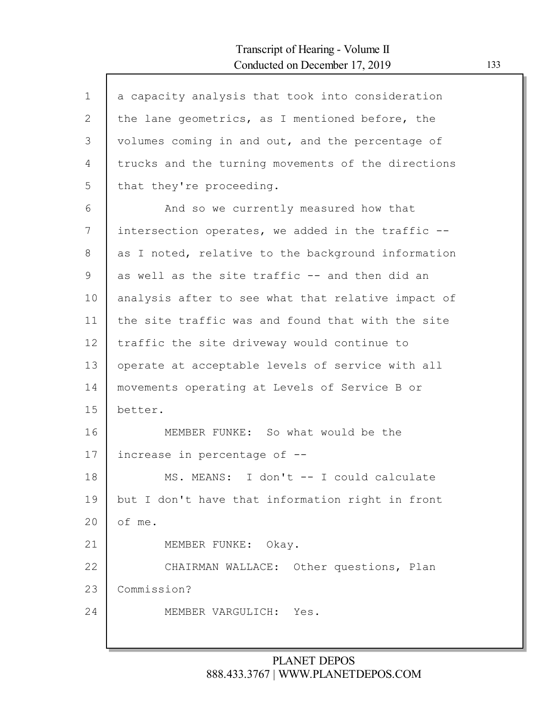| $\mathbf{1}$   | a capacity analysis that took into consideration   |
|----------------|----------------------------------------------------|
| $\mathbf{2}$   | the lane geometrics, as I mentioned before, the    |
| 3              | volumes coming in and out, and the percentage of   |
| $\overline{4}$ | trucks and the turning movements of the directions |
| 5              | that they're proceeding.                           |
| 6              | And so we currently measured how that              |
| 7              | intersection operates, we added in the traffic --  |
| 8              | as I noted, relative to the background information |
| 9              | as well as the site traffic -- and then did an     |
| 10             | analysis after to see what that relative impact of |
| 11             | the site traffic was and found that with the site  |
| 12             | traffic the site driveway would continue to        |
| 13             | operate at acceptable levels of service with all   |
| 14             | movements operating at Levels of Service B or      |
| 15             | better.                                            |
| 16             | MEMBER FUNKE: So what would be the                 |
| 17             | increase in percentage of --                       |
| 18             | MS. MEANS: I don't -- I could calculate            |
| 19             | but I don't have that information right in front   |
| 20             | of me.                                             |
| 21             | MEMBER FUNKE: Okay.                                |
| 22             | CHAIRMAN WALLACE: Other questions, Plan            |
| 23             | Commission?                                        |
| 24             | MEMBER VARGULICH: Yes.                             |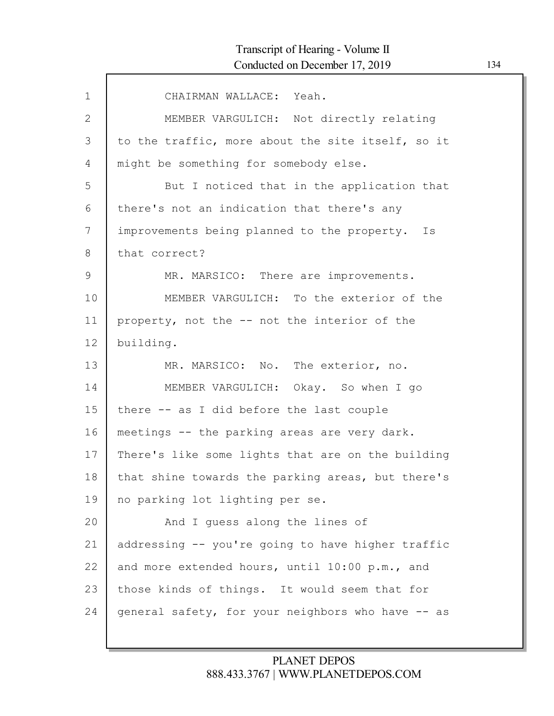| $\mathbf 1$  | CHAIRMAN WALLACE: Yeah.                           |
|--------------|---------------------------------------------------|
| $\mathbf{2}$ | MEMBER VARGULICH: Not directly relating           |
| 3            | to the traffic, more about the site itself, so it |
| 4            | might be something for somebody else.             |
| 5            | But I noticed that in the application that        |
| 6            | there's not an indication that there's any        |
| 7            | improvements being planned to the property. Is    |
| 8            | that correct?                                     |
| $\mathsf 9$  | MR. MARSICO: There are improvements.              |
| 10           | MEMBER VARGULICH: To the exterior of the          |
| 11           | property, not the -- not the interior of the      |
| 12           | building.                                         |
| 13           | MR. MARSICO: No. The exterior, no.                |
| 14           | MEMBER VARGULICH: Okay. So when I go              |
| 15           | there -- as I did before the last couple          |
| 16           | meetings -- the parking areas are very dark.      |
| 17           | There's like some lights that are on the building |
| 18           | that shine towards the parking areas, but there's |
| 19           | no parking lot lighting per se.                   |
| 20           | And I quess along the lines of                    |
| 21           | addressing -- you're going to have higher traffic |
| 22           | and more extended hours, until 10:00 p.m., and    |
| 23           | those kinds of things. It would seem that for     |
| 24           | general safety, for your neighbors who have -- as |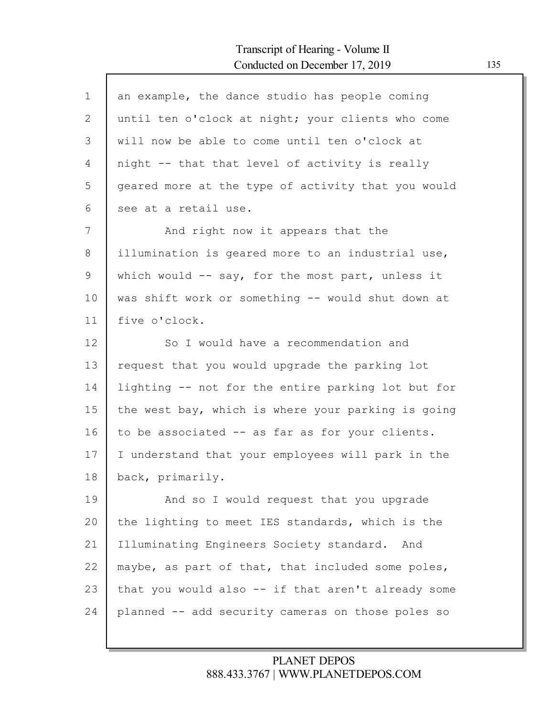| $\mathbf 1$ | an example, the dance studio has people coming     |
|-------------|----------------------------------------------------|
| 2           | until ten o'clock at night; your clients who come  |
| 3           | will now be able to come until ten o'clock at      |
| 4           | night -- that that level of activity is really     |
| 5           | geared more at the type of activity that you would |
| 6           | see at a retail use.                               |
| 7           | And right now it appears that the                  |
| 8           | illumination is geared more to an industrial use,  |
| 9           | which would $--$ say, for the most part, unless it |
| 10          | was shift work or something -- would shut down at  |
| 11          | five o'clock.                                      |
| 12          | So I would have a recommendation and               |
| 13          | request that you would upgrade the parking lot     |
| 14          | lighting -- not for the entire parking lot but for |
| 15          | the west bay, which is where your parking is going |
| 16          | to be associated -- as far as for your clients.    |
| 17          | I understand that your employees will park in the  |
| 18          | back, primarily.                                   |
| 19          | And so I would request that you upgrade            |
| 20          | the lighting to meet IES standards, which is the   |
| 21          | Illuminating Engineers Society standard. And       |
| 22          | maybe, as part of that, that included some poles,  |
| 23          | that you would also -- if that aren't already some |
| 24          | planned -- add security cameras on those poles so  |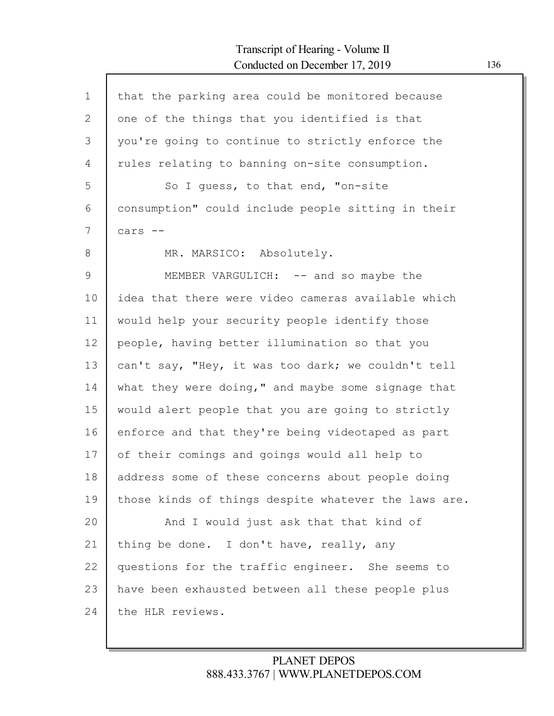$\mathsf{l}$ 

| $\mathbf 1$  | that the parking area could be monitored because     |
|--------------|------------------------------------------------------|
| $\mathbf{2}$ | one of the things that you identified is that        |
| 3            | you're going to continue to strictly enforce the     |
| 4            | rules relating to banning on-site consumption.       |
| 5            | So I quess, to that end, "on-site                    |
| 6            | consumption" could include people sitting in their   |
| 7            | cars --                                              |
| 8            | MR. MARSICO: Absolutely.                             |
| 9            | MEMBER VARGULICH: -- and so maybe the                |
| 10           | idea that there were video cameras available which   |
| 11           | would help your security people identify those       |
| 12           | people, having better illumination so that you       |
| 13           | can't say, "Hey, it was too dark; we couldn't tell   |
| 14           | what they were doing," and maybe some signage that   |
| 15           | would alert people that you are going to strictly    |
| 16           | enforce and that they're being videotaped as part    |
| 17           | of their comings and goings would all help to        |
| 18           | address some of these concerns about people doing    |
| 19           | those kinds of things despite whatever the laws are. |
| 20           | And I would just ask that that kind of               |
| 21           | thing be done. I don't have, really, any             |
| 22           | questions for the traffic engineer. She seems to     |
| 23           | have been exhausted between all these people plus    |
| 24           | the HLR reviews.                                     |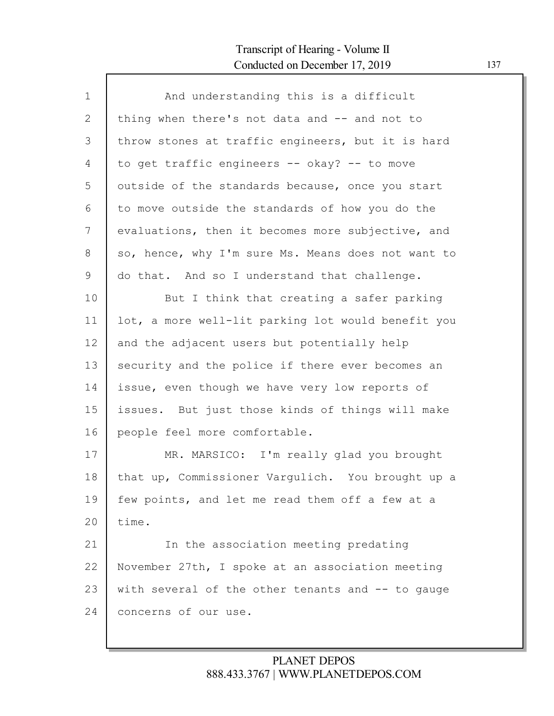| $\mathbf{1}$ | And understanding this is a difficult              |
|--------------|----------------------------------------------------|
| 2            | thing when there's not data and -- and not to      |
| 3            | throw stones at traffic engineers, but it is hard  |
| 4            | to get traffic engineers -- okay? -- to move       |
| 5            | outside of the standards because, once you start   |
| 6            | to move outside the standards of how you do the    |
| 7            | evaluations, then it becomes more subjective, and  |
| 8            | so, hence, why I'm sure Ms. Means does not want to |
| 9            | do that. And so I understand that challenge.       |
| 10           | But I think that creating a safer parking          |
| 11           | lot, a more well-lit parking lot would benefit you |
| 12           | and the adjacent users but potentially help        |
| 13           | security and the police if there ever becomes an   |
| 14           | issue, even though we have very low reports of     |
| 15           | issues. But just those kinds of things will make   |
| 16           | people feel more comfortable.                      |
| 17           | MR. MARSICO: I'm really glad you brought           |
| 18           | that up, Commissioner Vargulich. You brought up a  |
| 19           | few points, and let me read them off a few at a    |
| 20           | time.                                              |
| 21           | In the association meeting predating               |
| 22           | November 27th, I spoke at an association meeting   |
| 23           | with several of the other tenants and -- to gauge  |
| 24           | concerns of our use.                               |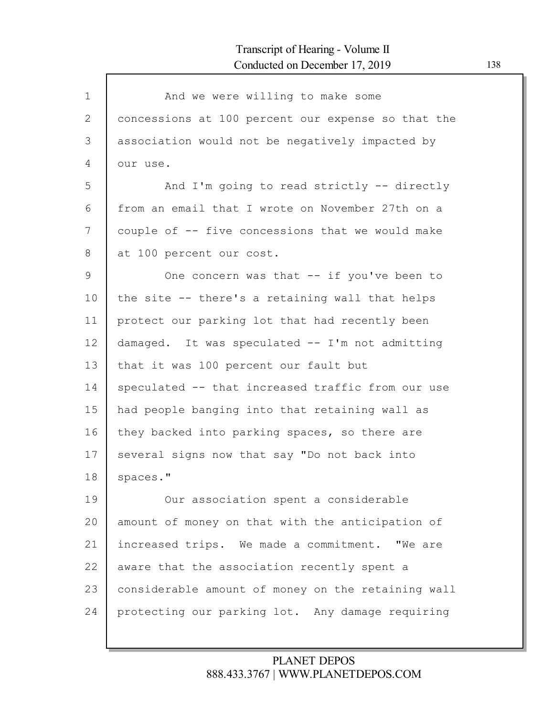| $\mathbf{1}$ | And we were willing to make some                   |
|--------------|----------------------------------------------------|
| 2            | concessions at 100 percent our expense so that the |
| 3            | association would not be negatively impacted by    |
| 4            | our use.                                           |
| 5            | And I'm going to read strictly -- directly         |
| 6            | from an email that I wrote on November 27th on a   |
| 7            | couple of -- five concessions that we would make   |
| 8            | at 100 percent our cost.                           |
| 9            | One concern was that -- if you've been to          |
| 10           | the site -- there's a retaining wall that helps    |
| 11           | protect our parking lot that had recently been     |
| 12           | damaged. It was speculated -- I'm not admitting    |
| 13           | that it was 100 percent our fault but              |
| 14           | speculated -- that increased traffic from our use  |
| 15           | had people banging into that retaining wall as     |
| 16           | they backed into parking spaces, so there are      |
| 17           | several signs now that say "Do not back into       |
| 18           | spaces."                                           |
| 19           | Our association spent a considerable               |
| 20           | amount of money on that with the anticipation of   |
| 21           | increased trips. We made a commitment. "We are     |
| 22           | aware that the association recently spent a        |
| 23           | considerable amount of money on the retaining wall |
| 24           | protecting our parking lot. Any damage requiring   |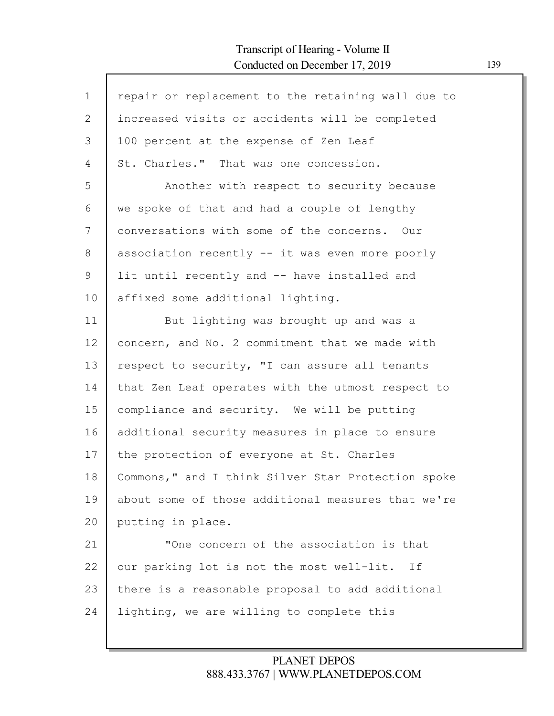Г

| $\mathbf 1$ | repair or replacement to the retaining wall due to |
|-------------|----------------------------------------------------|
| 2           | increased visits or accidents will be completed    |
| 3           | 100 percent at the expense of Zen Leaf             |
| 4           | St. Charles." That was one concession.             |
| 5           | Another with respect to security because           |
| 6           | we spoke of that and had a couple of lengthy       |
| 7           | conversations with some of the concerns. Our       |
| 8           | association recently -- it was even more poorly    |
| 9           | lit until recently and -- have installed and       |
| 10          | affixed some additional lighting.                  |
| 11          | But lighting was brought up and was a              |
| 12          | concern, and No. 2 commitment that we made with    |
| 13          | respect to security, "I can assure all tenants     |
| 14          | that Zen Leaf operates with the utmost respect to  |
| 15          | compliance and security. We will be putting        |
| 16          | additional security measures in place to ensure    |
| 17          | the protection of everyone at St. Charles          |
| 18          | Commons," and I think Silver Star Protection spoke |
| 19          | about some of those additional measures that we're |
| 20          | putting in place.                                  |
| 21          | "One concern of the association is that            |
| 22          | our parking lot is not the most well-lit.<br>Ιf    |
| 23          | there is a reasonable proposal to add additional   |
| 24          | lighting, we are willing to complete this          |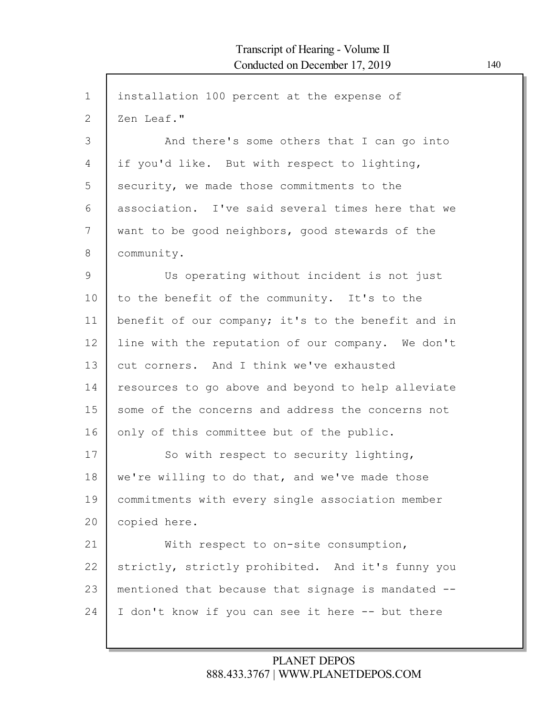| installation 100 percent at the expense of         |
|----------------------------------------------------|
| Zen Leaf."                                         |
| And there's some others that I can go into         |
| if you'd like. But with respect to lighting,       |
| security, we made those commitments to the         |
| association. I've said several times here that we  |
| want to be good neighbors, good stewards of the    |
| community.                                         |
| Us operating without incident is not just          |
| to the benefit of the community. It's to the       |
| benefit of our company; it's to the benefit and in |
| line with the reputation of our company. We don't  |
| cut corners. And I think we've exhausted           |
| resources to go above and beyond to help alleviate |
| some of the concerns and address the concerns not  |
| only of this committee but of the public.          |
| So with respect to security lighting,              |
| we're willing to do that, and we've made those     |
| commitments with every single association member   |
| copied here.                                       |
| With respect to on-site consumption,               |
| strictly, strictly prohibited. And it's funny you  |
| mentioned that because that signage is mandated -- |
| I don't know if you can see it here -- but there   |
|                                                    |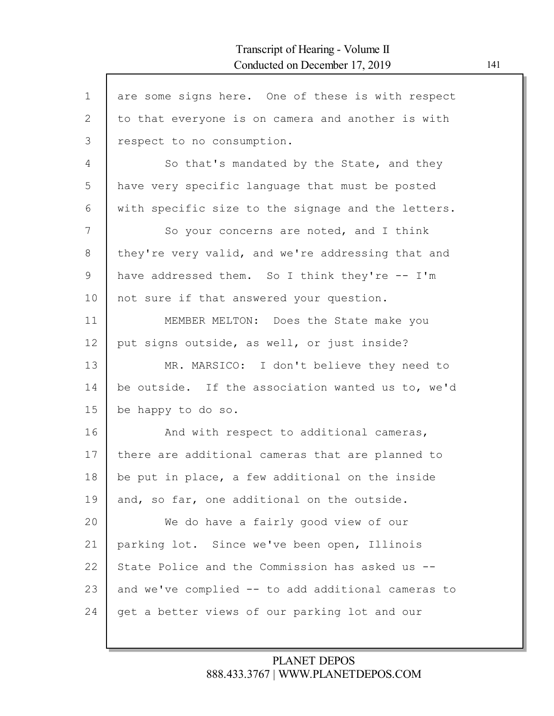$\mathsf{l}$ 

| $\mathbf{1}$ | are some signs here. One of these is with respect  |
|--------------|----------------------------------------------------|
| 2            | to that everyone is on camera and another is with  |
| 3            | respect to no consumption.                         |
| 4            | So that's mandated by the State, and they          |
| 5            | have very specific language that must be posted    |
| 6            | with specific size to the signage and the letters. |
| 7            | So your concerns are noted, and I think            |
| 8            | they're very valid, and we're addressing that and  |
| 9            | have addressed them. So I think they're -- I'm     |
| 10           | not sure if that answered your question.           |
| 11           | MEMBER MELTON: Does the State make you             |
| 12           | put signs outside, as well, or just inside?        |
| 13           | MR. MARSICO: I don't believe they need to          |
| 14           | be outside. If the association wanted us to, we'd  |
| 15           | be happy to do so.                                 |
| 16           | And with respect to additional cameras,            |
| 17           | there are additional cameras that are planned to   |
| 18           | be put in place, a few additional on the inside    |
| 19           | and, so far, one additional on the outside.        |
| 20           | We do have a fairly good view of our               |
| 21           | parking lot. Since we've been open, Illinois       |
| 22           | State Police and the Commission has asked us --    |
| 23           | and we've complied -- to add additional cameras to |
| 24           | get a better views of our parking lot and our      |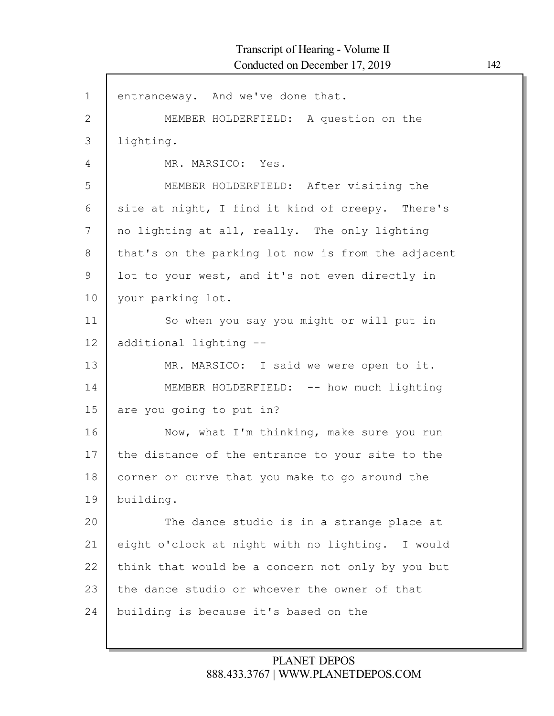| $\mathbf 1$  | entranceway. And we've done that.                  |
|--------------|----------------------------------------------------|
| $\mathbf{2}$ | MEMBER HOLDERFIELD: A question on the              |
| 3            | lighting.                                          |
| 4            | MR. MARSICO: Yes.                                  |
| 5            | MEMBER HOLDERFIELD: After visiting the             |
| 6            | site at night, I find it kind of creepy. There's   |
| 7            | no lighting at all, really. The only lighting      |
| 8            | that's on the parking lot now is from the adjacent |
| 9            | lot to your west, and it's not even directly in    |
| 10           | your parking lot.                                  |
| 11           | So when you say you might or will put in           |
| 12           | additional lighting --                             |
| 13           | MR. MARSICO: I said we were open to it.            |
| 14           | MEMBER HOLDERFIELD: -- how much lighting           |
| 15           | are you going to put in?                           |
| 16           | Now, what I'm thinking, make sure you run          |
| 17           | the distance of the entrance to your site to the   |
| 18           | corner or curve that you make to go around the     |
| 19           | building.                                          |
| 20           | The dance studio is in a strange place at          |
| 21           | eight o'clock at night with no lighting. I would   |
| 22           | think that would be a concern not only by you but  |
| 23           | the dance studio or whoever the owner of that      |
| 24           | building is because it's based on the              |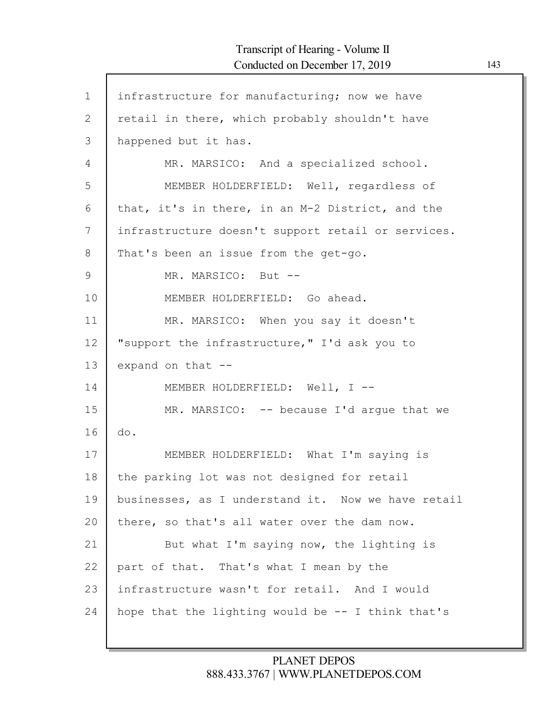$\mathsf{l}$ 

| $\mathbf 1$ | infrastructure for manufacturing; now we have        |
|-------------|------------------------------------------------------|
| 2           | retail in there, which probably shouldn't have       |
| 3           | happened but it has.                                 |
| 4           | MR. MARSICO: And a specialized school.               |
| 5           | MEMBER HOLDERFIELD: Well, regardless of              |
| 6           | that, it's in there, in an M-2 District, and the     |
| 7           | infrastructure doesn't support retail or services.   |
| 8           | That's been an issue from the get-go.                |
| $\mathsf 9$ | MR. MARSICO: But --                                  |
| 10          | MEMBER HOLDERFIELD: Go ahead.                        |
| 11          | MR. MARSICO: When you say it doesn't                 |
| 12          | "support the infrastructure," I'd ask you to         |
| 13          | expand on that --                                    |
| 14          | MEMBER HOLDERFIELD: Well, I --                       |
| 15          | MR. MARSICO: $-$ - because I'd arque that we         |
| 16          | do.                                                  |
| 17          | MEMBER HOLDERFIELD: What I'm saying is               |
| 18          | the parking lot was not designed for retail          |
| 19          | businesses, as I understand it. Now we have retail   |
| 20          | there, so that's all water over the dam now.         |
| 21          | But what I'm saying now, the lighting is             |
| 22          | part of that. That's what I mean by the              |
| 23          | infrastructure wasn't for retail. And I would        |
| 24          | hope that the lighting would be $-$ - I think that's |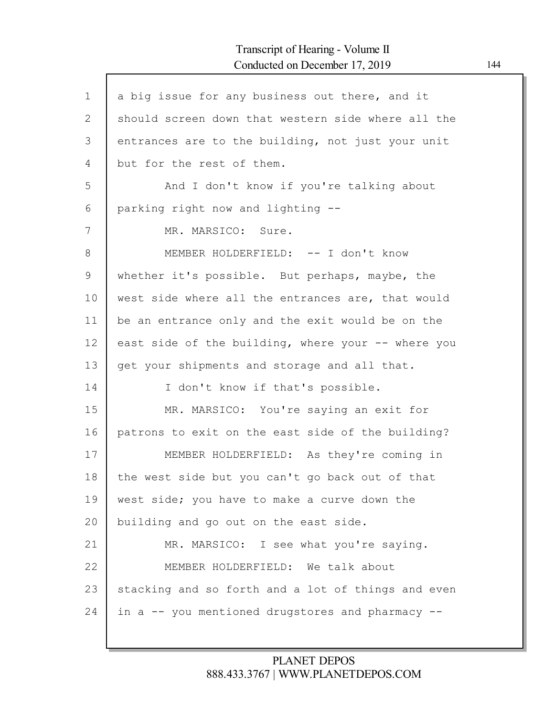| $\mathbf 1$ | a big issue for any business out there, and it     |
|-------------|----------------------------------------------------|
| 2           | should screen down that western side where all the |
| 3           | entrances are to the building, not just your unit  |
| 4           | but for the rest of them.                          |
| 5           | And I don't know if you're talking about           |
| 6           | parking right now and lighting --                  |
| 7           | MR. MARSICO: Sure.                                 |
| 8           | MEMBER HOLDERFIELD: -- I don't know                |
| 9           | whether it's possible. But perhaps, maybe, the     |
| 10          | west side where all the entrances are, that would  |
| 11          | be an entrance only and the exit would be on the   |
| 12          | east side of the building, where your -- where you |
| 13          | get your shipments and storage and all that.       |
| 14          | I don't know if that's possible.                   |
| 15          | MR. MARSICO: You're saying an exit for             |
| 16          | patrons to exit on the east side of the building?  |
| 17          | MEMBER HOLDERFIELD: As they're coming in           |
| 18          | the west side but you can't go back out of that    |
| 19          | west side; you have to make a curve down the       |
| 20          | building and go out on the east side.              |
| 21          | MR. MARSICO: I see what you're saying.             |
| 22          | MEMBER HOLDERFIELD: We talk about                  |
| 23          | stacking and so forth and a lot of things and even |
| 24          | in a -- you mentioned drugstores and pharmacy --   |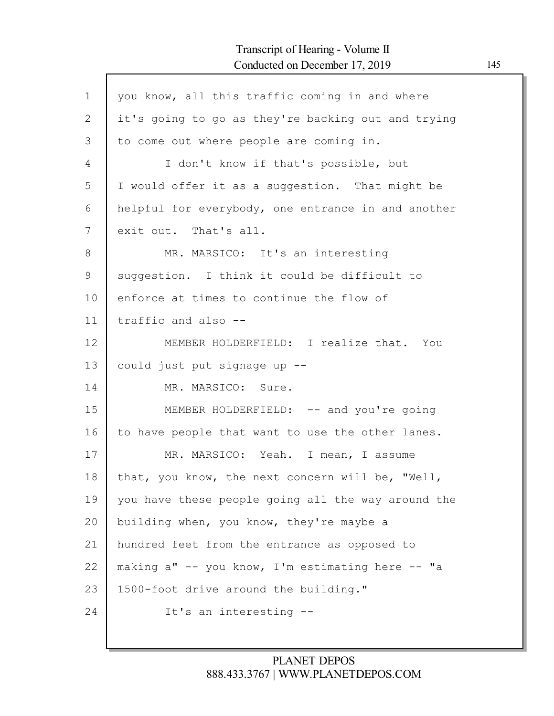| $\mathbf{1}$ | you know, all this traffic coming in and where     |
|--------------|----------------------------------------------------|
| $\mathbf{2}$ | it's going to go as they're backing out and trying |
| 3            | to come out where people are coming in.            |
| 4            | I don't know if that's possible, but               |
| 5            | I would offer it as a suggestion. That might be    |
| 6            | helpful for everybody, one entrance in and another |
| 7            | exit out. That's all.                              |
| 8            | MR. MARSICO: It's an interesting                   |
| 9            | suggestion. I think it could be difficult to       |
| 10           | enforce at times to continue the flow of           |
| 11           | traffic and also --                                |
| 12           | MEMBER HOLDERFIELD: I realize that. You            |
| 13           | could just put signage up --                       |
| 14           | MR. MARSICO: Sure.                                 |
| 15           | MEMBER HOLDERFIELD: -- and you're going            |
| 16           | to have people that want to use the other lanes.   |
| 17           | MR. MARSICO: Yeah. I mean, I assume                |
| 18           | that, you know, the next concern will be, "Well,   |
| 19           | you have these people going all the way around the |
| 20           | building when, you know, they're maybe a           |
| 21           | hundred feet from the entrance as opposed to       |
| 22           | making a" -- you know, I'm estimating here -- "a   |
| 23           | 1500-foot drive around the building."              |
| 24           | It's an interesting --                             |
|              |                                                    |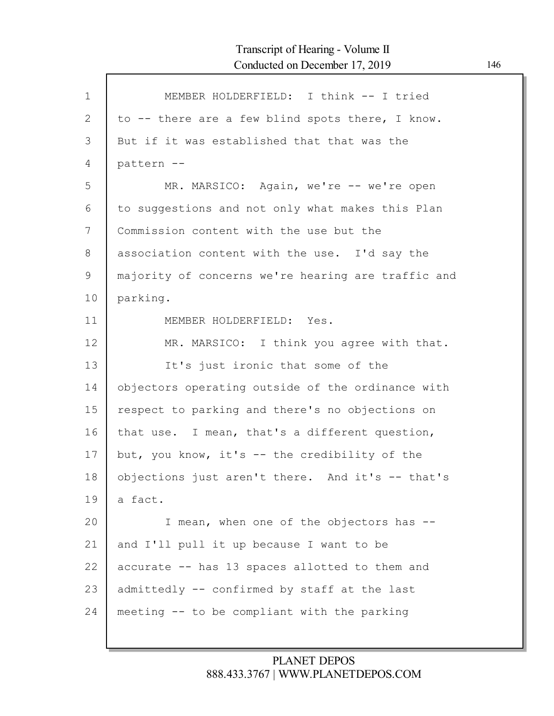| $\mathbf{1}$ | MEMBER HOLDERFIELD: I think -- I tried             |
|--------------|----------------------------------------------------|
| $\mathbf{2}$ | to -- there are a few blind spots there, I know.   |
| 3            | But if it was established that that was the        |
| 4            | pattern --                                         |
| 5            | MR. MARSICO: Again, we're -- we're open            |
| 6            | to suggestions and not only what makes this Plan   |
| 7            | Commission content with the use but the            |
| 8            | association content with the use. I'd say the      |
| 9            | majority of concerns we're hearing are traffic and |
| 10           | parking.                                           |
| 11           | MEMBER HOLDERFIELD: Yes.                           |
| 12           | MR. MARSICO: I think you agree with that.          |
| 13           | It's just ironic that some of the                  |
| 14           | objectors operating outside of the ordinance with  |
| 15           | respect to parking and there's no objections on    |
| 16           | that use. I mean, that's a different question,     |
| 17           | but, you know, it's -- the credibility of the      |
| 18           | objections just aren't there. And it's -- that's   |
| 19           | a fact.                                            |
| 20           | I mean, when one of the objectors has --           |
| 21           | and I'll pull it up because I want to be           |
| 22           | accurate -- has 13 spaces allotted to them and     |
| 23           | admittedly -- confirmed by staff at the last       |
| 24           | meeting -- to be compliant with the parking        |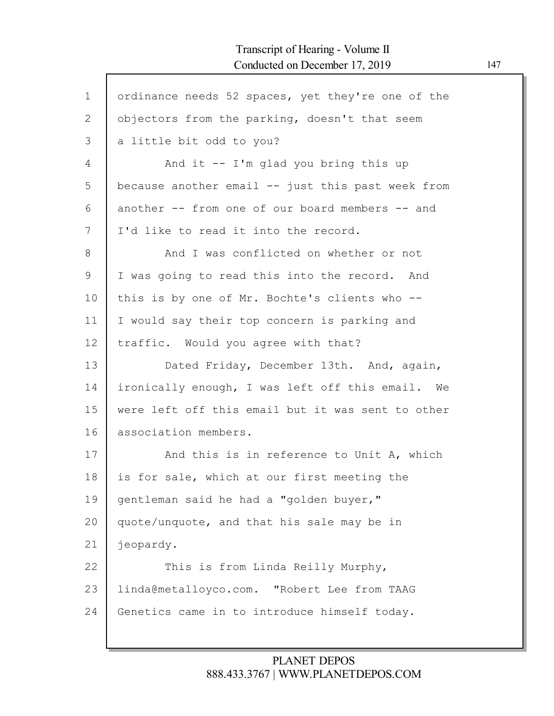| $\mathbf{1}$   | ordinance needs 52 spaces, yet they're one of the |
|----------------|---------------------------------------------------|
| $\overline{2}$ | objectors from the parking, doesn't that seem     |
| 3              | a little bit odd to you?                          |
| 4              | And it $-$ I'm glad you bring this up             |
| 5              | because another email -- just this past week from |
| 6              | another -- from one of our board members -- and   |
| 7              | I'd like to read it into the record.              |
| 8              | And I was conflicted on whether or not            |
| 9              | I was going to read this into the record. And     |
| 10             | this is by one of Mr. Bochte's clients who --     |
| 11             | I would say their top concern is parking and      |
| 12             | traffic. Would you agree with that?               |
| 13             | Dated Friday, December 13th. And, again,          |
| 14             | ironically enough, I was left off this email. We  |
| 15             | were left off this email but it was sent to other |
| 16             | association members.                              |
| 17             | And this is in reference to Unit A, which         |
| 18             | is for sale, which at our first meeting the       |
| 19             | gentleman said he had a "golden buyer,"           |
| 20             | quote/unquote, and that his sale may be in        |
| 21             | jeopardy.                                         |
| 22             | This is from Linda Reilly Murphy,                 |
| 23             | linda@metalloyco.com. "Robert Lee from TAAG       |
| 24             | Genetics came in to introduce himself today.      |
|                |                                                   |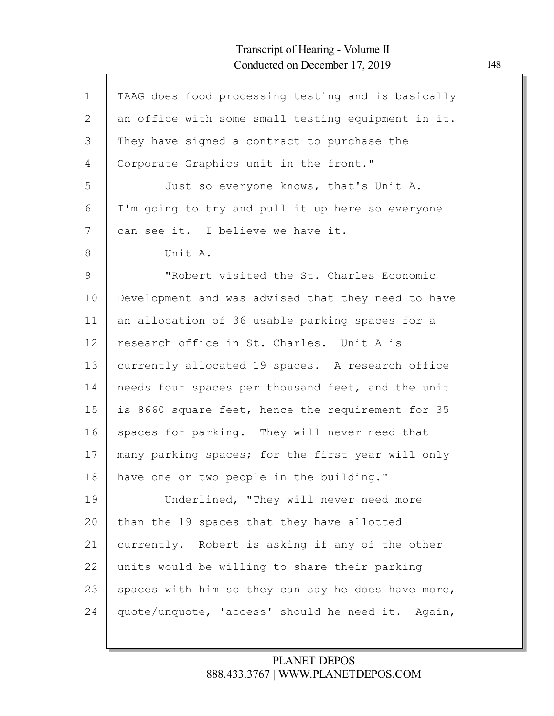| $\mathbf 1$  | TAAG does food processing testing and is basically |
|--------------|----------------------------------------------------|
| $\mathbf{2}$ | an office with some small testing equipment in it. |
| 3            | They have signed a contract to purchase the        |
| 4            | Corporate Graphics unit in the front."             |
| 5            | Just so everyone knows, that's Unit A.             |
| 6            | I'm going to try and pull it up here so everyone   |
| 7            | can see it. I believe we have it.                  |
| 8            | Unit A.                                            |
| 9            | "Robert visited the St. Charles Economic           |
| 10           | Development and was advised that they need to have |
| 11           | an allocation of 36 usable parking spaces for a    |
| 12           | research office in St. Charles. Unit A is          |
| 13           | currently allocated 19 spaces. A research office   |
| 14           | needs four spaces per thousand feet, and the unit  |
| 15           | is 8660 square feet, hence the requirement for 35  |
| 16           | spaces for parking. They will never need that      |
| 17           | many parking spaces; for the first year will only  |
| 18           | have one or two people in the building."           |
| 19           | Underlined, "They will never need more             |
| 20           | than the 19 spaces that they have allotted         |
| 21           | currently. Robert is asking if any of the other    |
| 22           | units would be willing to share their parking      |
| 23           | spaces with him so they can say he does have more, |
| 24           | quote/unquote, 'access' should he need it. Again,  |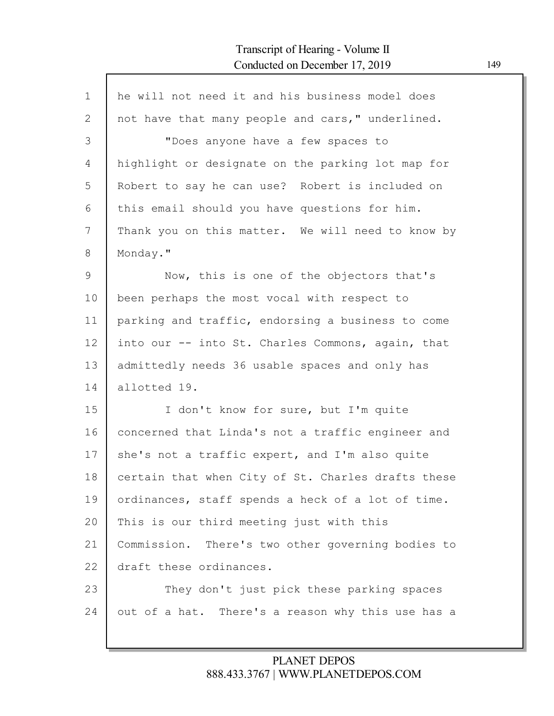| $\mathbf 1$ | he will not need it and his business model does    |
|-------------|----------------------------------------------------|
| 2           | not have that many people and cars," underlined.   |
| 3           | "Does anyone have a few spaces to                  |
| 4           | highlight or designate on the parking lot map for  |
| 5           | Robert to say he can use? Robert is included on    |
| 6           | this email should you have questions for him.      |
| 7           | Thank you on this matter. We will need to know by  |
| 8           | Monday."                                           |
| 9           | Now, this is one of the objectors that's           |
| 10          | been perhaps the most vocal with respect to        |
| 11          | parking and traffic, endorsing a business to come  |
| 12          | into our -- into St. Charles Commons, again, that  |
| 13          | admittedly needs 36 usable spaces and only has     |
| 14          | allotted 19.                                       |
| 15          | I don't know for sure, but I'm quite               |
| 16          | concerned that Linda's not a traffic engineer and  |
| 17          | she's not a traffic expert, and I'm also quite     |
| 18          | certain that when City of St. Charles drafts these |
| 19          | ordinances, staff spends a heck of a lot of time.  |
| 20          | This is our third meeting just with this           |
| 21          | Commission. There's two other governing bodies to  |
| 22          | draft these ordinances.                            |
| 23          | They don't just pick these parking spaces          |
| 24          | out of a hat. There's a reason why this use has a  |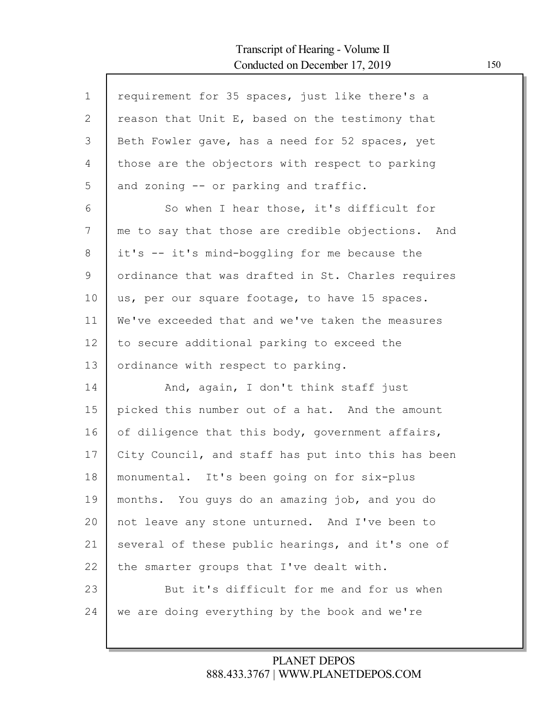Г

| $\mathbf 1$  | requirement for 35 spaces, just like there's a     |
|--------------|----------------------------------------------------|
| $\mathbf{2}$ | reason that Unit E, based on the testimony that    |
| 3            | Beth Fowler gave, has a need for 52 spaces, yet    |
| 4            | those are the objectors with respect to parking    |
| 5            | and zoning -- or parking and traffic.              |
| 6            | So when I hear those, it's difficult for           |
| 7            | me to say that those are credible objections. And  |
| 8            | it's -- it's mind-boggling for me because the      |
| 9            | ordinance that was drafted in St. Charles requires |
| 10           | us, per our square footage, to have 15 spaces.     |
| 11           | We've exceeded that and we've taken the measures   |
| 12           | to secure additional parking to exceed the         |
| 13           | ordinance with respect to parking.                 |
| 14           | And, again, I don't think staff just               |
| 15           | picked this number out of a hat. And the amount    |
| 16           | of diligence that this body, government affairs,   |
| 17           | City Council, and staff has put into this has been |
| 18           | monumental. It's been going on for six-plus        |
| 19           | months. You guys do an amazing job, and you do     |
| 20           | not leave any stone unturned. And I've been to     |
| 21           | several of these public hearings, and it's one of  |
| 22           | the smarter groups that I've dealt with.           |
| 23           | But it's difficult for me and for us when          |
| 24           | we are doing everything by the book and we're      |
|              |                                                    |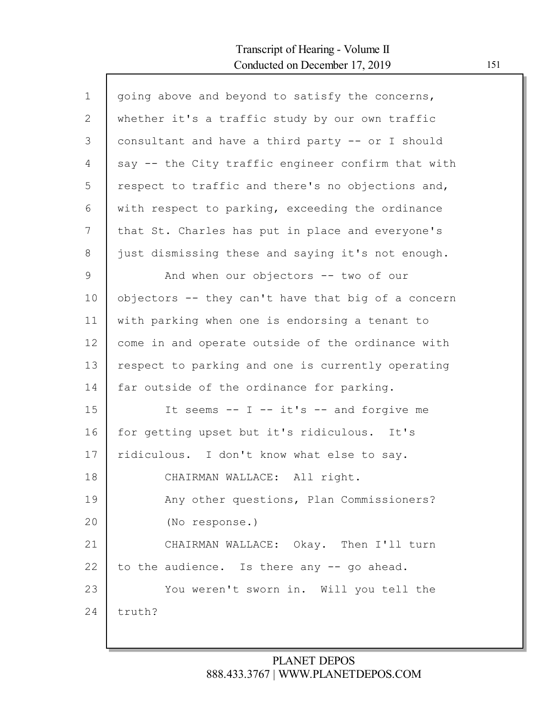| $\mathbf 1$  | going above and beyond to satisfy the concerns,    |
|--------------|----------------------------------------------------|
| $\mathbf{2}$ | whether it's a traffic study by our own traffic    |
| 3            | consultant and have a third party -- or I should   |
| 4            | say -- the City traffic engineer confirm that with |
| 5            | respect to traffic and there's no objections and,  |
| 6            | with respect to parking, exceeding the ordinance   |
| 7            | that St. Charles has put in place and everyone's   |
| 8            | just dismissing these and saying it's not enough.  |
| 9            | And when our objectors -- two of our               |
| 10           | objectors -- they can't have that big of a concern |
| 11           | with parking when one is endorsing a tenant to     |
| 12           | come in and operate outside of the ordinance with  |
| 13           | respect to parking and one is currently operating  |
| 14           | far outside of the ordinance for parking.          |
| 15           | It seems $--$ I $--$ it's $--$ and forgive me      |
| 16           | for getting upset but it's ridiculous. It's        |
| 17           | ridiculous. I don't know what else to say.         |
| 18           | CHAIRMAN WALLACE: All right.                       |
| 19           | Any other questions, Plan Commissioners?           |
| 20           | (No response.)                                     |
| 21           | CHAIRMAN WALLACE: Okay. Then I'll turn             |
| 22           | to the audience. Is there any -- go ahead.         |
| 23           | You weren't sworn in. Will you tell the            |
| 24           | truth?                                             |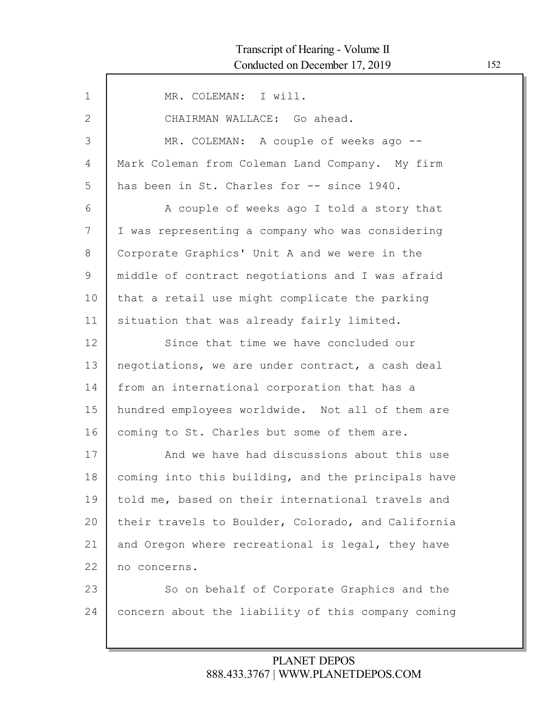| $\mathbf 1$  | MR. COLEMAN: I will.                               |
|--------------|----------------------------------------------------|
| $\mathbf{2}$ | CHAIRMAN WALLACE: Go ahead.                        |
| 3            | MR. COLEMAN: A couple of weeks ago --              |
| 4            | Mark Coleman from Coleman Land Company. My firm    |
| 5            | has been in St. Charles for -- since 1940.         |
| 6            | A couple of weeks ago I told a story that          |
| 7            | I was representing a company who was considering   |
| 8            | Corporate Graphics' Unit A and we were in the      |
| 9            | middle of contract negotiations and I was afraid   |
| 10           | that a retail use might complicate the parking     |
| 11           | situation that was already fairly limited.         |
| 12           | Since that time we have concluded our              |
| 13           | negotiations, we are under contract, a cash deal   |
| 14           | from an international corporation that has a       |
| 15           | hundred employees worldwide. Not all of them are   |
| 16           | coming to St. Charles but some of them are.        |
| 17           | And we have had discussions about this use         |
| 18           | coming into this building, and the principals have |
| 19           | told me, based on their international travels and  |
| 20           | their travels to Boulder, Colorado, and California |
| 21           | and Oregon where recreational is legal, they have  |
| 22           | no concerns.                                       |
| 23           | So on behalf of Corporate Graphics and the         |
| 24           | concern about the liability of this company coming |
|              |                                                    |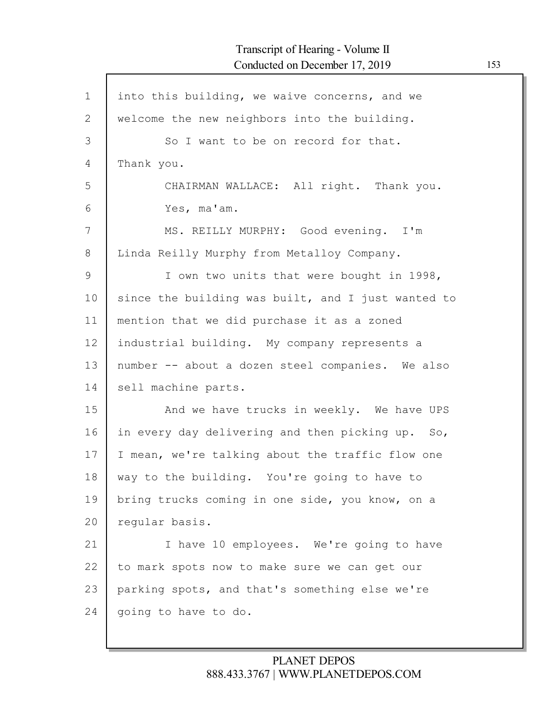| $\mathbf 1$ | into this building, we waive concerns, and we      |
|-------------|----------------------------------------------------|
| 2           | welcome the new neighbors into the building.       |
| 3           | So I want to be on record for that.                |
| 4           | Thank you.                                         |
| 5           | CHAIRMAN WALLACE: All right. Thank you.            |
| 6           | Yes, ma'am.                                        |
| 7           | MS. REILLY MURPHY: Good evening. I'm               |
| 8           | Linda Reilly Murphy from Metalloy Company.         |
| 9           | I own two units that were bought in 1998,          |
| 10          | since the building was built, and I just wanted to |
| 11          | mention that we did purchase it as a zoned         |
| 12          | industrial building. My company represents a       |
| 13          | number -- about a dozen steel companies. We also   |
| 14          | sell machine parts.                                |
| 15          | And we have trucks in weekly. We have UPS          |
| 16          | in every day delivering and then picking up. So,   |
| 17          | I mean, we're talking about the traffic flow one   |
| 18          | way to the building. You're going to have to       |
| 19          | bring trucks coming in one side, you know, on a    |
| 20          | regular basis.                                     |
| 21          | I have 10 employees. We're going to have           |
| 22          | to mark spots now to make sure we can get our      |
| 23          | parking spots, and that's something else we're     |
| 24          | going to have to do.                               |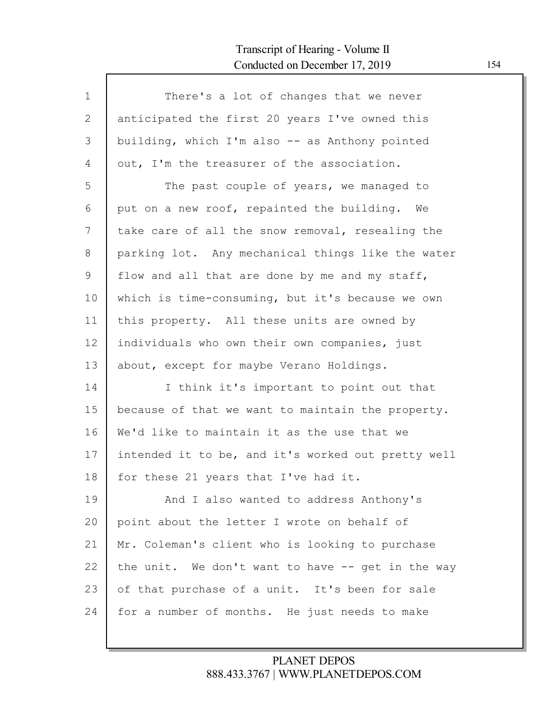Г

| $\mathbf{1}$ | There's a lot of changes that we never             |
|--------------|----------------------------------------------------|
| 2            | anticipated the first 20 years I've owned this     |
| 3            | building, which I'm also -- as Anthony pointed     |
| 4            | out, I'm the treasurer of the association.         |
| 5            | The past couple of years, we managed to            |
| 6            | put on a new roof, repainted the building. We      |
| 7            | take care of all the snow removal, resealing the   |
| 8            | parking lot. Any mechanical things like the water  |
| 9            | flow and all that are done by me and my staff,     |
| 10           | which is time-consuming, but it's because we own   |
| 11           | this property. All these units are owned by        |
| 12           | individuals who own their own companies, just      |
| 13           | about, except for maybe Verano Holdings.           |
| 14           | I think it's important to point out that           |
| 15           | because of that we want to maintain the property.  |
| 16           | We'd like to maintain it as the use that we        |
| 17           | intended it to be, and it's worked out pretty well |
| 18           | for these 21 years that I've had it.               |
| 19           | And I also wanted to address Anthony's             |
| 20           | point about the letter I wrote on behalf of        |
| 21           | Mr. Coleman's client who is looking to purchase    |
| 22           | the unit. We don't want to have -- get in the way  |
| 23           | of that purchase of a unit. It's been for sale     |
| 24           | for a number of months. He just needs to make      |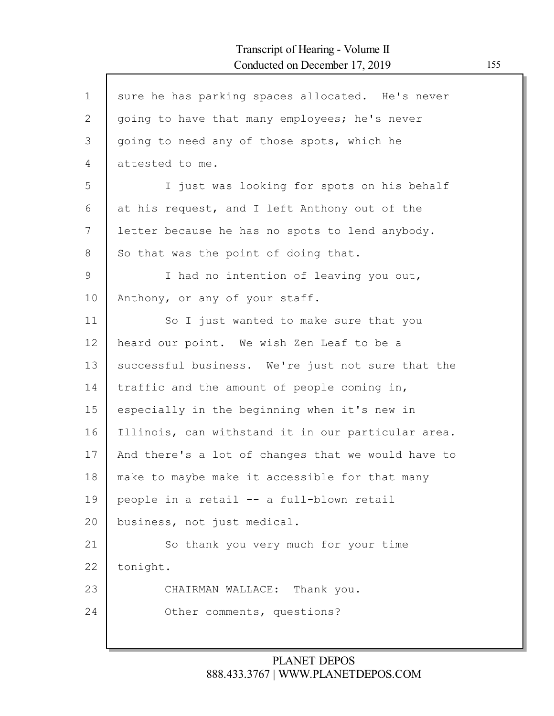| $\mathbf 1$    | sure he has parking spaces allocated. He's never   |
|----------------|----------------------------------------------------|
| $\mathbf{2}$   | going to have that many employees; he's never      |
| 3              | going to need any of those spots, which he         |
| $\overline{4}$ | attested to me.                                    |
| 5              | I just was looking for spots on his behalf         |
| 6              | at his request, and I left Anthony out of the      |
| 7              | letter because he has no spots to lend anybody.    |
| 8              | So that was the point of doing that.               |
| 9              | I had no intention of leaving you out,             |
| 10             | Anthony, or any of your staff.                     |
| 11             | So I just wanted to make sure that you             |
| 12             | heard our point. We wish Zen Leaf to be a          |
| 13             | successful business. We're just not sure that the  |
| 14             | traffic and the amount of people coming in,        |
| 15             | especially in the beginning when it's new in       |
| 16             | Illinois, can withstand it in our particular area. |
| 17             | And there's a lot of changes that we would have to |
| 18             | make to maybe make it accessible for that many     |
| 19             | people in a retail -- a full-blown retail          |
| 20             | business, not just medical.                        |
| 21             | So thank you very much for your time               |
| 22             | tonight.                                           |
| 23             | CHAIRMAN WALLACE: Thank you.                       |
| 24             | Other comments, questions?                         |
|                |                                                    |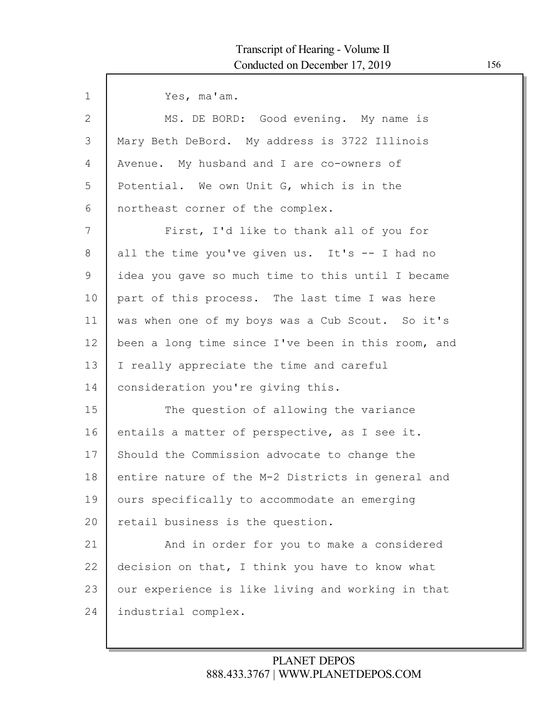| $\mathbf{1}$ | Yes, ma'am.                                        |
|--------------|----------------------------------------------------|
| $\mathbf{2}$ | MS. DE BORD: Good evening. My name is              |
| 3            | Mary Beth DeBord. My address is 3722 Illinois      |
| 4            | Avenue. My husband and I are co-owners of          |
| 5            | Potential. We own Unit G, which is in the          |
| 6            | northeast corner of the complex.                   |
| 7            | First, I'd like to thank all of you for            |
| 8            | all the time you've given us. It's -- I had no     |
| 9            | idea you gave so much time to this until I became  |
| 10           | part of this process. The last time I was here     |
| 11           | was when one of my boys was a Cub Scout. So it's   |
| 12           | been a long time since I've been in this room, and |
| 13           | I really appreciate the time and careful           |
| 14           | consideration you're giving this.                  |
| 15           | The question of allowing the variance              |
| 16           | entails a matter of perspective, as I see it.      |
| 17           | Should the Commission advocate to change the       |
| 18           | entire nature of the M-2 Districts in general and  |
| 19           | ours specifically to accommodate an emerging       |
| 20           | retail business is the question.                   |
| 21           | And in order for you to make a considered          |
| 22           | decision on that, I think you have to know what    |
| 23           | our experience is like living and working in that  |
| 24           | industrial complex.                                |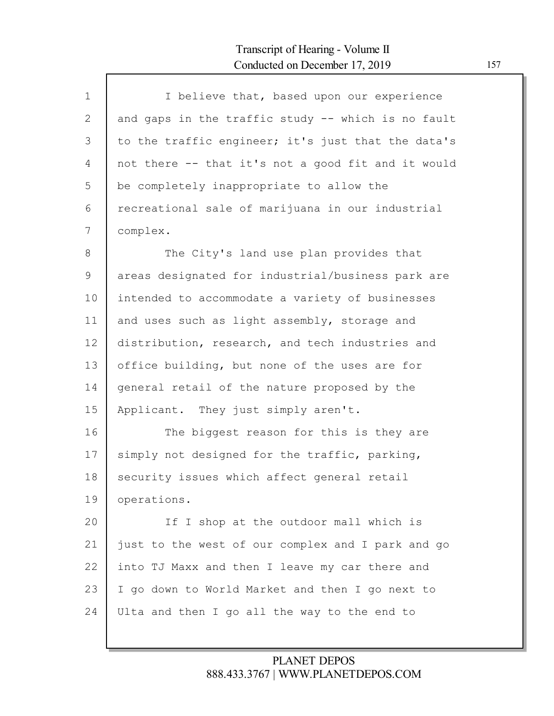Г

| $1\,$ | I believe that, based upon our experience          |
|-------|----------------------------------------------------|
| 2     | and gaps in the traffic study -- which is no fault |
| 3     | to the traffic engineer; it's just that the data's |
| 4     | not there -- that it's not a good fit and it would |
| 5     | be completely inappropriate to allow the           |
| 6     | recreational sale of marijuana in our industrial   |
| 7     | complex.                                           |
| 8     | The City's land use plan provides that             |
| 9     | areas designated for industrial/business park are  |
| 10    | intended to accommodate a variety of businesses    |
| 11    | and uses such as light assembly, storage and       |
| 12    | distribution, research, and tech industries and    |
| 13    | office building, but none of the uses are for      |
| 14    | general retail of the nature proposed by the       |
| 15    | Applicant. They just simply aren't.                |
| 16    | The biggest reason for this is they are            |
| 17    | simply not designed for the traffic, parking,      |
| 18    | security issues which affect general retail        |
| 19    | operations.                                        |
| 20    | If I shop at the outdoor mall which is             |
| 21    | just to the west of our complex and I park and go  |
| 22    | into TJ Maxx and then I leave my car there and     |
| 23    | I go down to World Market and then I go next to    |
| 24    | Ulta and then I go all the way to the end to       |
|       |                                                    |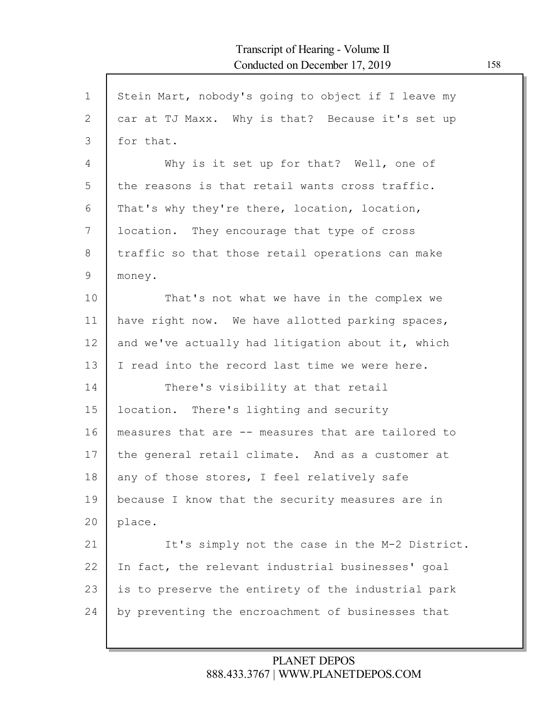| $\mathbf 1$ | Stein Mart, nobody's going to object if I leave my |
|-------------|----------------------------------------------------|
| 2           | car at TJ Maxx. Why is that? Because it's set up   |
| 3           | for that.                                          |
| 4           | Why is it set up for that? Well, one of            |
| 5           | the reasons is that retail wants cross traffic.    |
| 6           | That's why they're there, location, location,      |
| 7           | location. They encourage that type of cross        |
| 8           | traffic so that those retail operations can make   |
| $\mathsf 9$ | money.                                             |
| 10          | That's not what we have in the complex we          |
| 11          | have right now. We have allotted parking spaces,   |
| 12          | and we've actually had litigation about it, which  |
| 13          | I read into the record last time we were here.     |
| 14          | There's visibility at that retail                  |
| 15          | location. There's lighting and security            |
| 16          | measures that are -- measures that are tailored to |
| 17          | the general retail climate. And as a customer at   |
| 18          | any of those stores, I feel relatively safe        |
| 19          | because I know that the security measures are in   |
| 20          | place.                                             |
| 21          | It's simply not the case in the M-2 District.      |
| 22          | In fact, the relevant industrial businesses' goal  |
| 23          | is to preserve the entirety of the industrial park |
| 24          | by preventing the encroachment of businesses that  |
|             |                                                    |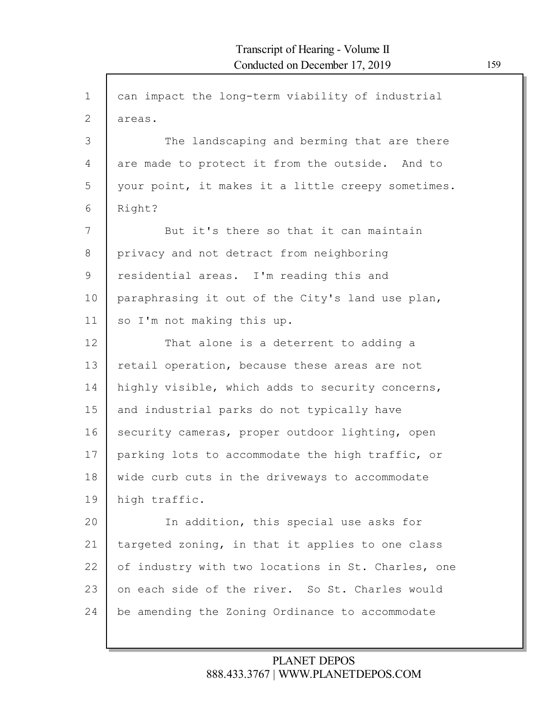| $\mathbf 1$  | can impact the long-term viability of industrial   |
|--------------|----------------------------------------------------|
| $\mathbf{2}$ | areas.                                             |
| 3            | The landscaping and berming that are there         |
| 4            | are made to protect it from the outside. And to    |
| 5            | your point, it makes it a little creepy sometimes. |
| 6            | Right?                                             |
| 7            | But it's there so that it can maintain             |
| 8            | privacy and not detract from neighboring           |
| 9            | residential areas. I'm reading this and            |
| 10           | paraphrasing it out of the City's land use plan,   |
| 11           | so I'm not making this up.                         |
| 12           | That alone is a deterrent to adding a              |
| 13           | retail operation, because these areas are not      |
| 14           | highly visible, which adds to security concerns,   |
| 15           | and industrial parks do not typically have         |
| 16           | security cameras, proper outdoor lighting, open    |
| 17           | parking lots to accommodate the high traffic, or   |
| 18           | wide curb cuts in the driveways to accommodate     |
| 19           | high traffic.                                      |
| 20           | In addition, this special use asks for             |
| 21           | targeted zoning, in that it applies to one class   |
| 22           | of industry with two locations in St. Charles, one |
| 23           | on each side of the river. So St. Charles would    |
| 24           | be amending the Zoning Ordinance to accommodate    |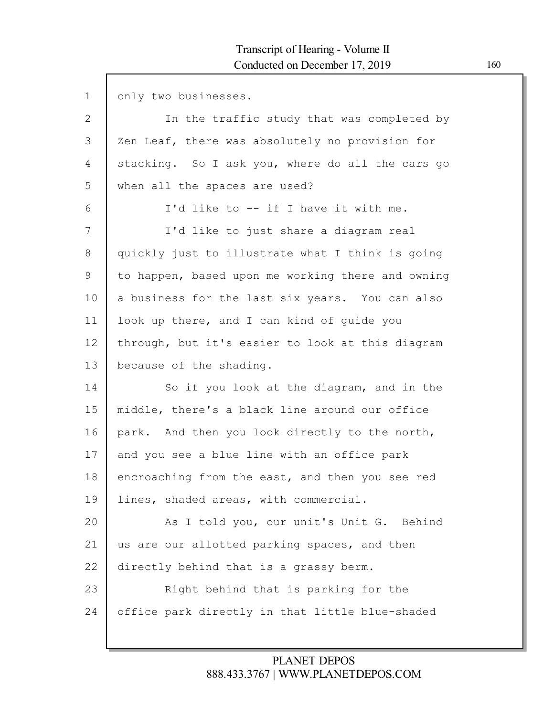$\mathsf{l}$ 

| $\mathbf 1$  | only two businesses.                              |
|--------------|---------------------------------------------------|
| $\mathbf{2}$ | In the traffic study that was completed by        |
| 3            | Zen Leaf, there was absolutely no provision for   |
| 4            | stacking. So I ask you, where do all the cars go  |
| 5            | when all the spaces are used?                     |
| 6            | I'd like to -- if I have it with me.              |
| 7            | I'd like to just share a diagram real             |
| 8            | quickly just to illustrate what I think is going  |
| 9            | to happen, based upon me working there and owning |
| 10           | a business for the last six years. You can also   |
| 11           | look up there, and I can kind of guide you        |
| 12           | through, but it's easier to look at this diagram  |
| 13           | because of the shading.                           |
| 14           | So if you look at the diagram, and in the         |
| 15           | middle, there's a black line around our office    |
| 16           | park. And then you look directly to the north,    |
| 17           | and you see a blue line with an office park       |
| 18           | encroaching from the east, and then you see red   |
| 19           | lines, shaded areas, with commercial.             |
| 20           | As I told you, our unit's Unit G. Behind          |
| 21           | us are our allotted parking spaces, and then      |
| 22           | directly behind that is a grassy berm.            |
| 23           | Right behind that is parking for the              |
| 24           | office park directly in that little blue-shaded   |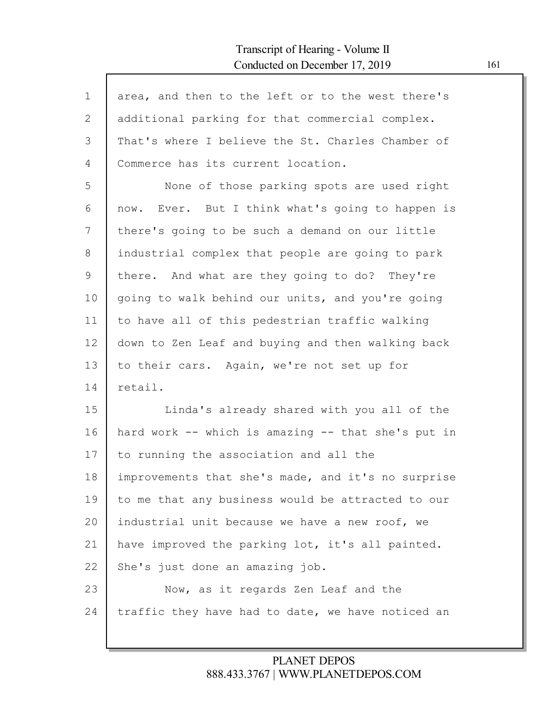| $\mathbf{1}$ | area, and then to the left or to the west there's  |
|--------------|----------------------------------------------------|
| $\mathbf{2}$ | additional parking for that commercial complex.    |
| 3            | That's where I believe the St. Charles Chamber of  |
| 4            | Commerce has its current location.                 |
| 5            | None of those parking spots are used right         |
| 6            | now. Ever. But I think what's going to happen is   |
| 7            | there's going to be such a demand on our little    |
| 8            | industrial complex that people are going to park   |
| 9            | there. And what are they going to do? They're      |
| 10           | going to walk behind our units, and you're going   |
| 11           | to have all of this pedestrian traffic walking     |
| 12           | down to Zen Leaf and buying and then walking back  |
| 13           | to their cars. Again, we're not set up for         |
| 14           | retail.                                            |
| 15           | Linda's already shared with you all of the         |
| 16           | hard work -- which is amazing -- that she's put in |
| 17           | to running the association and all the             |
| 18           | improvements that she's made, and it's no surprise |
| 19           | to me that any business would be attracted to our  |
| 20           | industrial unit because we have a new roof, we     |
| 21           | have improved the parking lot, it's all painted.   |
| 22           | She's just done an amazing job.                    |
| 23           | Now, as it regards Zen Leaf and the                |
| 24           | traffic they have had to date, we have noticed an  |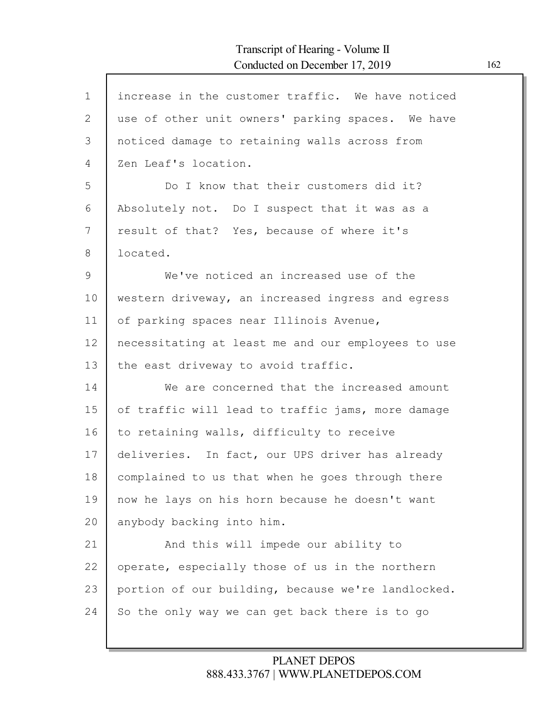| $\mathbf{1}$ | increase in the customer traffic. We have noticed  |
|--------------|----------------------------------------------------|
| 2            | use of other unit owners' parking spaces. We have  |
| 3            | noticed damage to retaining walls across from      |
| 4            | Zen Leaf's location.                               |
| 5            | Do I know that their customers did it?             |
| 6            | Absolutely not. Do I suspect that it was as a      |
| 7            | result of that? Yes, because of where it's         |
| 8            | located.                                           |
| $\mathsf 9$  | We've noticed an increased use of the              |
| 10           | western driveway, an increased ingress and egress  |
| 11           | of parking spaces near Illinois Avenue,            |
| 12           | necessitating at least me and our employees to use |
| 13           | the east driveway to avoid traffic.                |
| 14           | We are concerned that the increased amount         |
| 15           | of traffic will lead to traffic jams, more damage  |
| 16           | to retaining walls, difficulty to receive          |
| 17           | deliveries. In fact, our UPS driver has already    |
| 18           | complained to us that when he goes through there   |
| 19           | now he lays on his horn because he doesn't want    |
| 20           | anybody backing into him.                          |
| 21           | And this will impede our ability to                |
| 22           | operate, especially those of us in the northern    |
| 23           | portion of our building, because we're landlocked. |
| 24           | So the only way we can get back there is to go     |
|              |                                                    |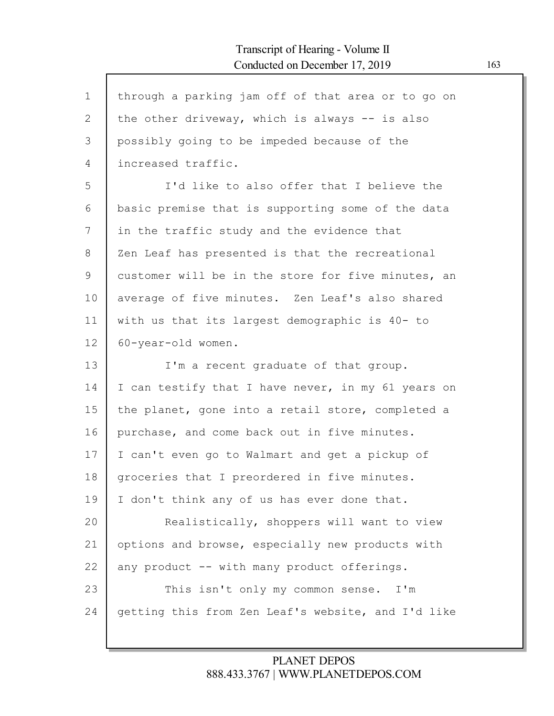$\mathsf{l}$ 

| $\mathbf 1$  | through a parking jam off of that area or to go on |
|--------------|----------------------------------------------------|
| $\mathbf{2}$ | the other driveway, which is always $-$ is also    |
| 3            | possibly going to be impeded because of the        |
| 4            | increased traffic.                                 |
| 5            | I'd like to also offer that I believe the          |
| 6            | basic premise that is supporting some of the data  |
| 7            | in the traffic study and the evidence that         |
| 8            | Zen Leaf has presented is that the recreational    |
| 9            | customer will be in the store for five minutes, an |
| 10           | average of five minutes. Zen Leaf's also shared    |
| 11           | with us that its largest demographic is 40- to     |
| 12           | 60-year-old women.                                 |
|              |                                                    |
| 13           | I'm a recent graduate of that group.               |
| 14           | I can testify that I have never, in my 61 years on |
| 15           | the planet, gone into a retail store, completed a  |
| 16           | purchase, and come back out in five minutes.       |
| 17           | I can't even go to Walmart and get a pickup of     |
| 18           | groceries that I preordered in five minutes.       |
| 19           | I don't think any of us has ever done that.        |
| 20           | Realistically, shoppers will want to view          |
| 21           | options and browse, especially new products with   |
| 22           | any product -- with many product offerings.        |
| 23           | This isn't only my common sense. I'm               |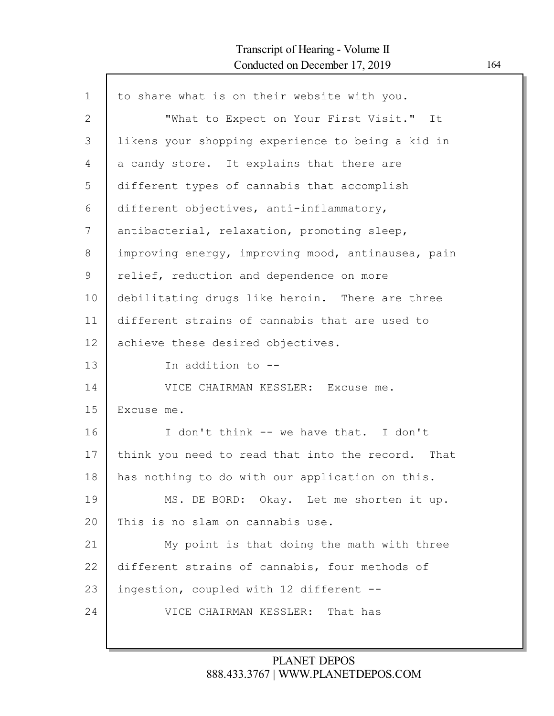Г

| $\mathbf 1$ | to share what is on their website with you.        |
|-------------|----------------------------------------------------|
| 2           | "What to Expect on Your First Visit." It           |
| 3           | likens your shopping experience to being a kid in  |
| 4           | a candy store. It explains that there are          |
| 5           | different types of cannabis that accomplish        |
| 6           | different objectives, anti-inflammatory,           |
| 7           | antibacterial, relaxation, promoting sleep,        |
| 8           | improving energy, improving mood, antinausea, pain |
| $\mathsf 9$ | relief, reduction and dependence on more           |
| 10          | debilitating drugs like heroin. There are three    |
| 11          | different strains of cannabis that are used to     |
| 12          | achieve these desired objectives.                  |
| 13          | In addition to --                                  |
| 14          | VICE CHAIRMAN KESSLER: Excuse me.                  |
| 15          | Excuse me.                                         |
| 16          | I don't think -- we have that. I don't             |
| 17          | think you need to read that into the record. That  |
| 18          | has nothing to do with our application on this.    |
| 19          | MS. DE BORD: Okay. Let me shorten it up.           |
| 20          | This is no slam on cannabis use.                   |
| 21          | My point is that doing the math with three         |
| 22          | different strains of cannabis, four methods of     |
| 23          | ingestion, coupled with 12 different --            |
| 24          | VICE CHAIRMAN KESSLER: That has                    |
|             |                                                    |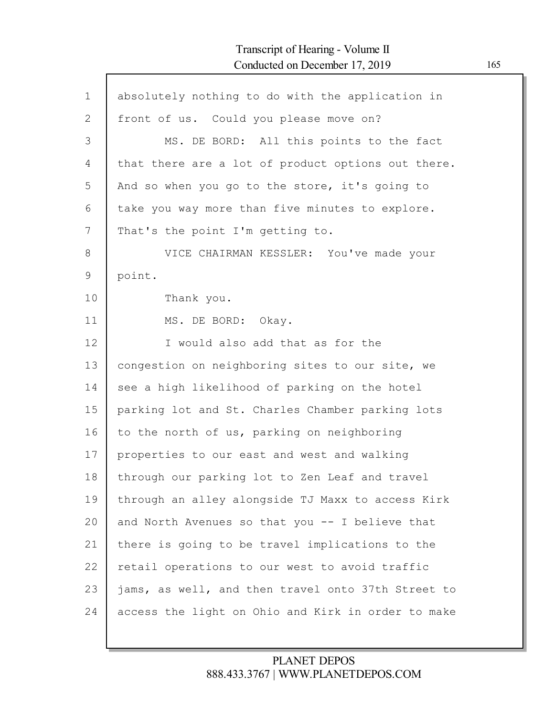| $\mathbf 1$  | absolutely nothing to do with the application in   |
|--------------|----------------------------------------------------|
| $\mathbf{2}$ | front of us. Could you please move on?             |
| 3            | MS. DE BORD: All this points to the fact           |
| 4            | that there are a lot of product options out there. |
| 5            | And so when you go to the store, it's going to     |
| 6            | take you way more than five minutes to explore.    |
| 7            | That's the point I'm getting to.                   |
| 8            | VICE CHAIRMAN KESSLER: You've made your            |
| 9            | point.                                             |
| 10           | Thank you.                                         |
| 11           | MS. DE BORD: Okay.                                 |
| 12           | I would also add that as for the                   |
| 13           | congestion on neighboring sites to our site, we    |
| 14           | see a high likelihood of parking on the hotel      |
| 15           | parking lot and St. Charles Chamber parking lots   |
| 16           | to the north of us, parking on neighboring         |
| 17           | properties to our east and west and walking        |
| 18           | through our parking lot to Zen Leaf and travel     |
| 19           | through an alley alongside TJ Maxx to access Kirk  |
| 20           | and North Avenues so that you -- I believe that    |
| 21           | there is going to be travel implications to the    |
| 22           | retail operations to our west to avoid traffic     |
| 23           | jams, as well, and then travel onto 37th Street to |
| 24           | access the light on Ohio and Kirk in order to make |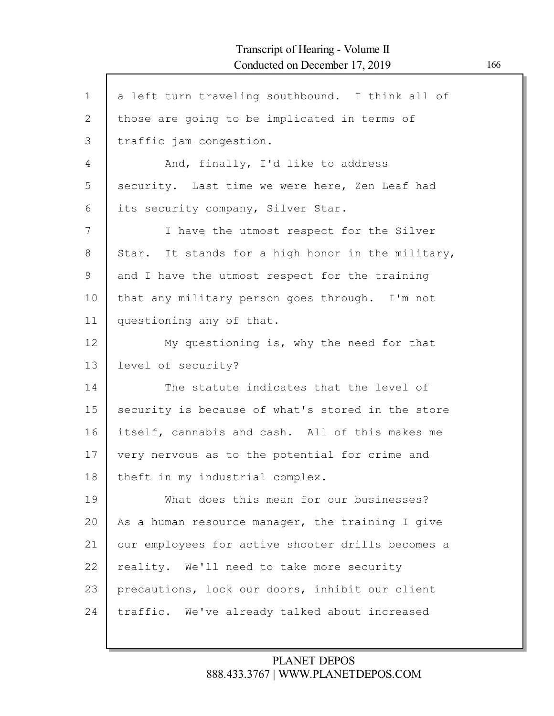| $\mathbf 1$ | a left turn traveling southbound. I think all of  |
|-------------|---------------------------------------------------|
| 2           | those are going to be implicated in terms of      |
| 3           | traffic jam congestion.                           |
| 4           | And, finally, I'd like to address                 |
| 5           | security. Last time we were here, Zen Leaf had    |
| 6           | its security company, Silver Star.                |
| 7           | I have the utmost respect for the Silver          |
| 8           | Star. It stands for a high honor in the military, |
| 9           | and I have the utmost respect for the training    |
| 10          | that any military person goes through. I'm not    |
| 11          | questioning any of that.                          |
| 12          | My questioning is, why the need for that          |
| 13          | level of security?                                |
| 14          | The statute indicates that the level of           |
| 15          | security is because of what's stored in the store |
| 16          | itself, cannabis and cash. All of this makes me   |
| 17          | very nervous as to the potential for crime and    |
| 18          | theft in my industrial complex.                   |
| 19          | What does this mean for our businesses?           |
| 20          | As a human resource manager, the training I give  |
| 21          | our employees for active shooter drills becomes a |
| 22          | reality. We'll need to take more security         |
| 23          | precautions, lock our doors, inhibit our client   |
| 24          | traffic. We've already talked about increased     |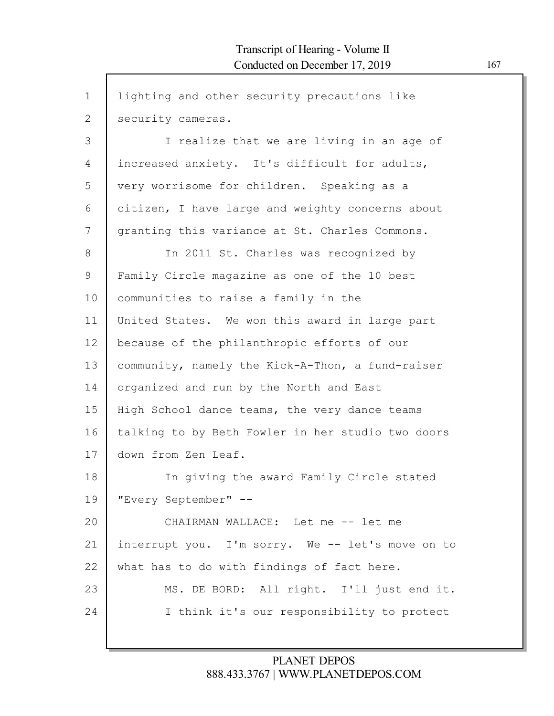| $\mathbf 1$  | lighting and other security precautions like      |
|--------------|---------------------------------------------------|
| $\mathbf{2}$ | security cameras.                                 |
| 3            | I realize that we are living in an age of         |
| 4            | increased anxiety. It's difficult for adults,     |
| 5            | very worrisome for children. Speaking as a        |
| 6            | citizen, I have large and weighty concerns about  |
| 7            | granting this variance at St. Charles Commons.    |
| 8            | In 2011 St. Charles was recognized by             |
| 9            | Family Circle magazine as one of the 10 best      |
| 10           | communities to raise a family in the              |
| 11           | United States. We won this award in large part    |
| 12           | because of the philanthropic efforts of our       |
| 13           | community, namely the Kick-A-Thon, a fund-raiser  |
| 14           | organized and run by the North and East           |
| 15           | High School dance teams, the very dance teams     |
| 16           | talking to by Beth Fowler in her studio two doors |
| 17           | down from Zen Leaf.                               |
| 18           | In giving the award Family Circle stated          |
| 19           | "Every September" --                              |
| 20           | CHAIRMAN WALLACE: Let me -- let me                |
| 21           | interrupt you. I'm sorry. We -- let's move on to  |
| 22           | what has to do with findings of fact here.        |
| 23           | MS. DE BORD: All right. I'll just end it.         |
| 24           | I think it's our responsibility to protect        |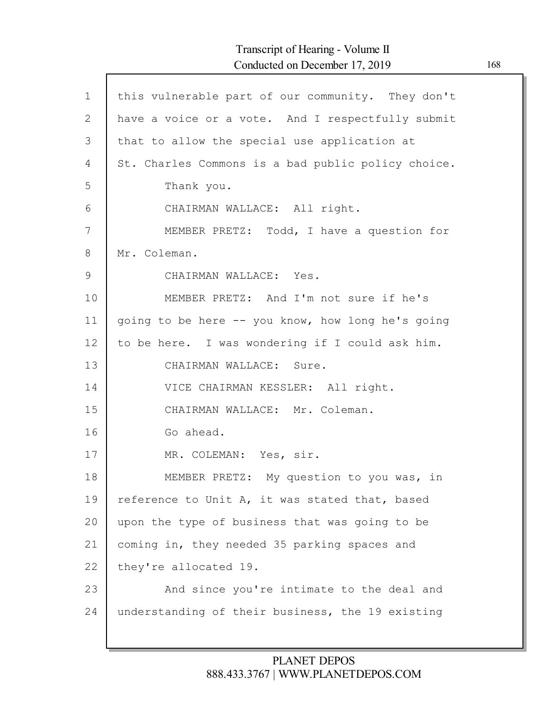Г

| $\mathbf{1}$ | this vulnerable part of our community. They don't  |
|--------------|----------------------------------------------------|
| 2            | have a voice or a vote. And I respectfully submit  |
| 3            | that to allow the special use application at       |
| 4            | St. Charles Commons is a bad public policy choice. |
| 5            | Thank you.                                         |
| 6            | CHAIRMAN WALLACE: All right.                       |
| 7            | MEMBER PRETZ: Todd, I have a question for          |
| 8            | Mr. Coleman.                                       |
| 9            | CHAIRMAN WALLACE: Yes.                             |
| 10           | MEMBER PRETZ: And I'm not sure if he's             |
| 11           | going to be here -- you know, how long he's going  |
| 12           | to be here. I was wondering if I could ask him.    |
| 13           | CHAIRMAN WALLACE: Sure.                            |
| 14           | VICE CHAIRMAN KESSLER: All right.                  |
| 15           | CHAIRMAN WALLACE: Mr. Coleman.                     |
| 16           | Go ahead.                                          |
| 17           | MR. COLEMAN: Yes, sir.                             |
| 18           | MEMBER PRETZ: My question to you was, in           |
| 19           | reference to Unit A, it was stated that, based     |
| 20           | upon the type of business that was going to be     |
| 21           | coming in, they needed 35 parking spaces and       |
| 22           | they're allocated 19.                              |
| 23           | And since you're intimate to the deal and          |
| 24           | understanding of their business, the 19 existing   |
|              |                                                    |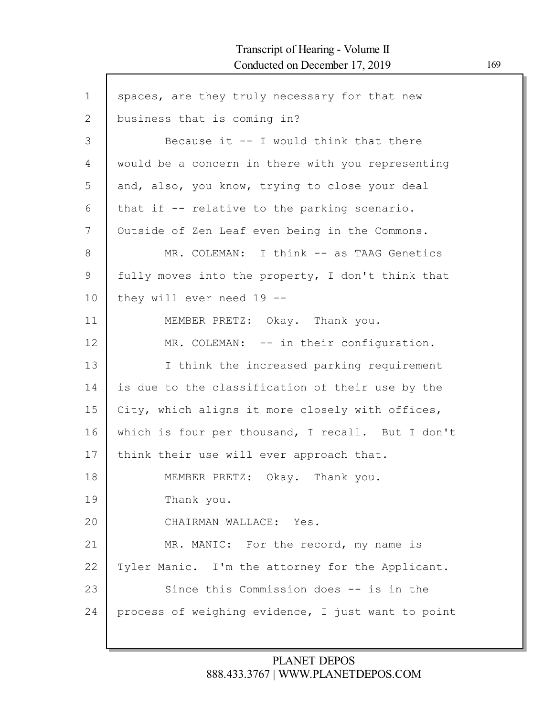$\Gamma$ 

| $\mathbf{1}$ | spaces, are they truly necessary for that new      |
|--------------|----------------------------------------------------|
| $\mathbf{2}$ | business that is coming in?                        |
| 3            | Because it -- I would think that there             |
| 4            | would be a concern in there with you representing  |
| 5            | and, also, you know, trying to close your deal     |
| 6            | that if -- relative to the parking scenario.       |
| 7            | Outside of Zen Leaf even being in the Commons.     |
| 8            | MR. COLEMAN: I think -- as TAAG Genetics           |
| 9            | fully moves into the property, I don't think that  |
| 10           | they will ever need $19$ --                        |
| 11           | MEMBER PRETZ: Okay. Thank you.                     |
| 12           | MR. COLEMAN: -- in their configuration.            |
| 13           | I think the increased parking requirement          |
| 14           | is due to the classification of their use by the   |
| 15           | City, which aligns it more closely with offices,   |
| 16           | which is four per thousand, I recall. But I don't  |
| 17           | think their use will ever approach that.           |
| 18           | MEMBER PRETZ: Okay. Thank you.                     |
| 19           | Thank you.                                         |
| 20           | CHAIRMAN WALLACE: Yes.                             |
| 21           | MR. MANIC: For the record, my name is              |
| 22           | Tyler Manic. I'm the attorney for the Applicant.   |
| 23           | Since this Commission does -- is in the            |
| 24           | process of weighing evidence, I just want to point |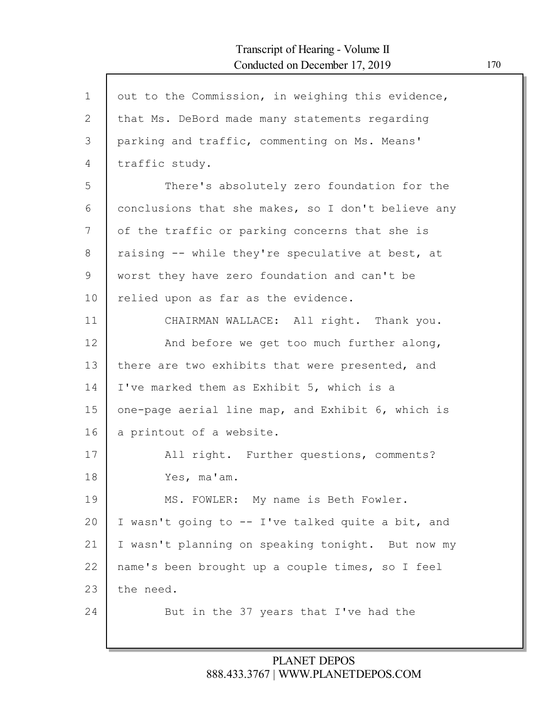$\mathsf{l}$ 

| $\mathbf{1}$ | out to the Commission, in weighing this evidence,  |
|--------------|----------------------------------------------------|
| 2            | that Ms. DeBord made many statements regarding     |
| 3            | parking and traffic, commenting on Ms. Means'      |
| 4            | traffic study.                                     |
| 5            | There's absolutely zero foundation for the         |
| 6            | conclusions that she makes, so I don't believe any |
| 7            | of the traffic or parking concerns that she is     |
| 8            | raising -- while they're speculative at best, at   |
| 9            | worst they have zero foundation and can't be       |
| 10           | relied upon as far as the evidence.                |
| 11           | CHAIRMAN WALLACE: All right. Thank you.            |
| 12           | And before we get too much further along,          |
| 13           | there are two exhibits that were presented, and    |
| 14           | I've marked them as Exhibit 5, which is a          |
| 15           | one-page aerial line map, and Exhibit 6, which is  |
| 16           | a printout of a website.                           |
| 17           | All right. Further questions, comments?            |
| 18           | Yes, ma'am.                                        |
| 19           | MS. FOWLER: My name is Beth Fowler.                |
| 20           | I wasn't going to -- I've talked quite a bit, and  |
| 21           | I wasn't planning on speaking tonight. But now my  |
| 22           | name's been brought up a couple times, so I feel   |
| 23           | the need.                                          |
| 24           | But in the 37 years that I've had the              |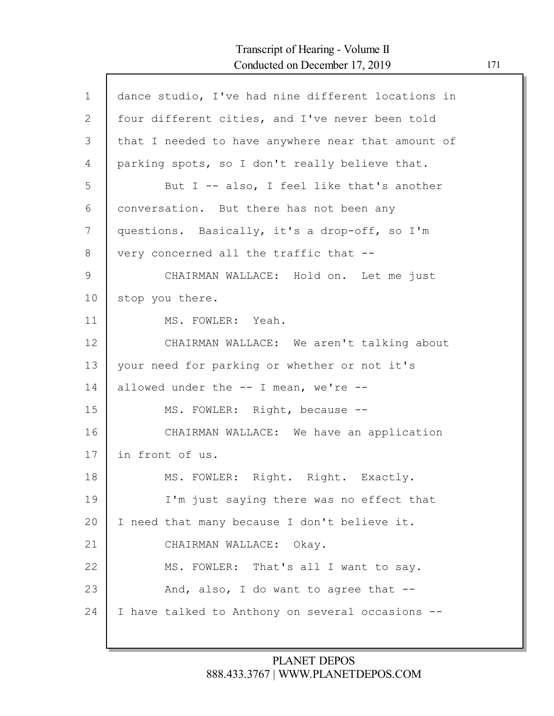Г

| $\mathbf{1}$ | dance studio, I've had nine different locations in |
|--------------|----------------------------------------------------|
| $\mathbf{2}$ | four different cities, and I've never been told    |
| 3            | that I needed to have anywhere near that amount of |
| 4            | parking spots, so I don't really believe that.     |
| 5            | But I -- also, I feel like that's another          |
| 6            | conversation. But there has not been any           |
| 7            | questions. Basically, it's a drop-off, so I'm      |
| 8            | very concerned all the traffic that --             |
| 9            | CHAIRMAN WALLACE: Hold on. Let me just             |
| 10           | stop you there.                                    |
| 11           | MS. FOWLER: Yeah.                                  |
| 12           | CHAIRMAN WALLACE: We aren't talking about          |
| 13           | your need for parking or whether or not it's       |
| 14           | allowed under the $--$ I mean, we're $--$          |
| 15           | MS. FOWLER: Right, because --                      |
| 16           | CHAIRMAN WALLACE: We have an application           |
| 17           | in front of us.                                    |
| 18           | MS. FOWLER: Right. Right. Exactly.                 |
| 19           | I'm just saying there was no effect that           |
| 20           | I need that many because I don't believe it.       |
| 21           | CHAIRMAN WALLACE: Okay.                            |
| 22           | MS. FOWLER: That's all I want to say.              |
| 23           | And, also, I do want to agree that --              |
| 24           | I have talked to Anthony on several occasions --   |
|              |                                                    |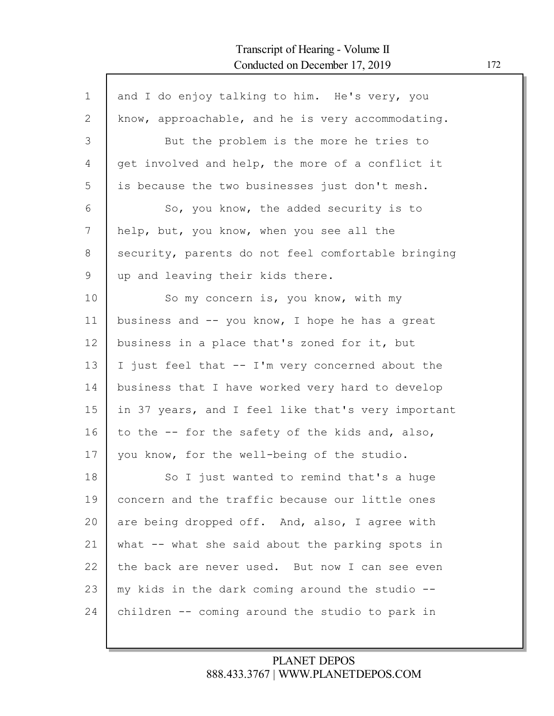| $\mathbf 1$ | and I do enjoy talking to him. He's very, you      |
|-------------|----------------------------------------------------|
| 2           | know, approachable, and he is very accommodating.  |
| 3           | But the problem is the more he tries to            |
| 4           | get involved and help, the more of a conflict it   |
| 5           | is because the two businesses just don't mesh.     |
| 6           | So, you know, the added security is to             |
| 7           | help, but, you know, when you see all the          |
| 8           | security, parents do not feel comfortable bringing |
| 9           | up and leaving their kids there.                   |
| 10          | So my concern is, you know, with my                |
| 11          | business and $-$ you know, I hope he has a great   |
| 12          | business in a place that's zoned for it, but       |
| 13          | I just feel that -- I'm very concerned about the   |
| 14          | business that I have worked very hard to develop   |
| 15          | in 37 years, and I feel like that's very important |
| 16          | to the -- for the safety of the kids and, also,    |
| 17          | you know, for the well-being of the studio.        |
| 18          | So I just wanted to remind that's a huge           |
| 19          | concern and the traffic because our little ones    |
| 20          | are being dropped off. And, also, I agree with     |
| 21          | what -- what she said about the parking spots in   |
| 22          | the back are never used. But now I can see even    |
| 23          | my kids in the dark coming around the studio --    |
| 24          | children -- coming around the studio to park in    |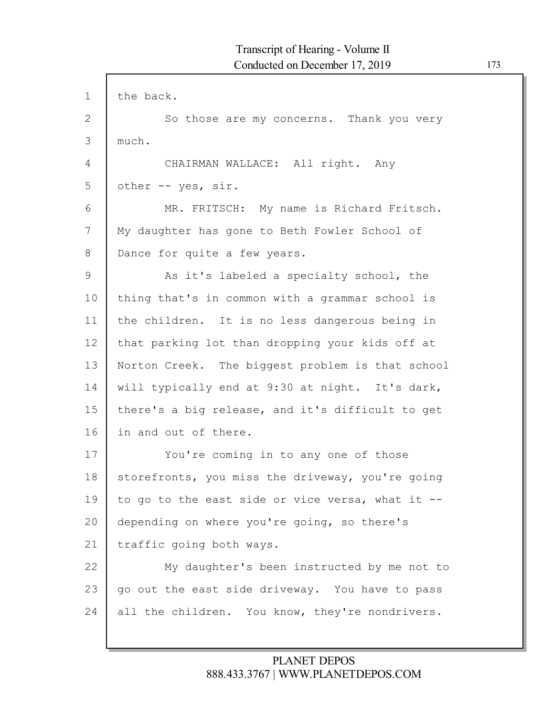| $\mathbf 1$   | the back.                                        |
|---------------|--------------------------------------------------|
| $\mathbf{2}$  | So those are my concerns. Thank you very         |
| 3             | much.                                            |
| 4             | CHAIRMAN WALLACE: All right. Any                 |
| 5             | other -- yes, sir.                               |
| 6             | MR. FRITSCH: My name is Richard Fritsch.         |
| 7             | My daughter has gone to Beth Fowler School of    |
| 8             | Dance for quite a few years.                     |
| $\mathcal{G}$ | As it's labeled a specialty school, the          |
| 10            | thing that's in common with a grammar school is  |
| 11            | the children. It is no less dangerous being in   |
| 12            | that parking lot than dropping your kids off at  |
| 13            | Norton Creek. The biggest problem is that school |
| 14            | will typically end at 9:30 at night. It's dark,  |
| 15            | there's a big release, and it's difficult to get |
| 16            | in and out of there.                             |
| 17            | You're coming in to any one of those             |
| 18            | storefronts, you miss the driveway, you're going |
| 19            | to go to the east side or vice versa, what it -- |
| 20            | depending on where you're going, so there's      |
| 21            | traffic going both ways.                         |
| 22            | My daughter's been instructed by me not to       |
| 23            | go out the east side driveway. You have to pass  |
| 24            | all the children. You know, they're nondrivers.  |
|               |                                                  |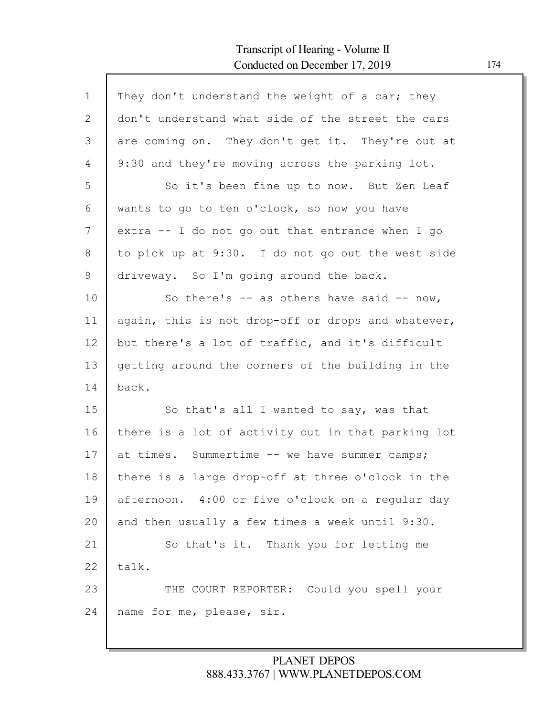# Transcript of Hearing - Volume II Conducted on December 17, 2019 174

Г

| $\mathbf{1}$ | They don't understand the weight of a car; they    |
|--------------|----------------------------------------------------|
| 2            | don't understand what side of the street the cars  |
| 3            | are coming on. They don't get it. They're out at   |
| 4            | 9:30 and they're moving across the parking lot.    |
| 5            | So it's been fine up to now. But Zen Leaf          |
| 6            | wants to go to ten o'clock, so now you have        |
| 7            | extra -- I do not go out that entrance when I go   |
| 8            | to pick up at 9:30. I do not go out the west side  |
| 9            | driveway. So I'm going around the back.            |
| 10           | So there's $-$ as others have said $-$ now,        |
| 11           | again, this is not drop-off or drops and whatever, |
| 12           | but there's a lot of traffic, and it's difficult   |
| 13           | getting around the corners of the building in the  |
| 14           | back.                                              |
| 15           | So that's all I wanted to say, was that            |
| 16           | there is a lot of activity out in that parking lot |
| 17           | at times. Summertime -- we have summer camps;      |
| 18           | there is a large drop-off at three o'clock in the  |
| 19           | afternoon. 4:00 or five o'clock on a regular day   |
| 20           | and then usually a few times a week until 9:30.    |
| 21           | So that's it. Thank you for letting me             |
| 22           | talk.                                              |
| 23           | THE COURT REPORTER: Could you spell your           |
| 24           | name for me, please, sir.                          |
|              |                                                    |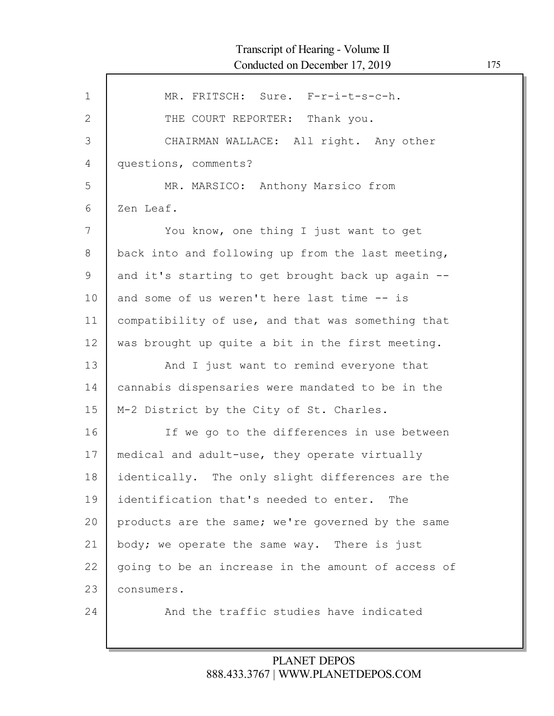| $\mathbf{1}$ | MR. FRITSCH: Sure. F-r-i-t-s-c-h.                  |
|--------------|----------------------------------------------------|
|              |                                                    |
| 2            | THE COURT REPORTER: Thank you.                     |
| 3            | CHAIRMAN WALLACE: All right. Any other             |
| 4            | questions, comments?                               |
| 5            | MR. MARSICO: Anthony Marsico from                  |
| 6            | Zen Leaf.                                          |
| 7            | You know, one thing I just want to get             |
| 8            | back into and following up from the last meeting,  |
| 9            | and it's starting to get brought back up again --  |
| 10           | and some of us weren't here last time -- is        |
| 11           | compatibility of use, and that was something that  |
| 12           | was brought up quite a bit in the first meeting.   |
| 13           | And I just want to remind everyone that            |
| 14           | cannabis dispensaries were mandated to be in the   |
| 15           | M-2 District by the City of St. Charles.           |
| 16           | If we go to the differences in use between         |
| 17           | medical and adult-use, they operate virtually      |
| 18           | identically. The only slight differences are the   |
| 19           | identification that's needed to enter. The         |
| 20           | products are the same; we're governed by the same  |
| 21           | body; we operate the same way. There is just       |
| 22           | going to be an increase in the amount of access of |
| 23           | consumers.                                         |
| 24           | And the traffic studies have indicated             |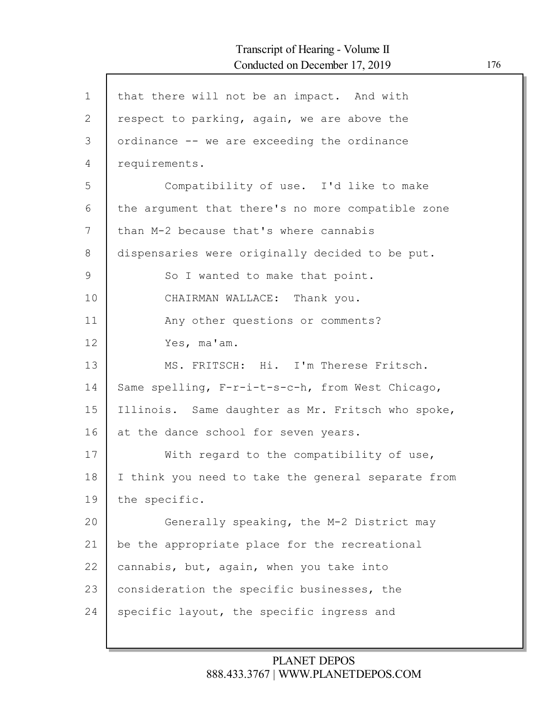| $\mathbf{1}$ | that there will not be an impact. And with         |
|--------------|----------------------------------------------------|
| $\mathbf{2}$ | respect to parking, again, we are above the        |
| 3            | ordinance -- we are exceeding the ordinance        |
| 4            | requirements.                                      |
| 5            | Compatibility of use. I'd like to make             |
| 6            | the argument that there's no more compatible zone  |
| 7            | than M-2 because that's where cannabis             |
| 8            | dispensaries were originally decided to be put.    |
| 9            | So I wanted to make that point.                    |
| 10           | CHAIRMAN WALLACE: Thank you.                       |
| 11           | Any other questions or comments?                   |
| 12           | Yes, ma'am.                                        |
| 13           | MS. FRITSCH: Hi. I'm Therese Fritsch.              |
| 14           | Same spelling, F-r-i-t-s-c-h, from West Chicago,   |
| 15           | Illinois. Same daughter as Mr. Fritsch who spoke,  |
| 16           | at the dance school for seven years.               |
| 17           | With regard to the compatibility of use,           |
| 18           | I think you need to take the general separate from |
| 19           | the specific.                                      |
| 20           | Generally speaking, the M-2 District may           |
| 21           | be the appropriate place for the recreational      |
| 22           | cannabis, but, again, when you take into           |
| 23           | consideration the specific businesses, the         |
| 24           | specific layout, the specific ingress and          |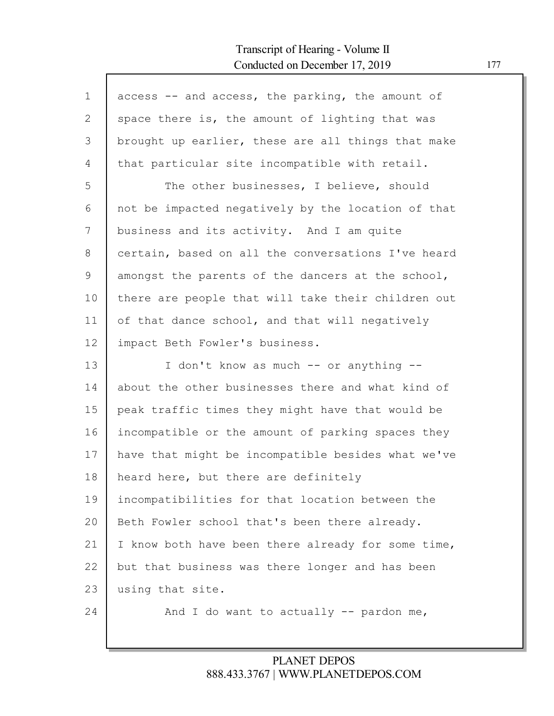# Transcript of Hearing - Volume II Conducted on December 17, 2019 177

| $\mathbf 1$ | access -- and access, the parking, the amount of   |
|-------------|----------------------------------------------------|
| 2           | space there is, the amount of lighting that was    |
| 3           | brought up earlier, these are all things that make |
| 4           | that particular site incompatible with retail.     |
| 5           | The other businesses, I believe, should            |
| 6           | not be impacted negatively by the location of that |
| 7           | business and its activity. And I am quite          |
| 8           | certain, based on all the conversations I've heard |
| 9           | amongst the parents of the dancers at the school,  |
| 10          | there are people that will take their children out |
| 11          | of that dance school, and that will negatively     |
| 12          | impact Beth Fowler's business.                     |
| 13          | I don't know as much -- or anything --             |
| 14          | about the other businesses there and what kind of  |
| 15          | peak traffic times they might have that would be   |
| 16          | incompatible or the amount of parking spaces they  |
| 17          | have that might be incompatible besides what we've |
| 18          | heard here, but there are definitely               |
| 19          | incompatibilities for that location between the    |
| 20          | Beth Fowler school that's been there already.      |
| 21          | I know both have been there already for some time, |
| 22          | but that business was there longer and has been    |
| 23          | using that site.                                   |
| 24          | And I do want to actually -- pardon me,            |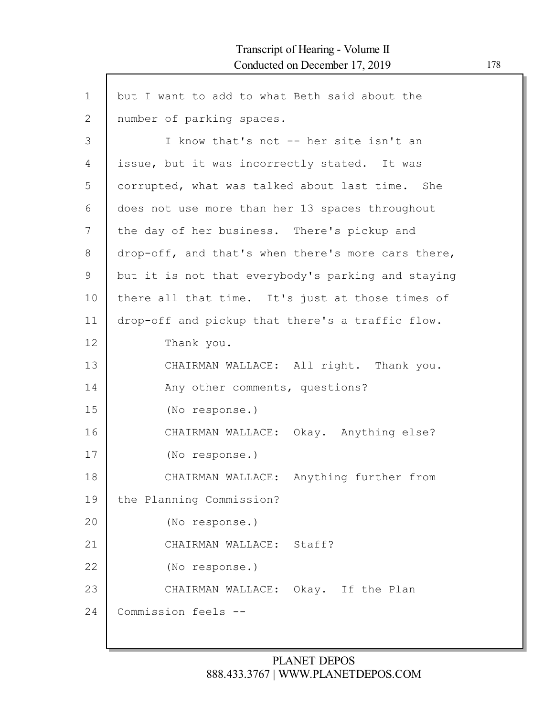| $\mathbf 1$ | but I want to add to what Beth said about the      |
|-------------|----------------------------------------------------|
| 2           | number of parking spaces.                          |
| 3           | I know that's not -- her site isn't an             |
| 4           | issue, but it was incorrectly stated. It was       |
| 5           | corrupted, what was talked about last time. She    |
| 6           | does not use more than her 13 spaces throughout    |
| 7           | the day of her business. There's pickup and        |
| 8           | drop-off, and that's when there's more cars there, |
| 9           | but it is not that everybody's parking and staying |
| 10          | there all that time. It's just at those times of   |
| 11          | drop-off and pickup that there's a traffic flow.   |
| 12          | Thank you.                                         |
| 13          | CHAIRMAN WALLACE: All right. Thank you.            |
| 14          | Any other comments, questions?                     |
| 15          | (No response.)                                     |
| 16          | CHAIRMAN WALLACE: Okay. Anything else?             |
| 17          | (No response.)                                     |
| 18          | CHAIRMAN WALLACE: Anything further from            |
| 19          | the Planning Commission?                           |
| 20          | (No response.)                                     |
| 21          | CHAIRMAN WALLACE: Staff?                           |
| 22          | (No response.)                                     |
| 23          | CHAIRMAN WALLACE: Okay. If the Plan                |
| 24          | Commission feels --                                |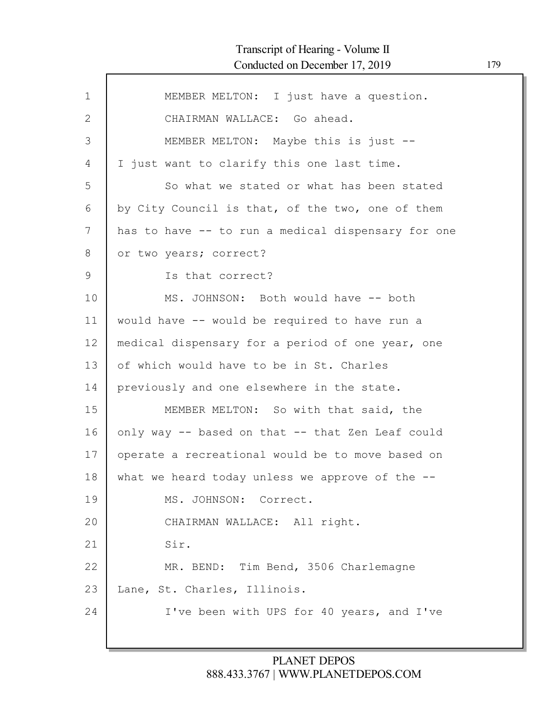# Transcript of Hearing - Volume II Conducted on December 17, 2019 179

Г

| $\mathbf 1$  | MEMBER MELTON: I just have a question.             |
|--------------|----------------------------------------------------|
| $\mathbf{2}$ | CHAIRMAN WALLACE: Go ahead.                        |
| 3            | MEMBER MELTON: Maybe this is just --               |
| 4            | I just want to clarify this one last time.         |
| 5            | So what we stated or what has been stated          |
| 6            | by City Council is that, of the two, one of them   |
| 7            | has to have -- to run a medical dispensary for one |
| 8            | or two years; correct?                             |
| 9            | Is that correct?                                   |
| 10           | MS. JOHNSON: Both would have -- both               |
| 11           | would have -- would be required to have run a      |
| 12           | medical dispensary for a period of one year, one   |
| 13           | of which would have to be in St. Charles           |
| 14           | previously and one elsewhere in the state.         |
| 15           | MEMBER MELTON: So with that said, the              |
| 16           | only way -- based on that -- that Zen Leaf could   |
| 17           | operate a recreational would be to move based on   |
| 18           | what we heard today unless we approve of the $-$ - |
| 19           | MS. JOHNSON: Correct.                              |
| 20           | CHAIRMAN WALLACE: All right.                       |
| 21           | Sir.                                               |
| 22           | MR. BEND: Tim Bend, 3506 Charlemagne               |
| 23           | Lane, St. Charles, Illinois.                       |
| 24           | I've been with UPS for 40 years, and I've          |
|              |                                                    |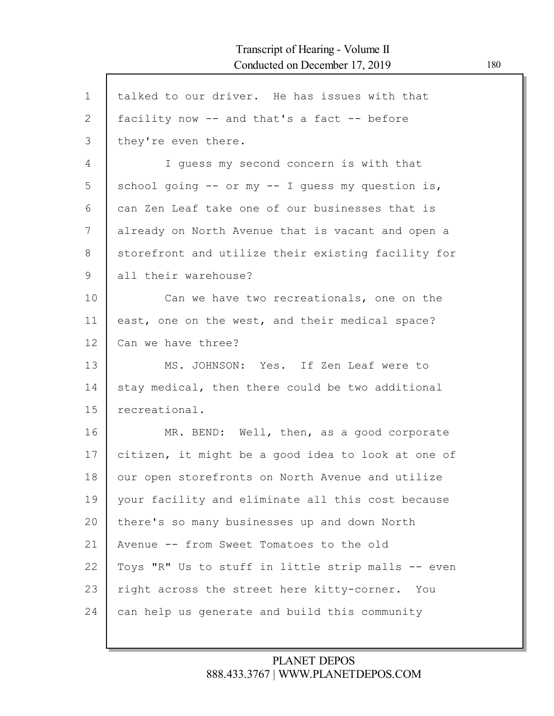$\mathsf{l}$ 

| $\mathbf 1$  | talked to our driver. He has issues with that      |
|--------------|----------------------------------------------------|
| $\mathbf{2}$ | facility now -- and that's a fact -- before        |
| 3            | they're even there.                                |
| 4            | I guess my second concern is with that             |
| 5            | school going -- or my -- I quess my question is,   |
| 6            | can Zen Leaf take one of our businesses that is    |
| 7            | already on North Avenue that is vacant and open a  |
| 8            | storefront and utilize their existing facility for |
| 9            | all their warehouse?                               |
| 10           | Can we have two recreationals, one on the          |
| 11           | east, one on the west, and their medical space?    |
| 12           | Can we have three?                                 |
| 13           | MS. JOHNSON: Yes. If Zen Leaf were to              |
| 14           | stay medical, then there could be two additional   |
| 15           | recreational.                                      |
| 16           | MR. BEND: Well, then, as a good corporate          |
| 17           | citizen, it might be a good idea to look at one of |
| 18           | our open storefronts on North Avenue and utilize   |
| 19           | your facility and eliminate all this cost because  |
| 20           |                                                    |
|              | there's so many businesses up and down North       |
| 21           | Avenue -- from Sweet Tomatoes to the old           |
| 22           | Toys "R" Us to stuff in little strip malls -- even |
| 23           | right across the street here kitty-corner. You     |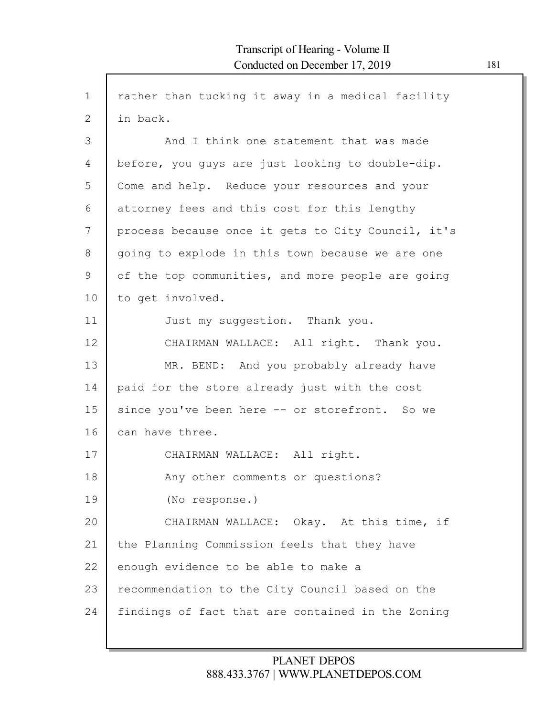| $\mathbf 1$ | rather than tucking it away in a medical facility  |
|-------------|----------------------------------------------------|
| 2           | in back.                                           |
| 3           | And I think one statement that was made            |
| 4           | before, you guys are just looking to double-dip.   |
| 5           | Come and help. Reduce your resources and your      |
| 6           | attorney fees and this cost for this lengthy       |
| 7           | process because once it gets to City Council, it's |
| 8           | going to explode in this town because we are one   |
| 9           | of the top communities, and more people are going  |
| 10          | to get involved.                                   |
| 11          | Just my suggestion. Thank you.                     |
| 12          | CHAIRMAN WALLACE: All right. Thank you.            |
| 13          | MR. BEND: And you probably already have            |
| 14          | paid for the store already just with the cost      |
| 15          | since you've been here -- or storefront. So we     |
| 16          | can have three.                                    |
| 17          | CHAIRMAN WALLACE: All right.                       |
| 18          | Any other comments or questions?                   |
| 19          | (No response.)                                     |
| 20          | CHAIRMAN WALLACE: Okay. At this time, if           |
| 21          | the Planning Commission feels that they have       |
| 22          | enough evidence to be able to make a               |
| 23          | recommendation to the City Council based on the    |
| 24          | findings of fact that are contained in the Zoning  |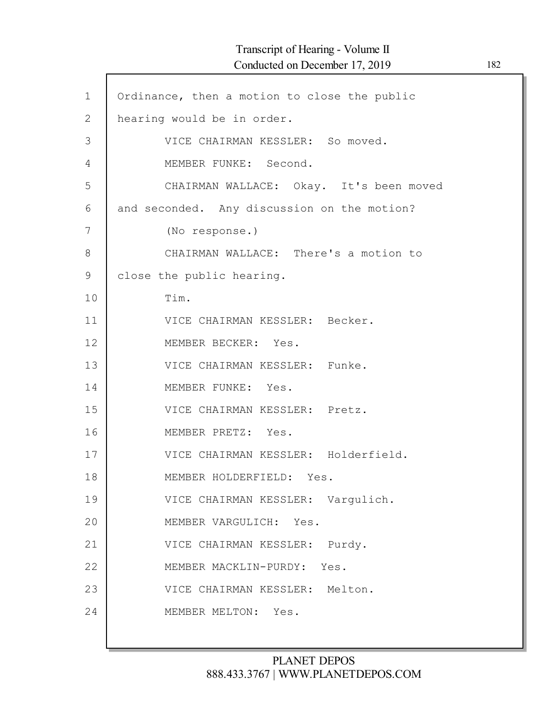| $\mathbf 1$    | Ordinance, then a motion to close the public |
|----------------|----------------------------------------------|
| $\overline{2}$ | hearing would be in order.                   |
| 3              | VICE CHAIRMAN KESSLER: So moved.             |
| $\overline{4}$ | MEMBER FUNKE: Second.                        |
| 5              | CHAIRMAN WALLACE: Okay. It's been moved      |
| 6              | and seconded. Any discussion on the motion?  |
| 7              | (No response.)                               |
| 8              | CHAIRMAN WALLACE: There's a motion to        |
| 9              | close the public hearing.                    |
| 10             | Tim.                                         |
| 11             | VICE CHAIRMAN KESSLER: Becker.               |
| 12             | MEMBER BECKER: Yes.                          |
| 13             | VICE CHAIRMAN KESSLER: Funke.                |
| 14             | MEMBER FUNKE: Yes.                           |
| 15             | VICE CHAIRMAN KESSLER: Pretz.                |
| 16             | MEMBER PRETZ: Yes.                           |
| 17             | VICE CHAIRMAN KESSLER: Holderfield.          |
| 18             | MEMBER HOLDERFIELD: Yes.                     |
| 19             | VICE CHAIRMAN KESSLER: Vargulich.            |
| 20             | MEMBER VARGULICH: Yes.                       |
| 21             | VICE CHAIRMAN KESSLER: Purdy.                |
| 22             | MEMBER MACKLIN-PURDY: Yes.                   |
| 23             | VICE CHAIRMAN KESSLER: Melton.               |
| 24             | MEMBER MELTON: Yes.                          |
|                |                                              |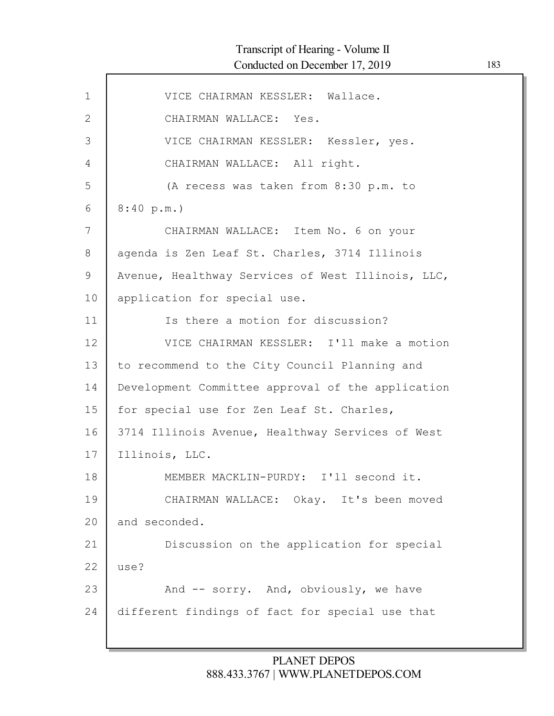| $\mathbf 1$  | VICE CHAIRMAN KESSLER: Wallace.                   |
|--------------|---------------------------------------------------|
| $\mathbf{2}$ | CHAIRMAN WALLACE: Yes.                            |
| 3            | VICE CHAIRMAN KESSLER: Kessler, yes.              |
| 4            | CHAIRMAN WALLACE: All right.                      |
| 5            | (A recess was taken from 8:30 p.m. to             |
| 6            | 8:40 p.m.                                         |
| 7            | CHAIRMAN WALLACE: Item No. 6 on your              |
| 8            | agenda is Zen Leaf St. Charles, 3714 Illinois     |
| $\mathsf 9$  | Avenue, Healthway Services of West Illinois, LLC, |
| 10           | application for special use.                      |
| 11           | Is there a motion for discussion?                 |
| 12           | VICE CHAIRMAN KESSLER: I'll make a motion         |
| 13           | to recommend to the City Council Planning and     |
| 14           | Development Committee approval of the application |
| 15           | for special use for Zen Leaf St. Charles,         |
| 16           | 3714 Illinois Avenue, Healthway Services of West  |
| 17           | Illinois, LLC.                                    |
| 18           | MEMBER MACKLIN-PURDY: I'll second it.             |
| 19           | CHAIRMAN WALLACE: Okay. It's been moved           |
| 20           | and seconded.                                     |
| 21           | Discussion on the application for special         |
| 22           | use?                                              |
| 23           | And -- sorry. And, obviously, we have             |
|              |                                                   |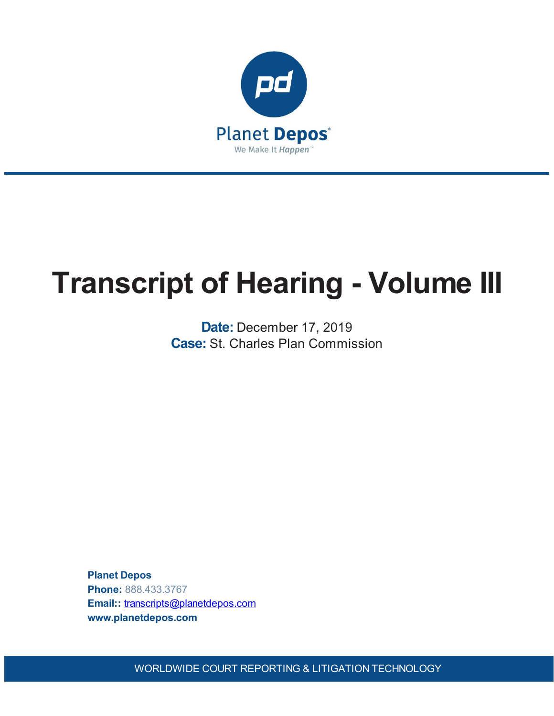

# **Transcript of Hearing - Volume III**

**Date:** December 17, 2019 **Case:** St. Charles Plan Commission

**Planet Depos Phone:** 888.433.3767 **Email::** [transcripts@planetdepos.com](mailto:transcripts@planetdepos.com) **www.planetdepos.com**

WORLDWIDE COURT REPORTING & LITIGATION TECHNOLOGY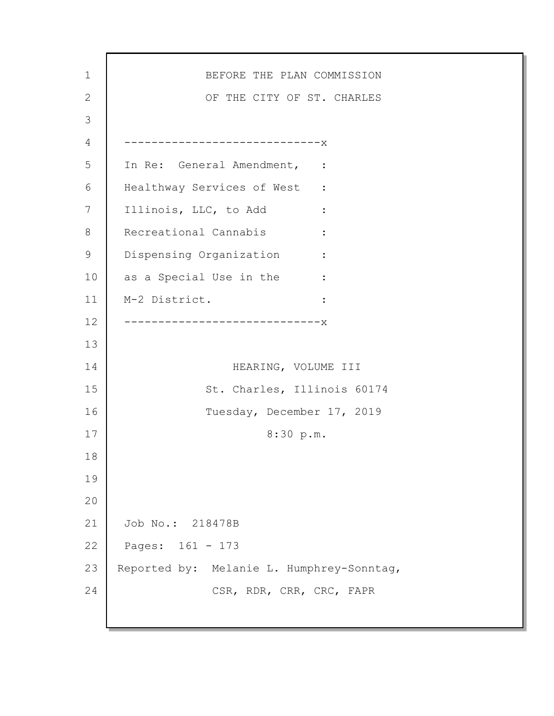1 2 3 4 5 6 7 8 9 10 11 12 13 14 15 16 17 18 19 20 21 22 23 24 BEFORE THE PLAN COMMISSION OF THE CITY OF ST. CHARLES -----------------------------x In Re: General Amendment, : Healthway Services of West : Illinois, LLC, to Add : Recreational Cannabis : Dispensing Organization : as a Special Use in the : M-2 District. : -----------------------------x HEARING, VOLUME III St. Charles, Illinois 60174 Tuesday, December 17, 2019 8:30 p.m. Job No.: 218478B Pages: 161 - 173 Reported by: Melanie L. Humphrey-Sonntag, CSR, RDR, CRR, CRC, FAPR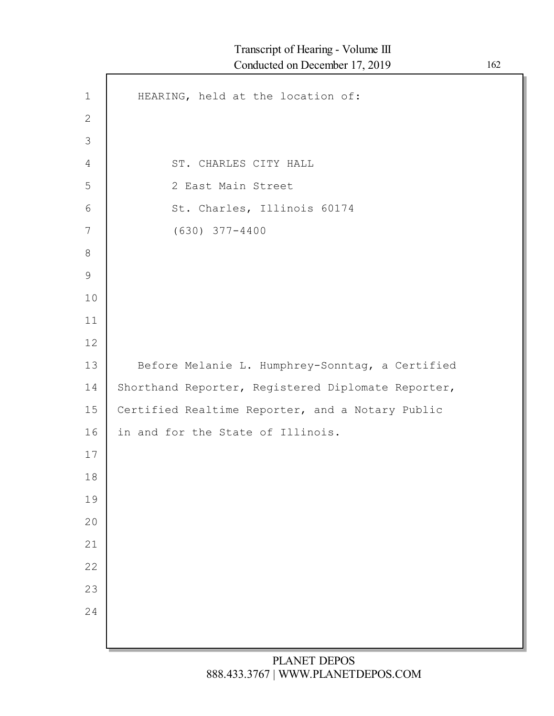| $\mathbf 1$    | HEARING, held at the location of:                  |
|----------------|----------------------------------------------------|
| $\mathbf{2}$   |                                                    |
| $\mathfrak{Z}$ |                                                    |
| 4              | ST. CHARLES CITY HALL                              |
| 5              | 2 East Main Street                                 |
| 6              | St. Charles, Illinois 60174                        |
| 7              | $(630)$ 377-4400                                   |
| 8              |                                                    |
| $\mathsf 9$    |                                                    |
| 10             |                                                    |
| 11             |                                                    |
| 12             |                                                    |
| 13             | Before Melanie L. Humphrey-Sonntag, a Certified    |
| 14             | Shorthand Reporter, Registered Diplomate Reporter, |
| 15             | Certified Realtime Reporter, and a Notary Public   |
| 16             | in and for the State of Illinois.                  |
| 17             |                                                    |
| 18             |                                                    |
| 19             |                                                    |
| 20             |                                                    |
| 21             |                                                    |
| 22             |                                                    |
| 23             |                                                    |
| 24             |                                                    |
|                |                                                    |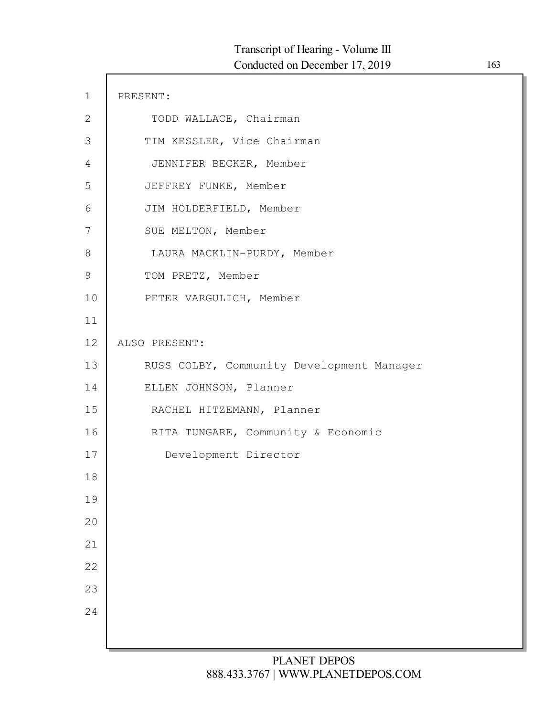| $\mathbf 1$  | PRESENT:                                  |
|--------------|-------------------------------------------|
| $\mathbf{2}$ | TODD WALLACE, Chairman                    |
| 3            | TIM KESSLER, Vice Chairman                |
| 4            | JENNIFER BECKER, Member                   |
| 5            | JEFFREY FUNKE, Member                     |
| 6            | JIM HOLDERFIELD, Member                   |
| 7            | SUE MELTON, Member                        |
| 8            | LAURA MACKLIN-PURDY, Member               |
| $\mathsf 9$  | TOM PRETZ, Member                         |
| 10           | PETER VARGULICH, Member                   |
| 11           |                                           |
| 12           | ALSO PRESENT:                             |
| 13           | RUSS COLBY, Community Development Manager |
| 14           | ELLEN JOHNSON, Planner                    |
| 15           | RACHEL HITZEMANN, Planner                 |
| 16           | RITA TUNGARE, Community & Economic        |
| 17           | Development Director                      |
| 18           |                                           |
| 19           |                                           |
| 20           |                                           |
| 21           |                                           |
| 22           |                                           |
| 23           |                                           |
| 24           |                                           |
|              |                                           |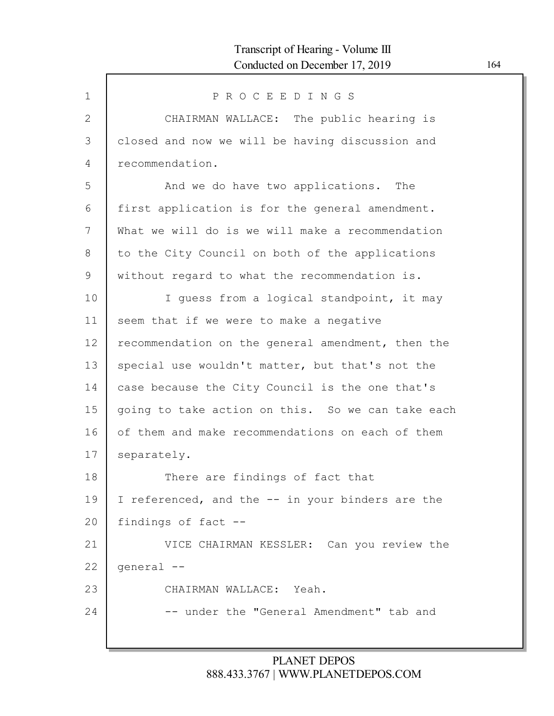| $\mathbf 1$    | PROCEEDINGS                                       |
|----------------|---------------------------------------------------|
| $\overline{2}$ | CHAIRMAN WALLACE: The public hearing is           |
| 3              | closed and now we will be having discussion and   |
| 4              | recommendation.                                   |
| 5              | And we do have two applications. The              |
| 6              | first application is for the general amendment.   |
| 7              | What we will do is we will make a recommendation  |
| 8              | to the City Council on both of the applications   |
| 9              | without regard to what the recommendation is.     |
| 10             | I quess from a logical standpoint, it may         |
| 11             | seem that if we were to make a negative           |
| 12             | recommendation on the general amendment, then the |
| 13             | special use wouldn't matter, but that's not the   |
| 14             | case because the City Council is the one that's   |
| 15             | going to take action on this. So we can take each |
| 16             | of them and make recommendations on each of them  |
| 17             | separately.                                       |
| 18             | There are findings of fact that                   |
| 19             | I referenced, and the -- in your binders are the  |
| 20             | findings of fact --                               |
| 21             | VICE CHAIRMAN KESSLER: Can you review the         |
| 22             | qeneral --                                        |
| 23             | CHAIRMAN WALLACE: Yeah.                           |
| 24             | -- under the "General Amendment" tab and          |
|                |                                                   |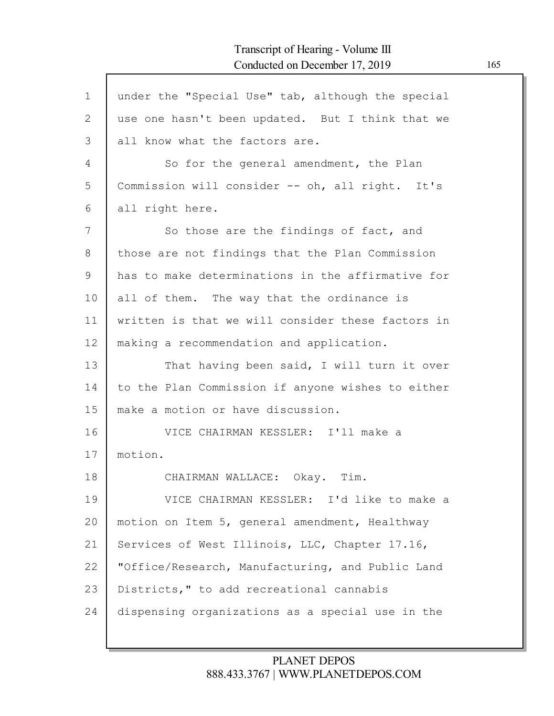| $\mathbf 1$    | under the "Special Use" tab, although the special |
|----------------|---------------------------------------------------|
| $\overline{2}$ | use one hasn't been updated. But I think that we  |
| 3              | all know what the factors are.                    |
| 4              | So for the general amendment, the Plan            |
| 5              | Commission will consider -- oh, all right. It's   |
| 6              | all right here.                                   |
| 7              | So those are the findings of fact, and            |
| 8              | those are not findings that the Plan Commission   |
| 9              | has to make determinations in the affirmative for |
| 10             | all of them. The way that the ordinance is        |
| 11             | written is that we will consider these factors in |
| 12             | making a recommendation and application.          |
| 13             | That having been said, I will turn it over        |
| 14             | to the Plan Commission if anyone wishes to either |
| 15             | make a motion or have discussion.                 |
| 16             | VICE CHAIRMAN KESSLER: I'll make a                |
| 17             | motion.                                           |
| 18             | CHAIRMAN WALLACE: Okay. Tim.                      |
| 19             | VICE CHAIRMAN KESSLER: I'd like to make a         |
| 20             | motion on Item 5, general amendment, Healthway    |
| 21             | Services of West Illinois, LLC, Chapter 17.16,    |
| 22             | "Office/Research, Manufacturing, and Public Land  |
| 23             | Districts," to add recreational cannabis          |
| 24             | dispensing organizations as a special use in the  |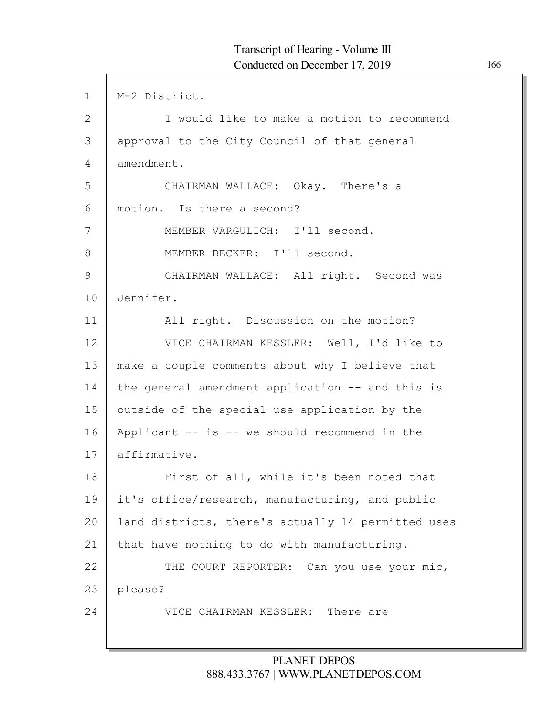| $\mathbf{1}$ | M-2 District.                                      |
|--------------|----------------------------------------------------|
| 2            | I would like to make a motion to recommend         |
| 3            | approval to the City Council of that general       |
| 4            | amendment.                                         |
| 5            | CHAIRMAN WALLACE: Okay. There's a                  |
| 6            | motion. Is there a second?                         |
| 7            | MEMBER VARGULICH: I'll second.                     |
| 8            | MEMBER BECKER: I'll second.                        |
| 9            | CHAIRMAN WALLACE: All right. Second was            |
| 10           | Jennifer.                                          |
| 11           | All right. Discussion on the motion?               |
| 12           | VICE CHAIRMAN KESSLER: Well, I'd like to           |
| 13           | make a couple comments about why I believe that    |
| 14           | the general amendment application -- and this is   |
| 15           | outside of the special use application by the      |
| 16           | Applicant -- is -- we should recommend in the      |
| 17           | affirmative.                                       |
| 18           | First of all, while it's been noted that           |
| 19           | it's office/research, manufacturing, and public    |
| 20           | land districts, there's actually 14 permitted uses |
| 21           | that have nothing to do with manufacturing.        |
| 22           | THE COURT REPORTER: Can you use your mic,          |
| 23           | please?                                            |
| 24           | VICE CHAIRMAN KESSLER:<br>There are                |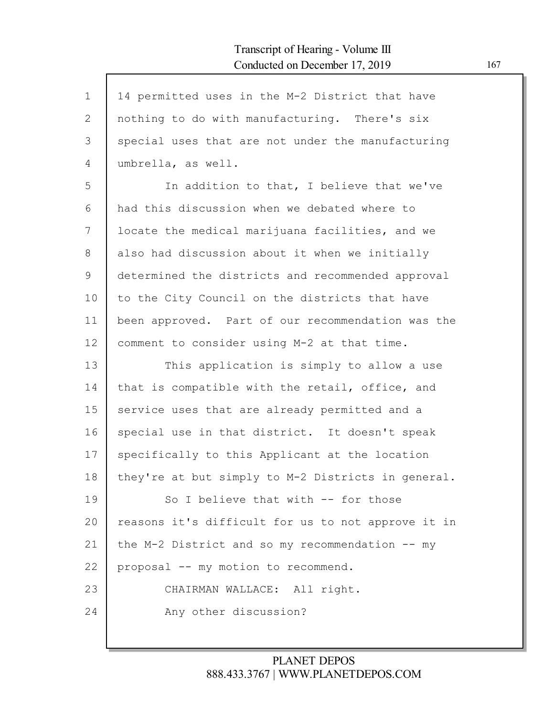| $\mathbf 1$  | 14 permitted uses in the M-2 District that have    |
|--------------|----------------------------------------------------|
| $\mathbf{2}$ | nothing to do with manufacturing. There's six      |
| 3            | special uses that are not under the manufacturing  |
| 4            | umbrella, as well.                                 |
| 5            | In addition to that, I believe that we've          |
| 6            | had this discussion when we debated where to       |
| 7            | locate the medical marijuana facilities, and we    |
| 8            | also had discussion about it when we initially     |
| 9            | determined the districts and recommended approval  |
| 10           | to the City Council on the districts that have     |
| 11           | been approved. Part of our recommendation was the  |
| 12           | comment to consider using M-2 at that time.        |
| 13           | This application is simply to allow a use          |
| 14           | that is compatible with the retail, office, and    |
| 15           | service uses that are already permitted and a      |
| 16           | special use in that district. It doesn't speak     |
| 17           | specifically to this Applicant at the location     |
| 18           | they're at but simply to M-2 Districts in general. |
| 19           | So I believe that with -- for those                |
| 20           | reasons it's difficult for us to not approve it in |
| 21           | the M-2 District and so my recommendation -- my    |
| 22           | proposal -- my motion to recommend.                |
| 23           | CHAIRMAN WALLACE: All right.                       |
| 24           | Any other discussion?                              |
|              |                                                    |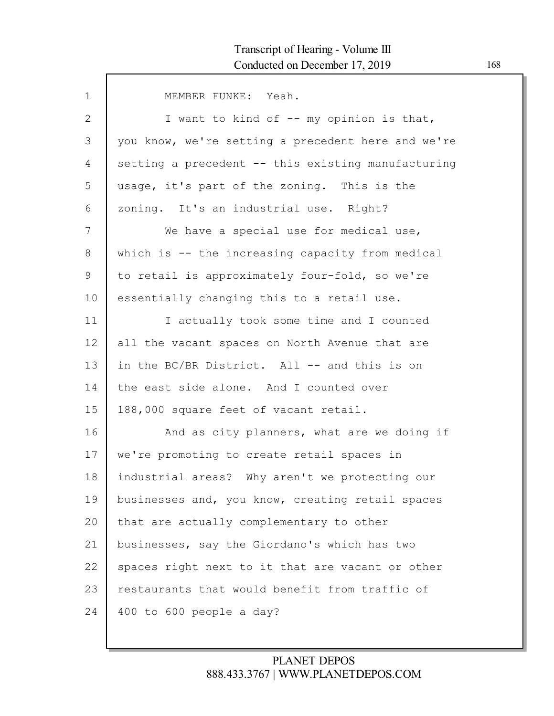| $\mathbf 1$ | MEMBER FUNKE: Yeah.                                |
|-------------|----------------------------------------------------|
| 2           | I want to kind of -- my opinion is that,           |
| 3           | you know, we're setting a precedent here and we're |
| 4           | setting a precedent -- this existing manufacturing |
| 5           | usage, it's part of the zoning. This is the        |
| 6           | zoning. It's an industrial use. Right?             |
| 7           | We have a special use for medical use,             |
| 8           | which is -- the increasing capacity from medical   |
| 9           | to retail is approximately four-fold, so we're     |
| 10          | essentially changing this to a retail use.         |
| 11          | I actually took some time and I counted            |
| 12          | all the vacant spaces on North Avenue that are     |
| 13          | in the BC/BR District. All -- and this is on       |
| 14          | the east side alone. And I counted over            |
| 15          | 188,000 square feet of vacant retail.              |
| 16          | And as city planners, what are we doing if         |
| 17          | we're promoting to create retail spaces in         |
| 18          | industrial areas? Why aren't we protecting our     |
| 19          | businesses and, you know, creating retail spaces   |
| 20          | that are actually complementary to other           |
| 21          | businesses, say the Giordano's which has two       |
| 22          | spaces right next to it that are vacant or other   |
| 23          | restaurants that would benefit from traffic of     |
| 24          | 400 to 600 people a day?                           |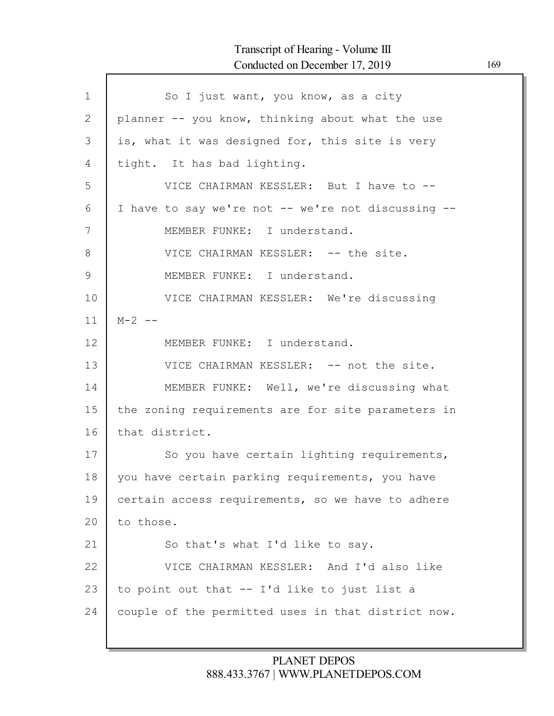# Transcript of Hearing - Volume III Conducted on December 17, 2019 169

Г

| $\mathbf{1}$  | So I just want, you know, as a city                |
|---------------|----------------------------------------------------|
| 2             | planner -- you know, thinking about what the use   |
| 3             | is, what it was designed for, this site is very    |
| 4             | tight. It has bad lighting.                        |
| 5             | VICE CHAIRMAN KESSLER: But I have to --            |
| 6             | I have to say we're not -- we're not discussing -- |
| 7             | MEMBER FUNKE: I understand.                        |
| 8             | VICE CHAIRMAN KESSLER: -- the site.                |
| $\mathcal{G}$ | MEMBER FUNKE: I understand.                        |
| 10            | VICE CHAIRMAN KESSLER: We're discussing            |
| 11            | $M - 2 - -$                                        |
| 12            | MEMBER FUNKE: I understand.                        |
| 13            | VICE CHAIRMAN KESSLER: -- not the site.            |
| 14            | MEMBER FUNKE: Well, we're discussing what          |
| 15            | the zoning requirements are for site parameters in |
| 16            | that district.                                     |
| 17            | So you have certain lighting requirements,         |
| 18            | you have certain parking requirements, you have    |
| 19            | certain access requirements, so we have to adhere  |
| 20            | to those.                                          |
| 21            | So that's what I'd like to say.                    |
| 22            | VICE CHAIRMAN KESSLER: And I'd also like           |
| 23            | to point out that -- I'd like to just list a       |
| 24            | couple of the permitted uses in that district now. |
|               |                                                    |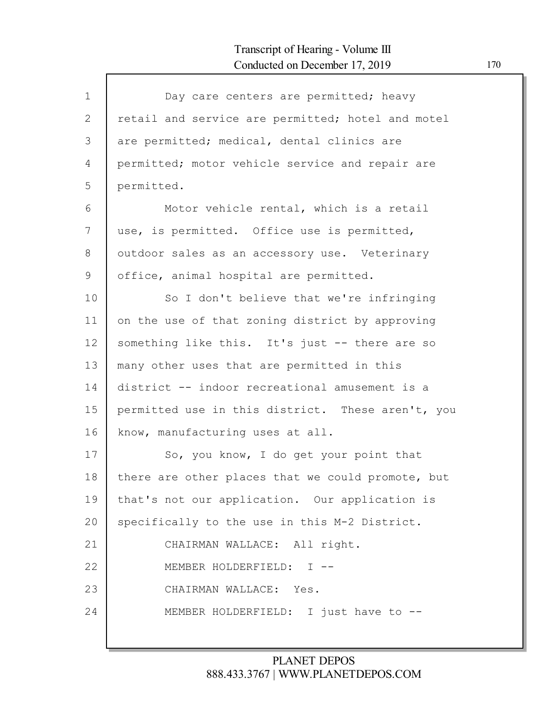| $\mathbf{1}$    | Day care centers are permitted; heavy             |
|-----------------|---------------------------------------------------|
| $\mathbf{2}$    | retail and service are permitted; hotel and motel |
| 3               | are permitted; medical, dental clinics are        |
| 4               | permitted; motor vehicle service and repair are   |
| 5               | permitted.                                        |
| 6               | Motor vehicle rental, which is a retail           |
| 7               | use, is permitted. Office use is permitted,       |
| 8               | outdoor sales as an accessory use. Veterinary     |
| 9               | office, animal hospital are permitted.            |
| 10              | So I don't believe that we're infringing          |
| 11              | on the use of that zoning district by approving   |
| 12 <sup>°</sup> | something like this. It's just -- there are so    |
| 13              | many other uses that are permitted in this        |
| 14              | district -- indoor recreational amusement is a    |
| 15              | permitted use in this district. These aren't, you |
| 16              | know, manufacturing uses at all.                  |
| 17              | So, you know, I do get your point that            |
| 18              | there are other places that we could promote, but |
| 19              | that's not our application. Our application is    |
| 20              | specifically to the use in this M-2 District.     |
| 21              | CHAIRMAN WALLACE: All right.                      |
| 22              | MEMBER HOLDERFIELD: I --                          |
| 23              | CHAIRMAN WALLACE: Yes.                            |
| 24              | MEMBER HOLDERFIELD: I just have to --             |
|                 |                                                   |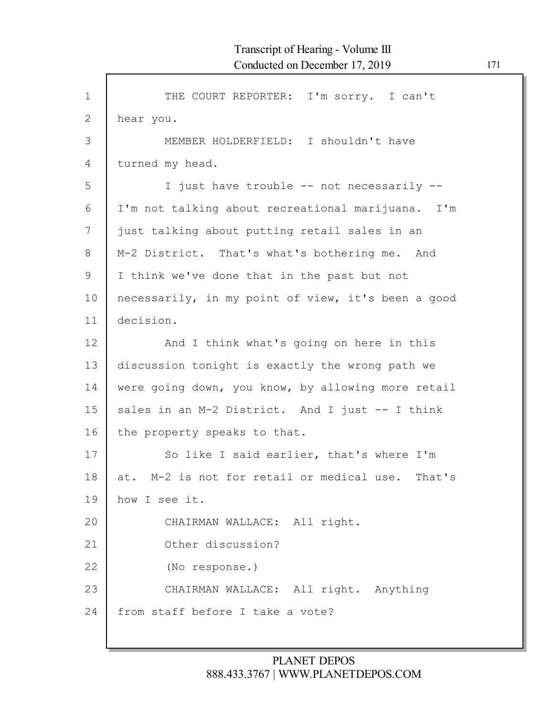| $\mathbf 1$  | THE COURT REPORTER: I'm sorry. I can't             |
|--------------|----------------------------------------------------|
| $\mathbf{2}$ | hear you.                                          |
| 3            | MEMBER HOLDERFIELD: I shouldn't have               |
| 4            | turned my head.                                    |
| 5            | I just have trouble -- not necessarily --          |
| 6            | I'm not talking about recreational marijuana. I'm  |
| 7            | just talking about putting retail sales in an      |
| 8            | M-2 District. That's what's bothering me. And      |
| 9            | I think we've done that in the past but not        |
| 10           | necessarily, in my point of view, it's been a good |
| 11           | decision.                                          |
| 12           | And I think what's going on here in this           |
| 13           | discussion tonight is exactly the wrong path we    |
| 14           | were going down, you know, by allowing more retail |
| 15           | sales in an M-2 District. And I just -- I think    |
| 16           | the property speaks to that.                       |
| 17           | So like I said earlier, that's where I'm           |
| 18           | at. M-2 is not for retail or medical use. That's   |
| 19           | how I see it.                                      |
| 20           | CHAIRMAN WALLACE: All right.                       |
| 21           | Other discussion?                                  |
| 22           | (No response.)                                     |
| 23           | CHAIRMAN WALLACE: All right. Anything              |
| 24           | from staff before I take a vote?                   |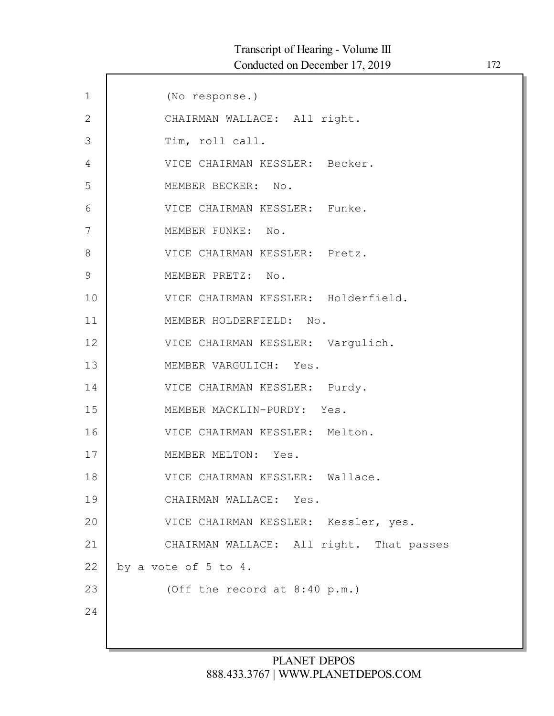| $\mathbf 1$  | (No response.)                           |
|--------------|------------------------------------------|
| $\mathbf{2}$ | CHAIRMAN WALLACE: All right.             |
| 3            | Tim, roll call.                          |
| 4            | VICE CHAIRMAN KESSLER: Becker.           |
| 5            | MEMBER BECKER: No.                       |
| 6            | VICE CHAIRMAN KESSLER: Funke.            |
| 7            | MEMBER FUNKE: No.                        |
| 8            | VICE CHAIRMAN KESSLER: Pretz.            |
| 9            | MEMBER PRETZ: No.                        |
| 10           | VICE CHAIRMAN KESSLER: Holderfield.      |
| 11           | MEMBER HOLDERFIELD: No.                  |
| 12           | VICE CHAIRMAN KESSLER: Vargulich.        |
| 13           | MEMBER VARGULICH: Yes.                   |
| 14           | VICE CHAIRMAN KESSLER: Purdy.            |
| 15           | MEMBER MACKLIN-PURDY: Yes.               |
| 16           | VICE CHAIRMAN KESSLER: Melton.           |
| 17           | MEMBER MELTON: Yes.                      |
| 18           | VICE CHAIRMAN KESSLER: Wallace.          |
| 19           | CHAIRMAN WALLACE: Yes.                   |
| 20           | VICE CHAIRMAN KESSLER: Kessler, yes.     |
| 21           | CHAIRMAN WALLACE: All right. That passes |
| 22           | by a vote of $5$ to $4$ .                |
| 23           | (Off the record at 8:40 p.m.)            |
| 24           |                                          |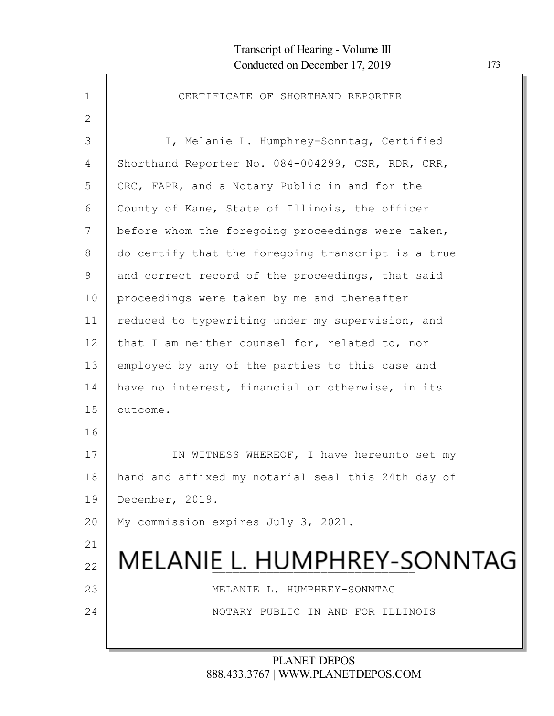| $\mathbf{1}$ | CERTIFICATE OF SHORTHAND REPORTER                  |
|--------------|----------------------------------------------------|
| $\mathbf{2}$ |                                                    |
| 3            | I, Melanie L. Humphrey-Sonntag, Certified          |
| 4            | Shorthand Reporter No. 084-004299, CSR, RDR, CRR,  |
| 5            | CRC, FAPR, and a Notary Public in and for the      |
| 6            | County of Kane, State of Illinois, the officer     |
| 7            | before whom the foregoing proceedings were taken,  |
| 8            | do certify that the foregoing transcript is a true |
| 9            | and correct record of the proceedings, that said   |
| 10           | proceedings were taken by me and thereafter        |
| 11           | reduced to typewriting under my supervision, and   |
| 12           | that I am neither counsel for, related to, nor     |
| 13           | employed by any of the parties to this case and    |
| 14           | have no interest, financial or otherwise, in its   |
| 15           | outcome.                                           |
| 16           |                                                    |
| 17           | IN WITNESS WHEREOF, I have hereunto set my         |
| 18           | hand and affixed my notarial seal this 24th day of |
| 19           | December, 2019.                                    |
| 20           | My commission expires July 3, 2021.                |
| 21           |                                                    |
| 22           | MELANIE L. HUMPHREY-SONNTAG                        |
| 23           | MELANIE L. HUMPHREY-SONNTAG                        |
| 24           | NOTARY PUBLIC IN AND FOR ILLINOIS                  |
|              |                                                    |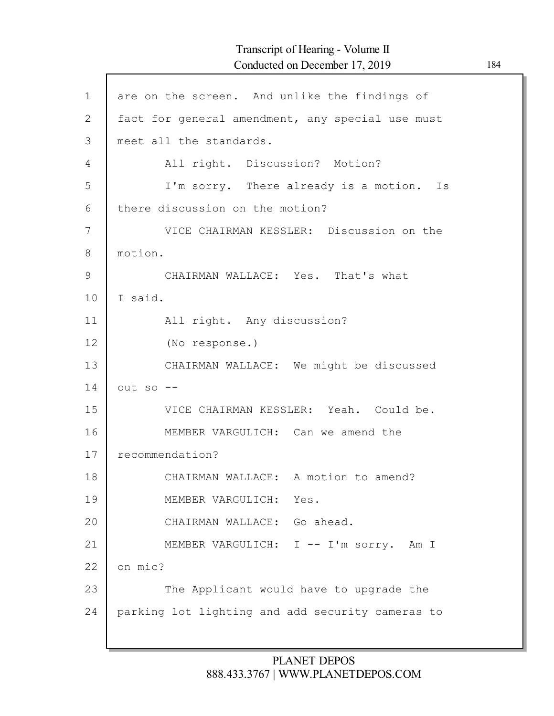# Transcript of Hearing - Volume II Conducted on December 17, 2019 184

| $\mathbf 1$  | are on the screen. And unlike the findings of    |
|--------------|--------------------------------------------------|
| $\mathbf{2}$ | fact for general amendment, any special use must |
| 3            | meet all the standards.                          |
| 4            | All right. Discussion? Motion?                   |
| 5            | I'm sorry. There already is a motion. Is         |
| 6            | there discussion on the motion?                  |
| 7            | VICE CHAIRMAN KESSLER: Discussion on the         |
| 8            | motion.                                          |
| 9            | CHAIRMAN WALLACE: Yes. That's what               |
| 10           | I said.                                          |
| 11           | All right. Any discussion?                       |
| 12           | (No response.)                                   |
| 13           | CHAIRMAN WALLACE: We might be discussed          |
| 14           | $out$ so $--$                                    |
| 15           | VICE CHAIRMAN KESSLER: Yeah. Could be.           |
| 16           | MEMBER VARGULICH: Can we amend the               |
| 17           | recommendation?                                  |
| 18           | CHAIRMAN WALLACE: A motion to amend?             |
| 19           | MEMBER VARGULICH: Yes.                           |
| 20           | CHAIRMAN WALLACE: Go ahead.                      |
| 21           | MEMBER VARGULICH: I -- I'm sorry. Am I           |
| 22           | on mic?                                          |
| 23           | The Applicant would have to upgrade the          |
| 24           | parking lot lighting and add security cameras to |
|              |                                                  |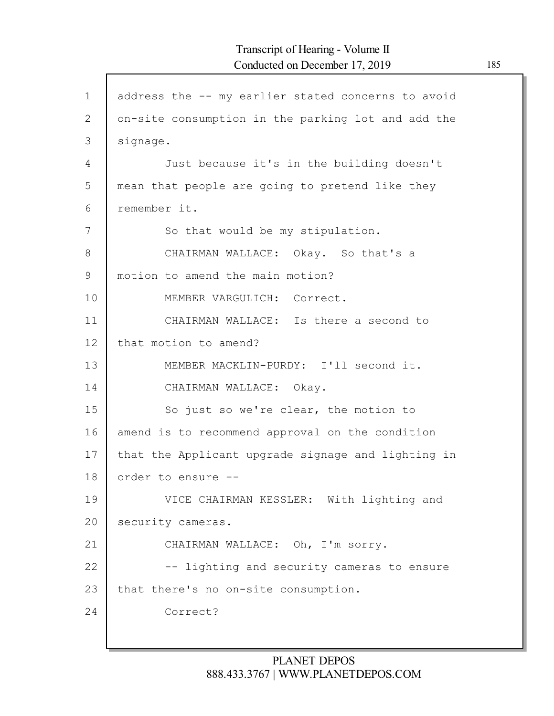$\mathsf{l}$ 

| $\mathbf 1$  | address the -- my earlier stated concerns to avoid |
|--------------|----------------------------------------------------|
| $\mathbf{2}$ | on-site consumption in the parking lot and add the |
| 3            | signage.                                           |
| 4            | Just because it's in the building doesn't          |
| 5            | mean that people are going to pretend like they    |
| 6            | remember it.                                       |
| 7            | So that would be my stipulation.                   |
| 8            | CHAIRMAN WALLACE: Okay. So that's a                |
| 9            | motion to amend the main motion?                   |
| 10           | MEMBER VARGULICH: Correct.                         |
| 11           | CHAIRMAN WALLACE: Is there a second to             |
| 12           | that motion to amend?                              |
| 13           | MEMBER MACKLIN-PURDY: I'll second it.              |
| 14           | CHAIRMAN WALLACE: Okay.                            |
| 15           | So just so we're clear, the motion to              |
| 16           | amend is to recommend approval on the condition    |
| 17           | that the Applicant upgrade signage and lighting in |
| 18           | order to ensure --                                 |
| 19           | VICE CHAIRMAN KESSLER: With lighting and           |
| 20           | security cameras.                                  |
| 21           | CHAIRMAN WALLACE: Oh, I'm sorry.                   |
| 22           | -- lighting and security cameras to ensure         |
| 23           | that there's no on-site consumption.               |
| 24           | Correct?                                           |
|              |                                                    |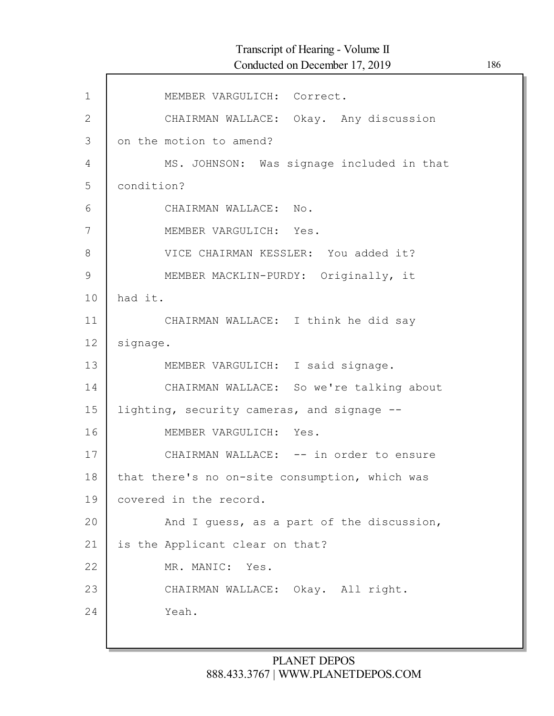| $\mathbf 1$   | MEMBER VARGULICH: Correct.                     |
|---------------|------------------------------------------------|
| $\mathbf{2}$  | CHAIRMAN WALLACE: Okay. Any discussion         |
| 3             | on the motion to amend?                        |
| 4             | MS. JOHNSON: Was signage included in that      |
| 5             | condition?                                     |
| 6             | CHAIRMAN WALLACE: No.                          |
| 7             | MEMBER VARGULICH: Yes.                         |
| $8\,$         | VICE CHAIRMAN KESSLER: You added it?           |
| $\mathcal{G}$ | MEMBER MACKLIN-PURDY: Originally, it           |
| 10            | had it.                                        |
| 11            | CHAIRMAN WALLACE: I think he did say           |
| 12            | signage.                                       |
| 13            | MEMBER VARGULICH: I said signage.              |
| 14            | CHAIRMAN WALLACE: So we're talking about       |
| 15            | lighting, security cameras, and signage --     |
| 16            | MEMBER VARGULICH: Yes.                         |
| 17            | CHAIRMAN WALLACE: -- in order to ensure        |
| 18            | that there's no on-site consumption, which was |
| 19            | covered in the record.                         |
| 20            | And I quess, as a part of the discussion,      |
| 21            | is the Applicant clear on that?                |
| 22            | MR. MANIC: Yes.                                |
| 23            | CHAIRMAN WALLACE: Okay. All right.             |
| 24            | Yeah.                                          |
|               |                                                |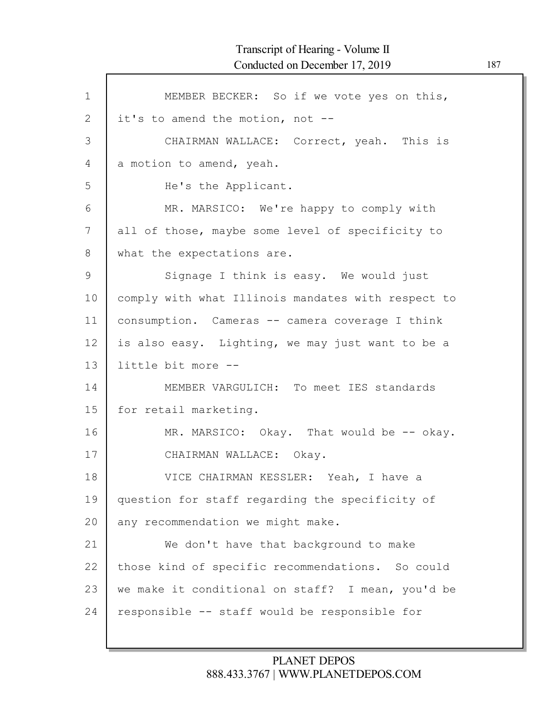| $\mathbf{1}$ | MEMBER BECKER: So if we vote yes on this,          |
|--------------|----------------------------------------------------|
| 2            | it's to amend the motion, not --                   |
| 3            | CHAIRMAN WALLACE: Correct, yeah. This is           |
| 4            | a motion to amend, yeah.                           |
| 5            | He's the Applicant.                                |
| 6            | MR. MARSICO: We're happy to comply with            |
| 7            | all of those, maybe some level of specificity to   |
| 8            | what the expectations are.                         |
| 9            | Signage I think is easy. We would just             |
| 10           | comply with what Illinois mandates with respect to |
| 11           | consumption. Cameras -- camera coverage I think    |
| 12           | is also easy. Lighting, we may just want to be a   |
| 13           | little bit more --                                 |
| 14           | MEMBER VARGULICH: To meet IES standards            |
| 15           | for retail marketing.                              |
| 16           | MR. MARSICO: Okay. That would be -- okay.          |
| 17           | CHAIRMAN WALLACE: Okay.                            |
| 18           | VICE CHAIRMAN KESSLER: Yeah, I have a              |
| 19           | question for staff regarding the specificity of    |
| 20           | any recommendation we might make.                  |
| 21           | We don't have that background to make              |
| 22           | those kind of specific recommendations. So could   |
| 23           | we make it conditional on staff? I mean, you'd be  |
| 24           | responsible -- staff would be responsible for      |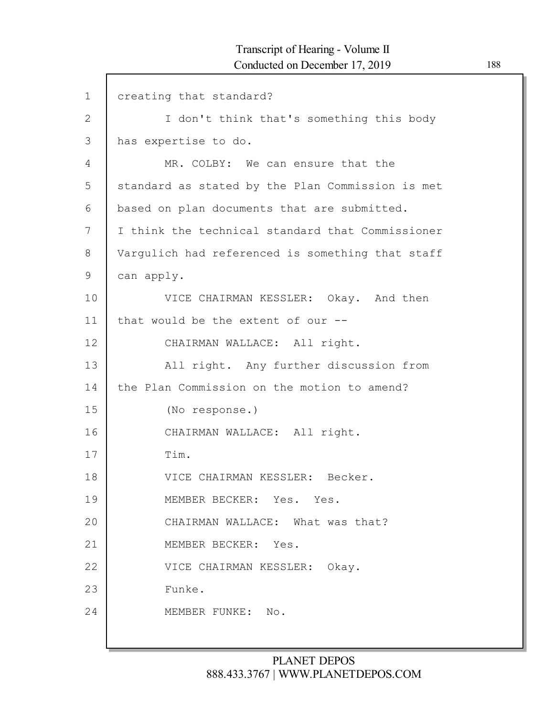| $\mathbf 1$    | creating that standard?                          |
|----------------|--------------------------------------------------|
| $\overline{2}$ | I don't think that's something this body         |
| 3              | has expertise to do.                             |
| 4              | MR. COLBY: We can ensure that the                |
| 5              | standard as stated by the Plan Commission is met |
| 6              | based on plan documents that are submitted.      |
| 7              | I think the technical standard that Commissioner |
| 8              | Vargulich had referenced is something that staff |
| 9              | can apply.                                       |
| 10             | VICE CHAIRMAN KESSLER: Okay. And then            |
| 11             | that would be the extent of our --               |
| 12             | CHAIRMAN WALLACE: All right.                     |
| 13             | All right. Any further discussion from           |
| 14             | the Plan Commission on the motion to amend?      |
| 15             | (No response.)                                   |
| 16             | CHAIRMAN WALLACE: All right.                     |
| 17             | Tim.                                             |
| 18             | VICE CHAIRMAN KESSLER: Becker.                   |
| 19             | MEMBER BECKER: Yes. Yes.                         |
| 20             | CHAIRMAN WALLACE: What was that?                 |
| 21             | MEMBER BECKER: Yes.                              |
| 22             | VICE CHAIRMAN KESSLER: Okay.                     |
| 23             | Funke.                                           |
| 24             | MEMBER FUNKE: No.                                |
|                |                                                  |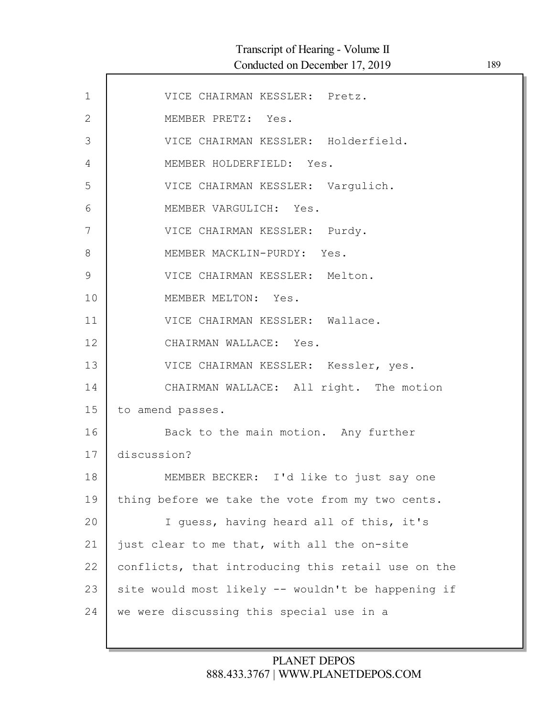$\mathsf{l}$ 

| $\mathbf 1$  | VICE CHAIRMAN KESSLER: Pretz.                      |
|--------------|----------------------------------------------------|
| $\mathbf{2}$ | MEMBER PRETZ: Yes.                                 |
| 3            | VICE CHAIRMAN KESSLER: Holderfield.                |
| 4            | MEMBER HOLDERFIELD: Yes.                           |
| 5            | VICE CHAIRMAN KESSLER: Vargulich.                  |
| $6\,$        | MEMBER VARGULICH: Yes.                             |
| 7            | VICE CHAIRMAN KESSLER: Purdy.                      |
| 8            | MEMBER MACKLIN-PURDY: Yes.                         |
| $\mathsf 9$  | VICE CHAIRMAN KESSLER: Melton.                     |
| 10           | MEMBER MELTON: Yes.                                |
| 11           | VICE CHAIRMAN KESSLER: Wallace.                    |
| 12           | CHAIRMAN WALLACE: Yes.                             |
| 13           | VICE CHAIRMAN KESSLER: Kessler, yes.               |
| 14           | CHAIRMAN WALLACE: All right. The motion            |
| 15           | to amend passes.                                   |
| 16           | Back to the main motion. Any further               |
| 17           | discussion?                                        |
| 18           | MEMBER BECKER: I'd like to just say one            |
| 19           | thing before we take the vote from my two cents.   |
| 20           | I guess, having heard all of this, it's            |
| 21           | just clear to me that, with all the on-site        |
| 22           | conflicts, that introducing this retail use on the |
| 23           | site would most likely -- wouldn't be happening if |
| 24           | we were discussing this special use in a           |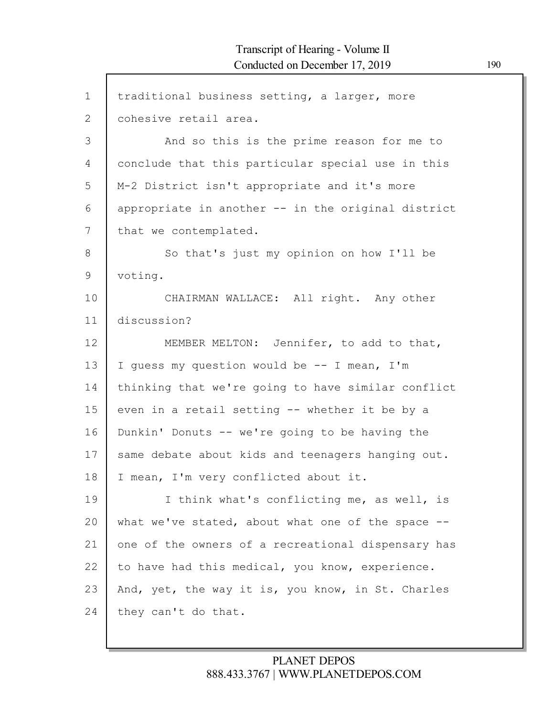$\Gamma$ 

| $\mathbf 1$  | traditional business setting, a larger, more       |
|--------------|----------------------------------------------------|
| $\mathbf{2}$ | cohesive retail area.                              |
| 3            | And so this is the prime reason for me to          |
| 4            | conclude that this particular special use in this  |
| 5            | M-2 District isn't appropriate and it's more       |
| 6            | appropriate in another -- in the original district |
| 7            | that we contemplated.                              |
| 8            | So that's just my opinion on how I'll be           |
| 9            | voting.                                            |
| 10           | CHAIRMAN WALLACE: All right. Any other             |
| 11           | discussion?                                        |
| 12           | MEMBER MELTON: Jennifer, to add to that,           |
| 13           | I guess my question would be -- I mean, I'm        |
| 14           | thinking that we're going to have similar conflict |
| 15           | even in a retail setting -- whether it be by a     |
| 16           | Dunkin' Donuts -- we're going to be having the     |
| 17           | same debate about kids and teenagers hanging out.  |
| 18           | I mean, I'm very conflicted about it.              |
| 19           | I think what's conflicting me, as well, is         |
| 20           | what we've stated, about what one of the space --  |
| 21           | one of the owners of a recreational dispensary has |
| 22           | to have had this medical, you know, experience.    |
| 23           | And, yet, the way it is, you know, in St. Charles  |
| 24           | they can't do that.                                |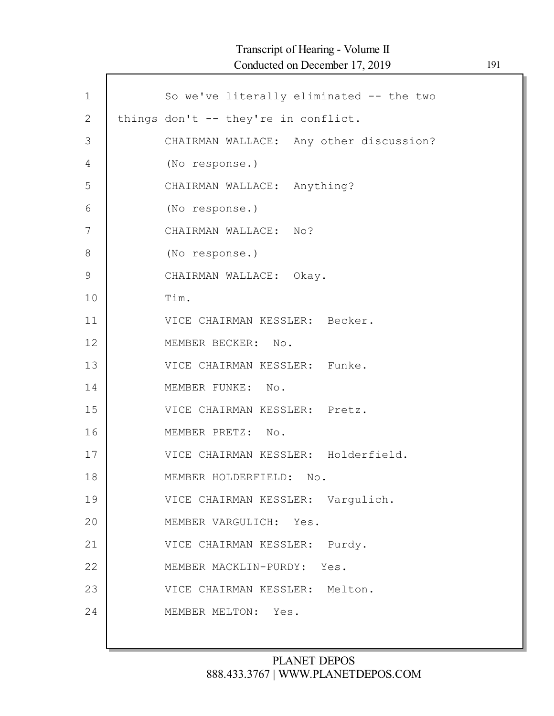# Transcript of Hearing - Volume II Conducted on December 17, 2019 191

| $\mathbf 1$  | So we've literally eliminated -- the two |
|--------------|------------------------------------------|
| $\mathbf{2}$ | things don't -- they're in conflict.     |
| 3            | CHAIRMAN WALLACE: Any other discussion?  |
| 4            | (No response.)                           |
| 5            | CHAIRMAN WALLACE: Anything?              |
| 6            | (No response.)                           |
| 7            | CHAIRMAN WALLACE: No?                    |
| 8            | (No response.)                           |
| $\mathsf 9$  | CHAIRMAN WALLACE: Okay.                  |
| 10           | Tim.                                     |
| 11           | VICE CHAIRMAN KESSLER: Becker.           |
| 12           | MEMBER BECKER: No.                       |
| 13           | VICE CHAIRMAN KESSLER: Funke.            |
| 14           | MEMBER FUNKE: No.                        |
| 15           | VICE CHAIRMAN KESSLER: Pretz.            |
| 16           | MEMBER PRETZ: No.                        |
| 17           | VICE CHAIRMAN KESSLER: Holderfield.      |
| 18           | MEMBER HOLDERFIELD: No.                  |
| 19           | VICE CHAIRMAN KESSLER: Vargulich.        |
| 20           | MEMBER VARGULICH: Yes.                   |
| 21           | VICE CHAIRMAN KESSLER: Purdy.            |
| 22           | MEMBER MACKLIN-PURDY:<br>Yes.            |
| 23           | VICE CHAIRMAN KESSLER: Melton.           |
| 24           | MEMBER MELTON: Yes.                      |
|              |                                          |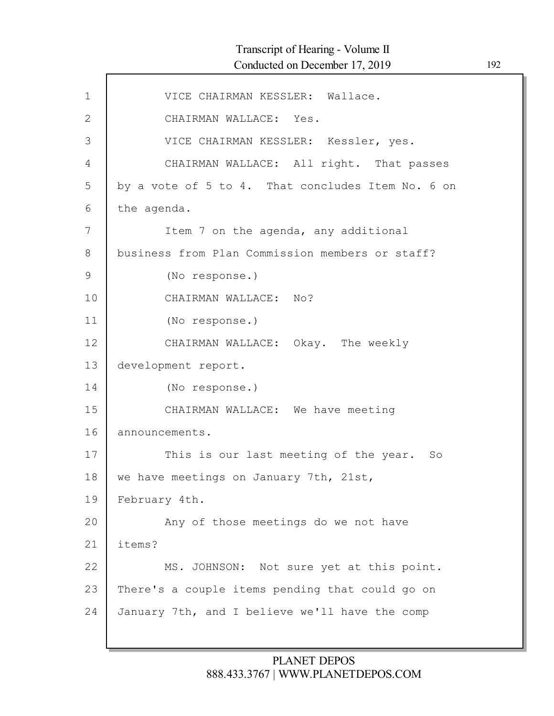| $\mathbf{1}$ | VICE CHAIRMAN KESSLER: Wallace.                   |
|--------------|---------------------------------------------------|
| $\mathbf{2}$ | CHAIRMAN WALLACE: Yes.                            |
| 3            | VICE CHAIRMAN KESSLER: Kessler, yes.              |
| 4            | CHAIRMAN WALLACE: All right. That passes          |
| 5            | by a vote of 5 to 4. That concludes Item No. 6 on |
| 6            | the agenda.                                       |
| 7            | Item 7 on the agenda, any additional              |
| 8            | business from Plan Commission members or staff?   |
| $\mathsf 9$  | (No response.)                                    |
| 10           | CHAIRMAN WALLACE: No?                             |
| 11           | (No response.)                                    |
| 12           | CHAIRMAN WALLACE: Okay. The weekly                |
| 13           | development report.                               |
| 14           | (No response.)                                    |
| 15           | CHAIRMAN WALLACE: We have meeting                 |
| 16           | announcements.                                    |
| 17           | This is our last meeting of the year.<br>So       |
| 18           | we have meetings on January 7th, 21st,            |
| 19           | February 4th.                                     |
| 20           | Any of those meetings do we not have              |
| 21           | items?                                            |
| 22           | MS. JOHNSON: Not sure yet at this point.          |
| 23           | There's a couple items pending that could go on   |
| 24           | January 7th, and I believe we'll have the comp    |
|              |                                                   |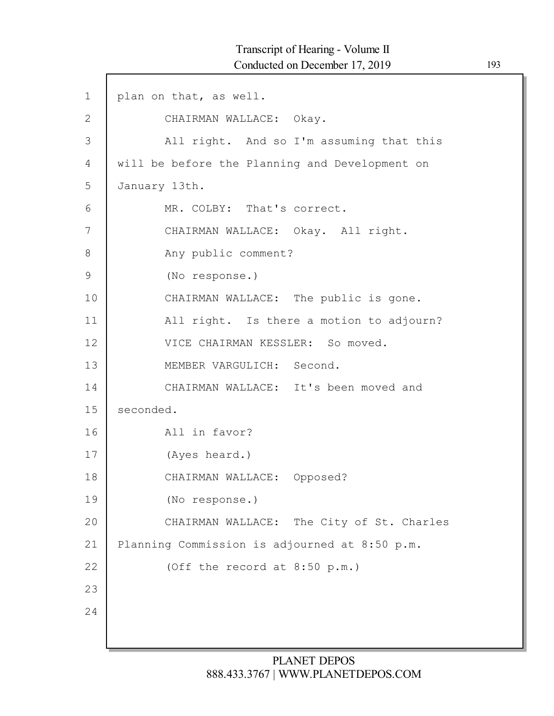1 2 3 4 5 6 7 8 9 10 11 12 13 14 15 16 17 18 19 20 21 22 23 24 plan on that, as well. CHAIRMAN WALLACE: Okay. All right. And so I'm assuming that this will be before the Planning and Development on January 13th. MR. COLBY: That's correct. CHAIRMAN WALLACE: Okay. All right. Any public comment? (No response.) CHAIRMAN WALLACE: The public is gone. All right. Is there a motion to adjourn? VICE CHAIRMAN KESSLER: So moved. MEMBER VARGULICH: Second. CHAIRMAN WALLACE: It's been moved and seconded. All in favor? (Ayes heard.) CHAIRMAN WALLACE: Opposed? (No response.) CHAIRMAN WALLACE: The City of St. Charles Planning Commission is adjourned at 8:50 p.m. (Off the record at 8:50 p.m.)